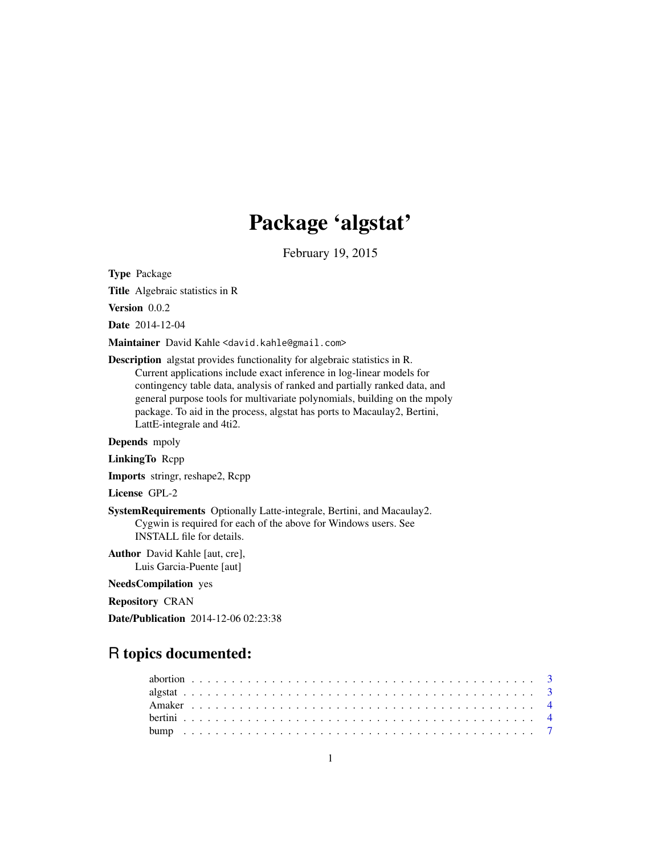# Package 'algstat'

February 19, 2015

<span id="page-0-0"></span>Type Package

Title Algebraic statistics in R

Version 0.0.2

Date 2014-12-04

Maintainer David Kahle <david.kahle@gmail.com>

Description algstat provides functionality for algebraic statistics in R. Current applications include exact inference in log-linear models for contingency table data, analysis of ranked and partially ranked data, and general purpose tools for multivariate polynomials, building on the mpoly package. To aid in the process, algstat has ports to Macaulay2, Bertini, LattE-integrale and 4ti2.

Depends mpoly

LinkingTo Rcpp

Imports stringr, reshape2, Rcpp

License GPL-2

SystemRequirements Optionally Latte-integrale, Bertini, and Macaulay2. Cygwin is required for each of the above for Windows users. See INSTALL file for details.

Author David Kahle [aut, cre], Luis Garcia-Puente [aut]

NeedsCompilation yes

Repository CRAN

Date/Publication 2014-12-06 02:23:38

## R topics documented: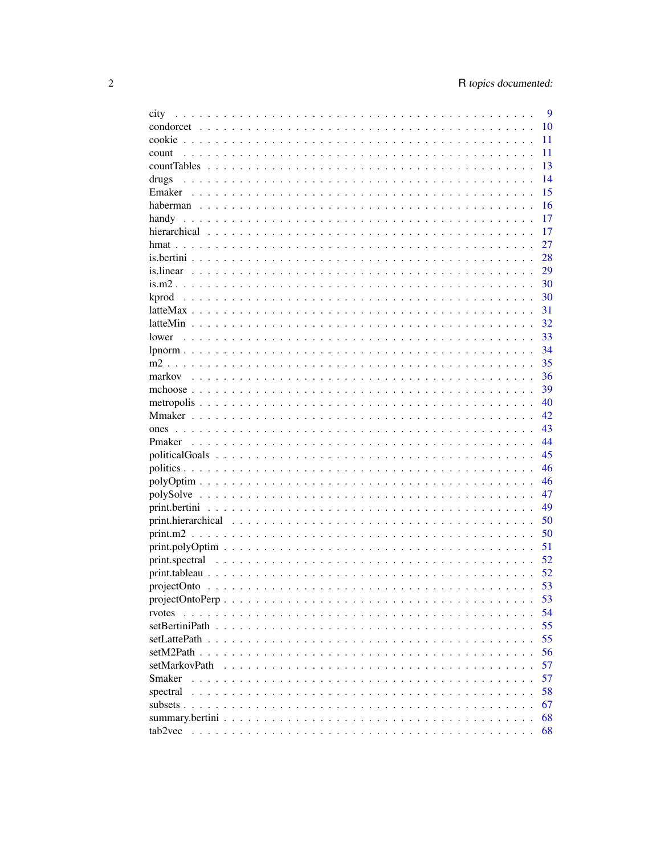| city                                                                                                         | 9  |
|--------------------------------------------------------------------------------------------------------------|----|
|                                                                                                              | 10 |
|                                                                                                              | 11 |
| count                                                                                                        | 11 |
|                                                                                                              | 13 |
| drugs                                                                                                        | 14 |
|                                                                                                              | 15 |
|                                                                                                              | 16 |
|                                                                                                              | 17 |
|                                                                                                              | 17 |
|                                                                                                              | 27 |
|                                                                                                              | 28 |
|                                                                                                              | 29 |
|                                                                                                              | 30 |
| kprod                                                                                                        | 30 |
|                                                                                                              | 31 |
|                                                                                                              | 32 |
| lower                                                                                                        | 33 |
|                                                                                                              | 34 |
|                                                                                                              | 35 |
|                                                                                                              | 36 |
|                                                                                                              | 39 |
|                                                                                                              | 40 |
|                                                                                                              | 42 |
|                                                                                                              | 43 |
|                                                                                                              | 44 |
|                                                                                                              | 45 |
|                                                                                                              | 46 |
|                                                                                                              | 46 |
|                                                                                                              | 47 |
|                                                                                                              | 49 |
|                                                                                                              | 50 |
|                                                                                                              | 50 |
|                                                                                                              | 51 |
|                                                                                                              | 52 |
|                                                                                                              | 52 |
|                                                                                                              | 53 |
| $projectOntoPerp \ldots \ldots \ldots \ldots \ldots \ldots \ldots \ldots \ldots \ldots \ldots \ldots \ldots$ | 53 |
| rvotes                                                                                                       | 54 |
|                                                                                                              | 55 |
|                                                                                                              | 55 |
|                                                                                                              | 56 |
| setMarkovPath                                                                                                | 57 |
| Smaker                                                                                                       | 57 |
| spectral                                                                                                     | 58 |
|                                                                                                              | 67 |
|                                                                                                              | 68 |
|                                                                                                              | 68 |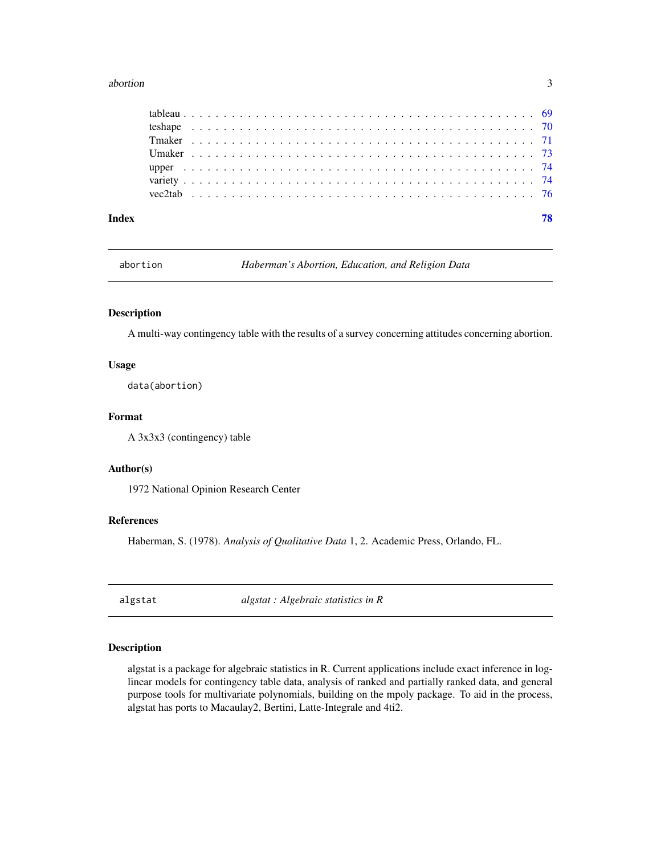#### <span id="page-2-0"></span>abortion 3

abortion *Haberman's Abortion, Education, and Religion Data*

#### Description

A multi-way contingency table with the results of a survey concerning attitudes concerning abortion.

#### Usage

data(abortion)

## Format

A 3x3x3 (contingency) table

## Author(s)

1972 National Opinion Research Center

#### References

Haberman, S. (1978). *Analysis of Qualitative Data* 1, 2. Academic Press, Orlando, FL.

algstat *algstat : Algebraic statistics in R*

## Description

algstat is a package for algebraic statistics in R. Current applications include exact inference in loglinear models for contingency table data, analysis of ranked and partially ranked data, and general purpose tools for multivariate polynomials, building on the mpoly package. To aid in the process, algstat has ports to Macaulay2, Bertini, Latte-Integrale and 4ti2.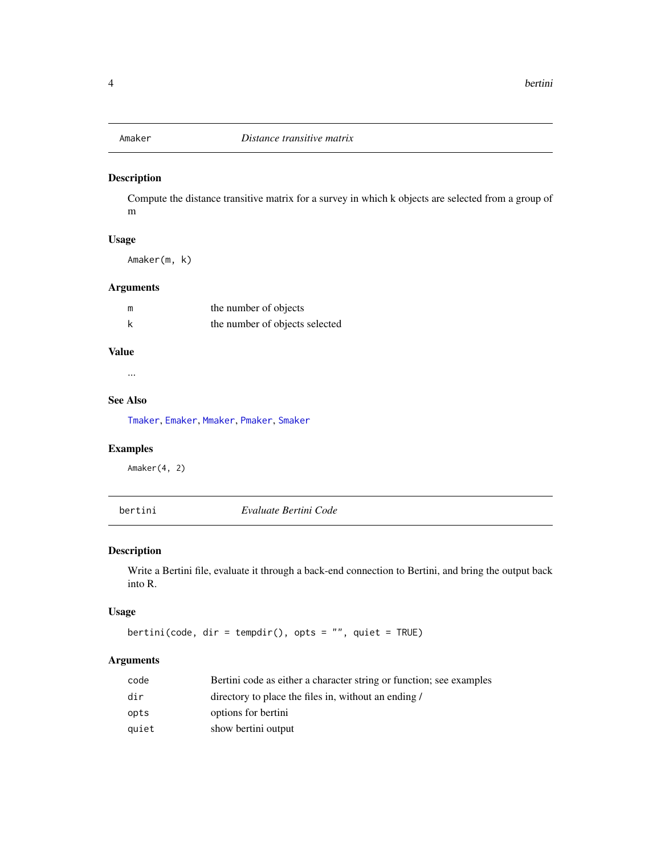<span id="page-3-1"></span><span id="page-3-0"></span>

## Description

Compute the distance transitive matrix for a survey in which k objects are selected from a group of m

## Usage

Amaker(m, k)

## Arguments

| m | the number of objects          |
|---|--------------------------------|
| k | the number of objects selected |

## Value

...

## See Also

[Tmaker](#page-70-1), [Emaker](#page-14-1), [Mmaker](#page-41-1), [Pmaker](#page-43-1), [Smaker](#page-56-1)

## Examples

Amaker(4, 2)

bertini *Evaluate Bertini Code*

## Description

Write a Bertini file, evaluate it through a back-end connection to Bertini, and bring the output back into R.

#### Usage

bertini(code, dir = tempdir(), opts = "", quiet = TRUE)

## Arguments

| code  | Bertini code as either a character string or function; see examples |
|-------|---------------------------------------------------------------------|
| dir   | directory to place the files in, without an ending /                |
| opts  | options for bertini                                                 |
| quiet | show bertini output                                                 |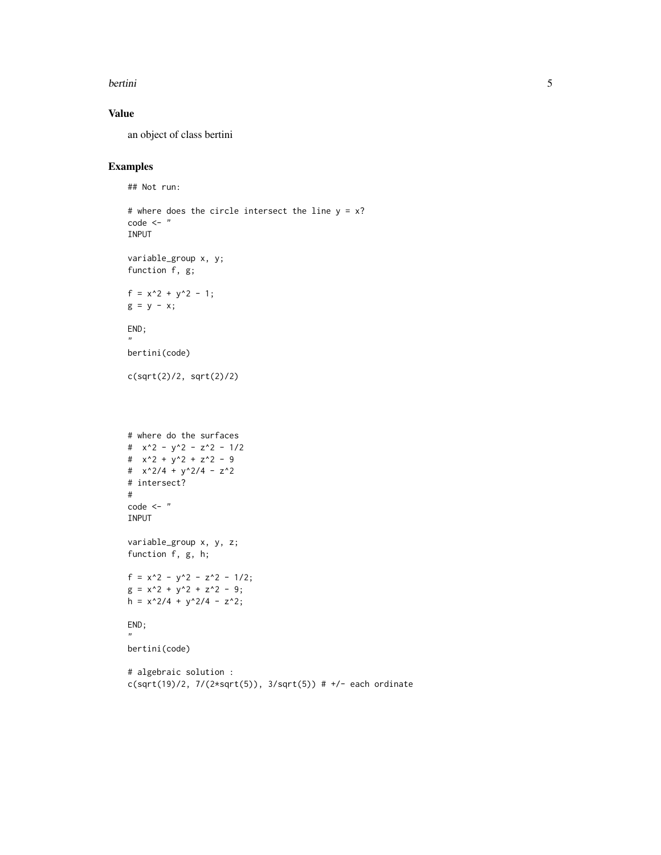#### bertini 5

## Value

an object of class bertini

## Examples

```
## Not run:
```

```
# where does the circle intersect the line y = x?
code < - "
INPUT
variable_group x, y;
function f, g;
f = x^2 + y^2 - 1;g = y - x;END;
"
bertini(code)
c(sqrt(2)/2, sqrt(2)/2)
# where do the surfaces
# x^2 - y^2 - z^2 - 1/2
# x^2 + y^2 + z^2 - 9# x^2/4 + y^2/4 - z^2# intersect?
#
code <- "
INPUT
variable_group x, y, z;
function f, g, h;
f = x^2 - y^2 - z^2 - 1/2;
g = x^2 + y^2 + z^2 - 9;
h = x^2/4 + y^2/4 - z^2;
END;
"
bertini(code)
# algebraic solution :
c(sqrt(19)/2, 7/(2*sqrt(5)), 3/sqrt(5)) # +/- each ordinate
```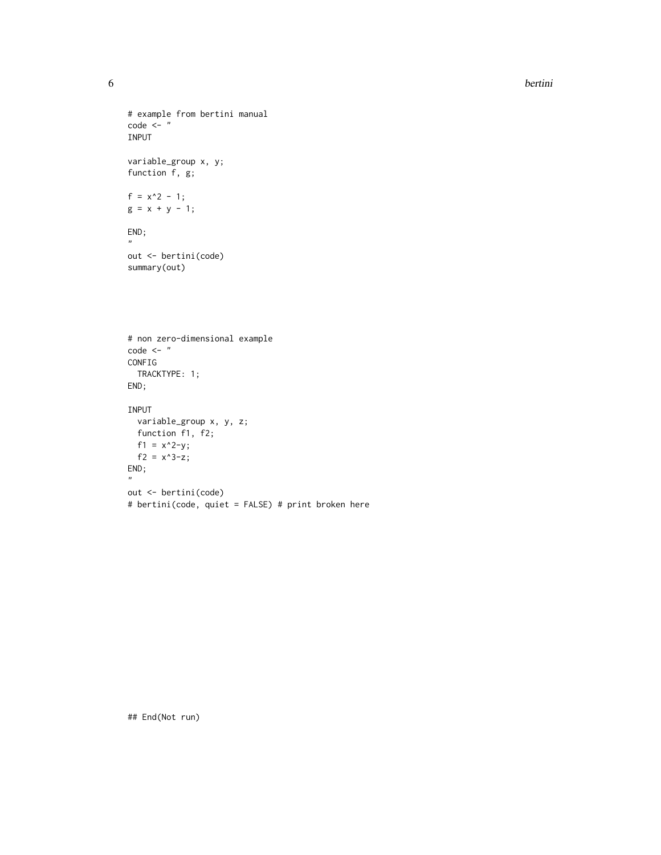```
6 bertini
```

```
# example from bertini manual
code < - "
INPUT
variable_group x, y;
function f, g;
f = x^2 - 1;g = x + y - 1;END;
\mathbf{u}out <- bertini(code)
summary(out)
# non zero-dimensional example
code < - "
CONFIG
 TRACKTYPE: 1;
END;
INPUT
  variable_group x, y, z;
 function f1, f2;
 f1 = x^2-y;
  f2 = x^3-z;
END;
"
out <- bertini(code)
```
# bertini(code, quiet = FALSE) # print broken here

## End(Not run)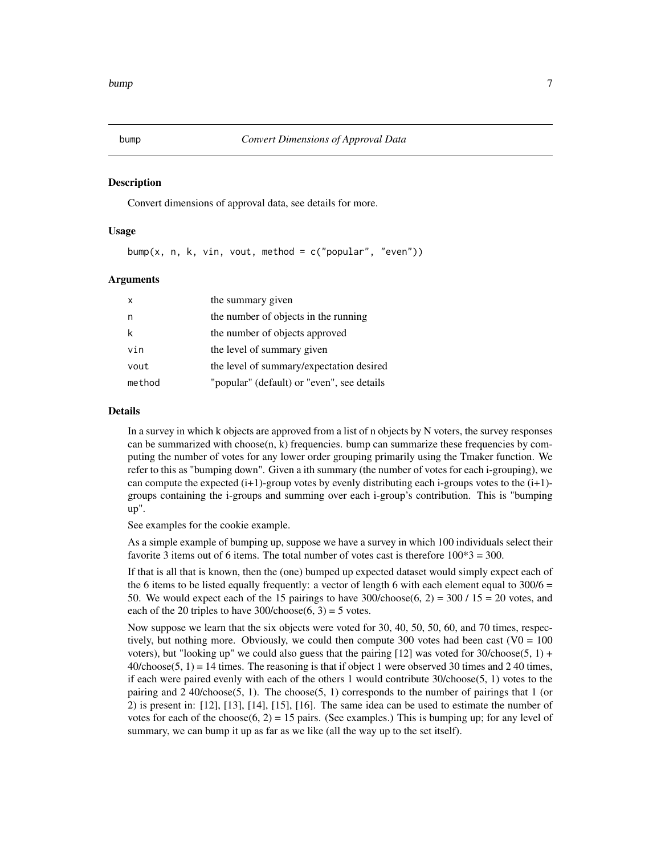<span id="page-6-0"></span>

#### **Description**

Convert dimensions of approval data, see details for more.

#### Usage

bump(x, n, k, vin, vout, method =  $c("popular", "even"))$ 

#### Arguments

| $\mathsf{x}$ | the summary given                          |
|--------------|--------------------------------------------|
| n.           | the number of objects in the running       |
| k            | the number of objects approved             |
| vin          | the level of summary given                 |
| vout         | the level of summary/expectation desired   |
| method       | "popular" (default) or "even", see details |

### Details

In a survey in which k objects are approved from a list of n objects by N voters, the survey responses can be summarized with choose(n, k) frequencies. bump can summarize these frequencies by computing the number of votes for any lower order grouping primarily using the Tmaker function. We refer to this as "bumping down". Given a ith summary (the number of votes for each i-grouping), we can compute the expected  $(i+1)$ -group votes by evenly distributing each i-groups votes to the  $(i+1)$ groups containing the i-groups and summing over each i-group's contribution. This is "bumping up".

See examples for the cookie example.

As a simple example of bumping up, suppose we have a survey in which 100 individuals select their favorite 3 items out of 6 items. The total number of votes cast is therefore  $100*3 = 300$ .

If that is all that is known, then the (one) bumped up expected dataset would simply expect each of the 6 items to be listed equally frequently: a vector of length 6 with each element equal to  $300/6 =$ 50. We would expect each of the 15 pairings to have  $300$ /choose $(6, 2) = 300 / 15 = 20$  votes, and each of the 20 triples to have  $300$ /choose $(6, 3) = 5$  votes.

Now suppose we learn that the six objects were voted for 30, 40, 50, 50, 60, and 70 times, respectively, but nothing more. Obviously, we could then compute 300 votes had been cast  $(V0 = 100$ voters), but "looking up" we could also guess that the pairing [12] was voted for 30/choose(5, 1) +  $40$ /choose(5, 1) = 14 times. The reasoning is that if object 1 were observed 30 times and 2 40 times, if each were paired evenly with each of the others 1 would contribute 30/choose(5, 1) votes to the pairing and 2 40/choose(5, 1). The choose(5, 1) corresponds to the number of pairings that 1 (or 2) is present in: [12], [13], [14], [15], [16]. The same idea can be used to estimate the number of votes for each of the choose(6, 2) = 15 pairs. (See examples.) This is bumping up; for any level of summary, we can bump it up as far as we like (all the way up to the set itself).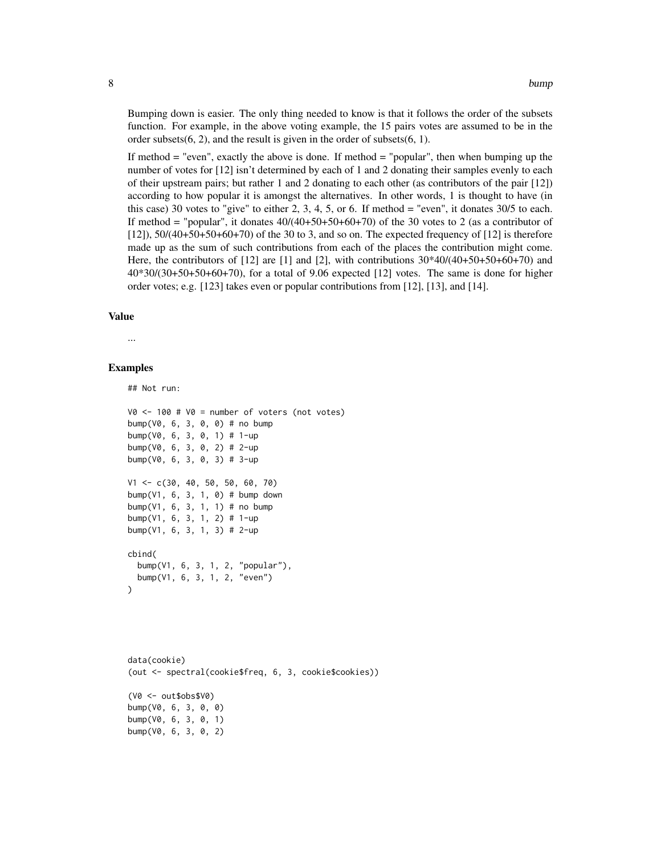Bumping down is easier. The only thing needed to know is that it follows the order of the subsets function. For example, in the above voting example, the 15 pairs votes are assumed to be in the order subsets(6, 2), and the result is given in the order of subsets(6, 1).

If method  $=$  "even", exactly the above is done. If method  $=$  "popular", then when bumping up the number of votes for [12] isn't determined by each of 1 and 2 donating their samples evenly to each of their upstream pairs; but rather 1 and 2 donating to each other (as contributors of the pair [12]) according to how popular it is amongst the alternatives. In other words, 1 is thought to have (in this case) 30 votes to "give" to either 2, 3, 4, 5, or 6. If method  $=$  "even", it donates 30/5 to each. If method = "popular", it donates  $40/(40+50+50+60+70)$  of the 30 votes to 2 (as a contributor of [12]), 50/(40+50+50+60+70) of the 30 to 3, and so on. The expected frequency of [12] is therefore made up as the sum of such contributions from each of the places the contribution might come. Here, the contributors of  $[12]$  are  $[1]$  and  $[2]$ , with contributions  $30*40/(40+50+50+60+70)$  and 40\*30/(30+50+50+60+70), for a total of 9.06 expected [12] votes. The same is done for higher order votes; e.g. [123] takes even or popular contributions from [12], [13], and [14].

#### Value

...

#### Examples

## Not run:

```
V0 \le -100 # V0 = number of voters (not votes)
bump(V0, 6, 3, 0, 0) # no bump
bump(V0, 6, 3, 0, 1) # 1-up
bump(V\emptyset, 6, 3, \emptyset, 2) # 2-up
bump(V0, 6, 3, 0, 3) # 3-up
V1 <- c(30, 40, 50, 50, 60, 70)
bump(V1, 6, 3, 1, 0) # bump down
bump(V1, 6, 3, 1, 1) # no bump
bump(V1, 6, 3, 1, 2) # 1-up
bump(V1, 6, 3, 1, 3) # 2-up
cbind(
 bump(V1, 6, 3, 1, 2, "popular"),
 bump(V1, 6, 3, 1, 2, "even")
)
```
data(cookie) (out <- spectral(cookie\$freq, 6, 3, cookie\$cookies)) (V0 <- out\$obs\$V0) bump(V0, 6, 3, 0, 0) bump(V0, 6, 3, 0, 1) bump(V0, 6, 3, 0, 2)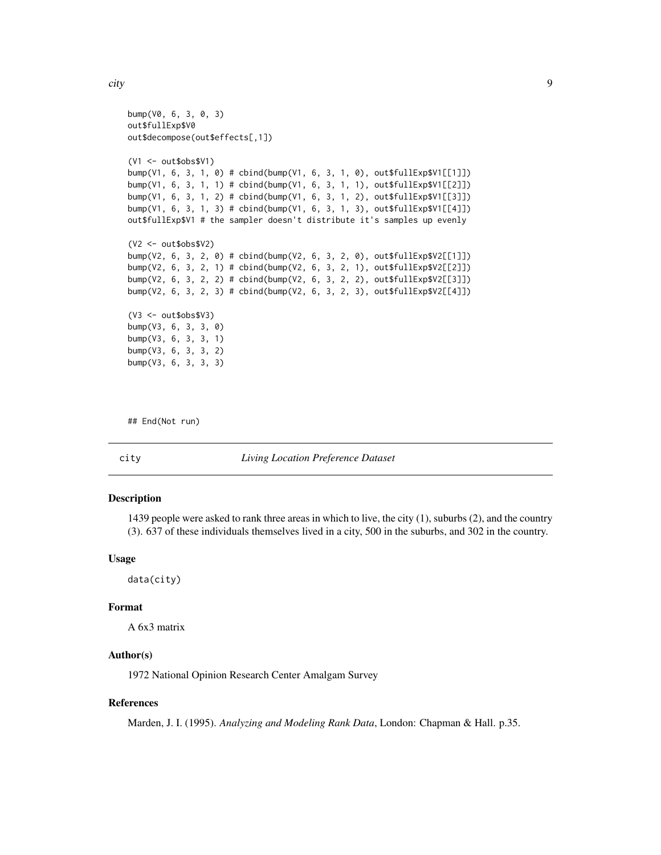<span id="page-8-0"></span>city that is a set of the set of the set of the set of the set of the set of the set of the set of the set of the set of the set of the set of the set of the set of the set of the set of the set of the set of the set of th

```
bump(V0, 6, 3, 0, 3)
out$fullExp$V0
out$decompose(out$effects[,1])
(V1 <- out$obs$V1)
bump(V1, 6, 3, 1, 0) # cbind(bump(V1, 6, 3, 1, 0), out$fullExp$V1[[1]])
bump(V1, 6, 3, 1, 1) # cbind(bump(V1, 6, 3, 1, 1), out$fullExp$V1[[2]])
bump(V1, 6, 3, 1, 2) # cbind(bump(V1, 6, 3, 1, 2), out$fullExp$V1[[3]])
bump(V1, 6, 3, 1, 3) # cbind(bump(V1, 6, 3, 1, 3), out$fullExp$V1[[4]])
out$fullExp$V1 # the sampler doesn't distribute it's samples up evenly
(V2 <- out$obs$V2)
bump(V2, 6, 3, 2, 0) # cbind(bump(V2, 6, 3, 2, 0), out$fullExp$V2[[1]])
bump(V2, 6, 3, 2, 1) # cbind(bump(V2, 6, 3, 2, 1), out$fullExp$V2[[2]])
bump(V2, 6, 3, 2, 2) # cbind(bump(V2, 6, 3, 2, 2), out$fullExp$V2[[3]])
bump(V2, 6, 3, 2, 3) # cbind(bump(V2, 6, 3, 2, 3), out$fullExp$V2[[4]])
(V3 <- out$obs$V3)
bump(V3, 6, 3, 3, 0)
bump(V3, 6, 3, 3, 1)
bump(V3, 6, 3, 3, 2)
bump(V3, 6, 3, 3, 3)
```
## End(Not run)

#### city *Living Location Preference Dataset*

#### Description

1439 people were asked to rank three areas in which to live, the city (1), suburbs (2), and the country (3). 637 of these individuals themselves lived in a city, 500 in the suburbs, and 302 in the country.

#### Usage

data(city)

#### Format

A 6x3 matrix

#### Author(s)

1972 National Opinion Research Center Amalgam Survey

#### References

Marden, J. I. (1995). *Analyzing and Modeling Rank Data*, London: Chapman & Hall. p.35.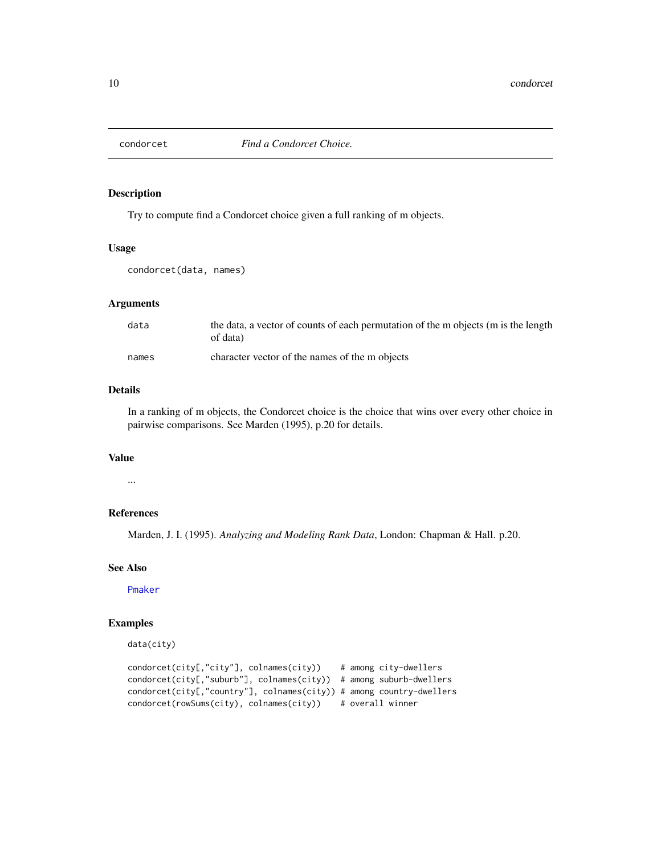<span id="page-9-0"></span>

#### Description

Try to compute find a Condorcet choice given a full ranking of m objects.

## Usage

condorcet(data, names)

## Arguments

| data  | the data, a vector of counts of each permutation of the m objects (m is the length<br>of data) |
|-------|------------------------------------------------------------------------------------------------|
| names | character vector of the names of the m objects                                                 |

#### Details

In a ranking of m objects, the Condorcet choice is the choice that wins over every other choice in pairwise comparisons. See Marden (1995), p.20 for details.

## Value

...

## References

Marden, J. I. (1995). *Analyzing and Modeling Rank Data*, London: Chapman & Hall. p.20.

## See Also

[Pmaker](#page-43-1)

## Examples

```
data(city)
condorcet(city[,"city"], colnames(city)) # among city-dwellers
condorcet(city[,"suburb"], colnames(city)) # among suburb-dwellers
condorcet(city[,"country"], colnames(city)) # among country-dwellers
condorcet(rowSums(city), colnames(city)) # overall winner
```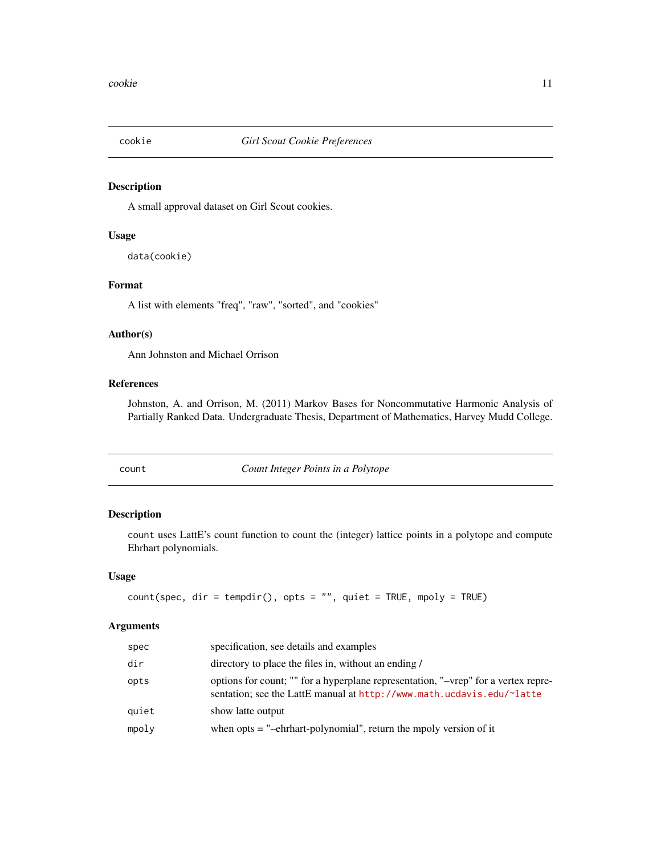<span id="page-10-0"></span>

## Description

A small approval dataset on Girl Scout cookies.

#### Usage

data(cookie)

## Format

A list with elements "freq", "raw", "sorted", and "cookies"

## Author(s)

Ann Johnston and Michael Orrison

## References

Johnston, A. and Orrison, M. (2011) Markov Bases for Noncommutative Harmonic Analysis of Partially Ranked Data. Undergraduate Thesis, Department of Mathematics, Harvey Mudd College.

<span id="page-10-1"></span>count *Count Integer Points in a Polytope*

#### Description

count uses LattE's count function to count the (integer) lattice points in a polytope and compute Ehrhart polynomials.

#### Usage

```
count(spec, dir = tempdir(), opts = "", quiet = TRUE, mpoly = TRUE)
```
#### Arguments

| spec  | specification, see details and examples                                                                                                                     |
|-------|-------------------------------------------------------------------------------------------------------------------------------------------------------------|
| dir   | directory to place the files in, without an ending /                                                                                                        |
| opts  | options for count; "" for a hyperplane representation, "-vrep" for a vertex repre-<br>sentation; see the LattE manual at http://www.math.ucdavis.edu/~latte |
| quiet | show latte output                                                                                                                                           |
| mpoly | when opts $=$ "-ehrhart-polynomial", return the mpoly version of it                                                                                         |
|       |                                                                                                                                                             |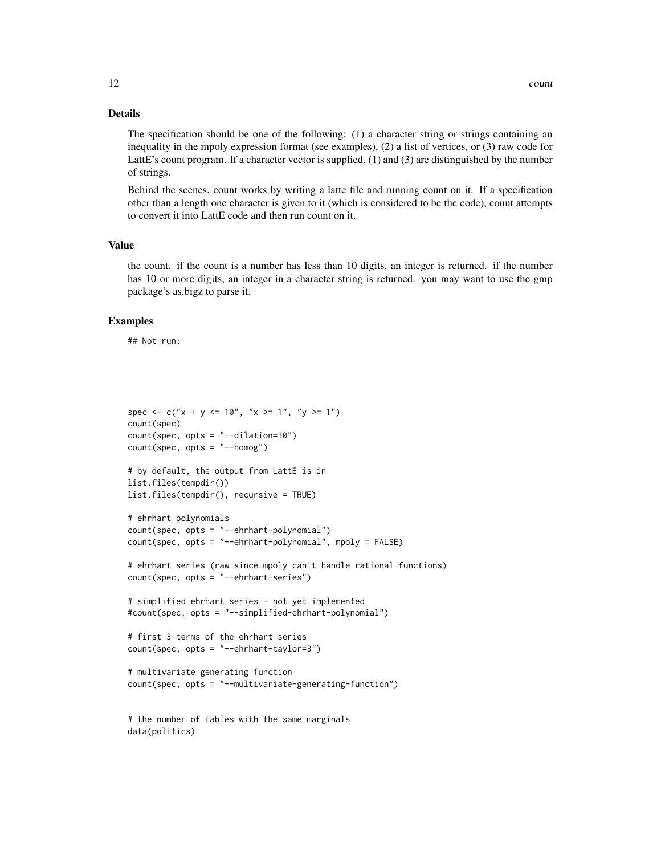## Details

The specification should be one of the following: (1) a character string or strings containing an inequality in the mpoly expression format (see examples), (2) a list of vertices, or (3) raw code for LattE's count program. If a character vector is supplied, (1) and (3) are distinguished by the number of strings.

Behind the scenes, count works by writing a latte file and running count on it. If a specification other than a length one character is given to it (which is considered to be the code), count attempts to convert it into LattE code and then run count on it.

#### Value

the count. if the count is a number has less than 10 digits, an integer is returned. if the number has 10 or more digits, an integer in a character string is returned. you may want to use the gmp package's as.bigz to parse it.

#### Examples

## Not run:

data(politics)

```
spec <- c("x + y <= 10", "x >= 1", "y >= 1")
count(spec)
count(spec, opts = "--dilation=10")
count(spec, opts = "--homog")# by default, the output from LattE is in
list.files(tempdir())
list.files(tempdir(), recursive = TRUE)
# ehrhart polynomials
count(spec, opts = "--ehrhart-polynomial")
count(spec, opts = "--ehrhart-polynomial", mpoly = FALSE)
# ehrhart series (raw since mpoly can't handle rational functions)
count(spec, opts = "--ehrhart-series")
# simplified ehrhart series - not yet implemented
#count(spec, opts = "--simplified-ehrhart-polynomial")
# first 3 terms of the ehrhart series
count(spec, opts = "--ehrhart-taylor=3")
# multivariate generating function
count(spec, opts = "--multivariate-generating-function")
# the number of tables with the same marginals
```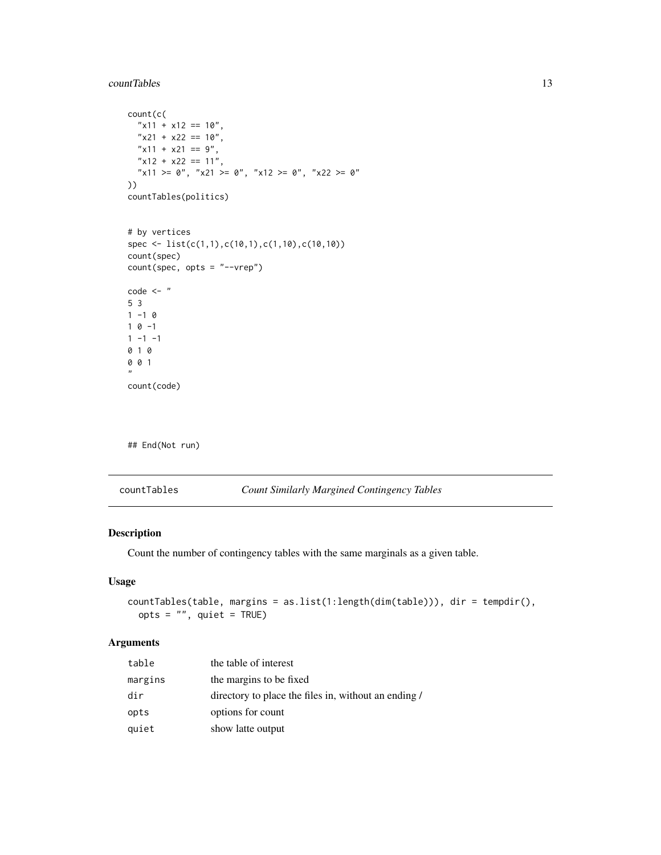#### <span id="page-12-0"></span>countTables 23 and 23 and 23 and 23 and 23 and 23 and 23 and 23 and 23 and 23 and 23 and 23 and 23 and 23 and 23 and 23 and 23 and 23 and 23 and 23 and 23 and 23 and 23 and 23 and 23 and 23 and 23 and 23 and 23 and 23 and

```
count(c(
  "x11 + x12 == 10","x21 + x22 == 10",
  "x11 + x21 == 9","x12 + x22 == 11","x11 >= 0", "x21 >= 0", "x12 >= 0", "x22 >= 0"))
countTables(politics)
# by vertices
spec <- list(c(1,1),c(10,1),c(1,10),c(10,10))
count(spec)
count(spec, opts = "--vrep")
code <- "
5 3
1 - 101 0 -11 - 1 - 10 1 0
0 0 1
^{\prime\prime}count(code)
```
## End(Not run)

| countTables | <b>Count Similarly Margined Contingency Tables</b> |
|-------------|----------------------------------------------------|
|-------------|----------------------------------------------------|

## Description

Count the number of contingency tables with the same marginals as a given table.

## Usage

```
countTables(table, margins = as.list(1:length(dim(table))), dir = tempdir(),
 opts = "", quiet = TRUE)
```
## Arguments

| table   | the table of interest                                |
|---------|------------------------------------------------------|
| margins | the margins to be fixed                              |
| dir     | directory to place the files in, without an ending / |
| opts    | options for count                                    |
| quiet   | show latte output                                    |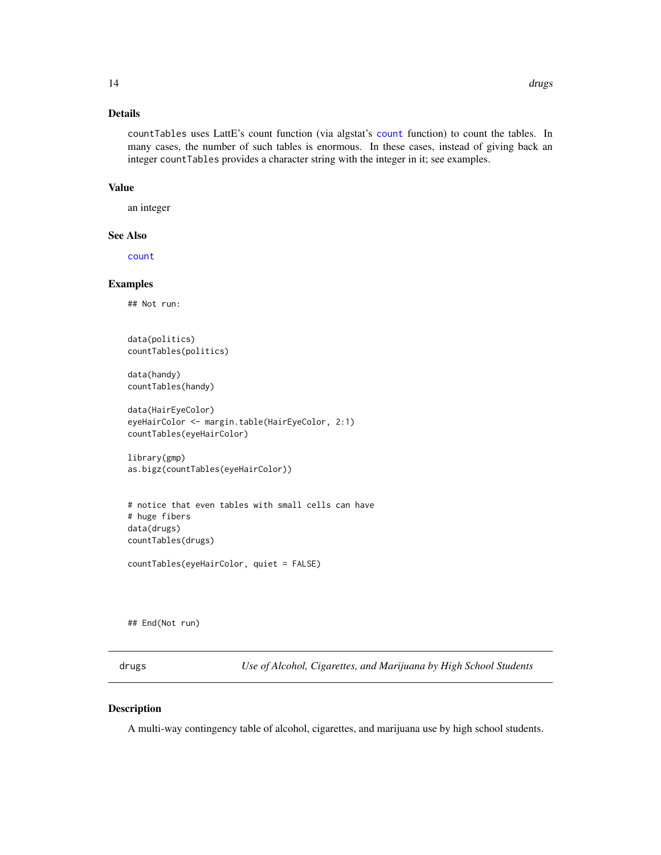#### <span id="page-13-0"></span>Details

countTables uses LattE's count function (via algstat's [count](#page-10-1) function) to count the tables. In many cases, the number of such tables is enormous. In these cases, instead of giving back an integer countTables provides a character string with the integer in it; see examples.

#### Value

an integer

#### See Also

[count](#page-10-1)

## Examples

## Not run:

```
data(politics)
countTables(politics)
```
data(handy) countTables(handy)

```
data(HairEyeColor)
eyeHairColor <- margin.table(HairEyeColor, 2:1)
countTables(eyeHairColor)
```

```
library(gmp)
as.bigz(countTables(eyeHairColor))
```

```
# notice that even tables with small cells can have
# huge fibers
data(drugs)
countTables(drugs)
```

```
countTables(eyeHairColor, quiet = FALSE)
```
## End(Not run)

drugs *Use of Alcohol, Cigarettes, and Marijuana by High School Students*

#### Description

A multi-way contingency table of alcohol, cigarettes, and marijuana use by high school students.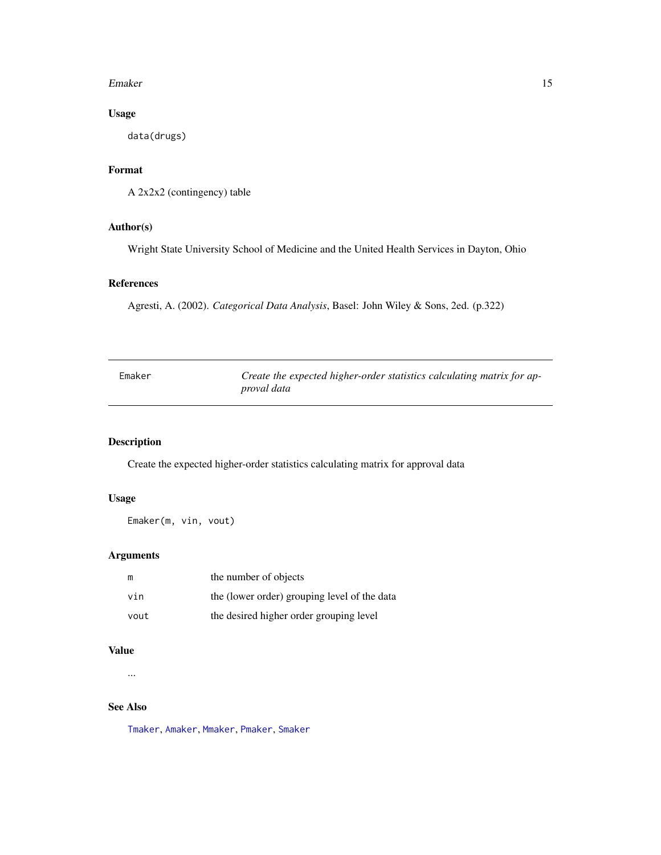#### <span id="page-14-0"></span>Emaker 15

## Usage

data(drugs)

## Format

```
A 2x2x2 (contingency) table
```
## Author(s)

Wright State University School of Medicine and the United Health Services in Dayton, Ohio

## References

Agresti, A. (2002). *Categorical Data Analysis*, Basel: John Wiley & Sons, 2ed. (p.322)

<span id="page-14-1"></span>

| Emaker | Create the expected higher-order statistics calculating matrix for ap- |
|--------|------------------------------------------------------------------------|
|        | proval data                                                            |

## Description

Create the expected higher-order statistics calculating matrix for approval data

## Usage

Emaker(m, vin, vout)

## Arguments

| m    | the number of objects                        |
|------|----------------------------------------------|
| vin  | the (lower order) grouping level of the data |
| vout | the desired higher order grouping level      |

## Value

...

## See Also

[Tmaker](#page-70-1), [Amaker](#page-3-1), [Mmaker](#page-41-1), [Pmaker](#page-43-1), [Smaker](#page-56-1)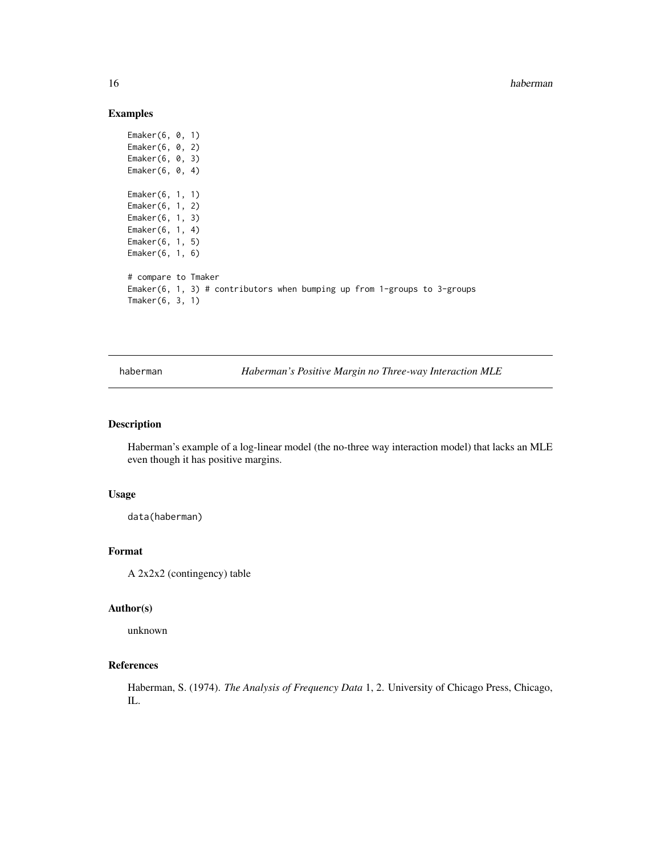## Examples

```
Emaker(6, 0, 1)
Emaker(6, 0, 2)
Emaker(6, 0, 3)
Emaker(6, 0, 4)
Emaker(6, 1, 1)
Emaker(6, 1, 2)
Emaker(6, 1, 3)
Emaker(6, 1, 4)
Emaker(6, 1, 5)
Emaker(6, 1, 6)
# compare to Tmaker
Emaker(6, 1, 3) # contributors when bumping up from 1-groups to 3-groups
Tmaker(6, 3, 1)
```
haberman *Haberman's Positive Margin no Three-way Interaction MLE*

#### Description

Haberman's example of a log-linear model (the no-three way interaction model) that lacks an MLE even though it has positive margins.

## Usage

data(haberman)

## Format

A 2x2x2 (contingency) table

#### Author(s)

unknown

## References

Haberman, S. (1974). *The Analysis of Frequency Data* 1, 2. University of Chicago Press, Chicago, IL.

<span id="page-15-0"></span>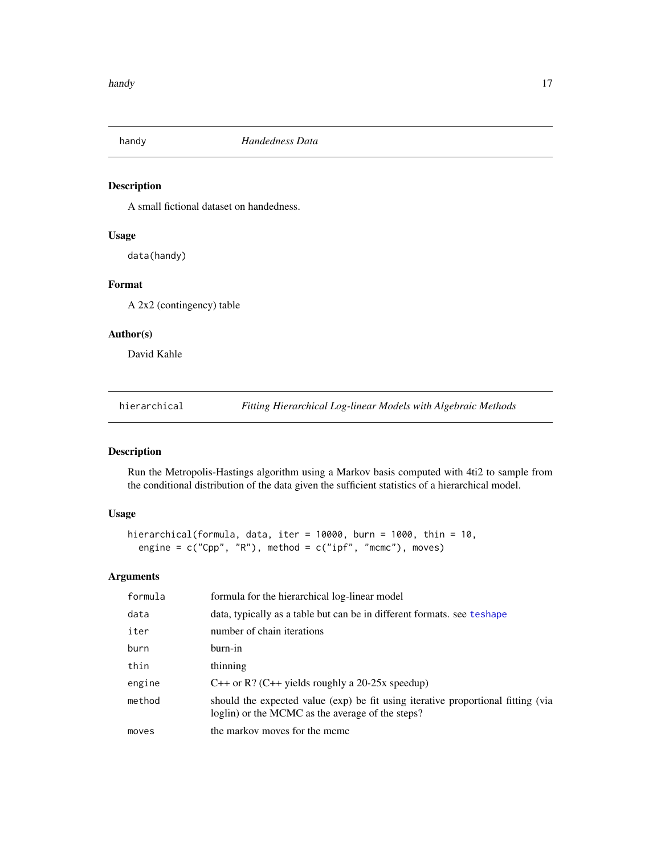<span id="page-16-0"></span>

## Description

A small fictional dataset on handedness.

## Usage

data(handy)

## Format

A 2x2 (contingency) table

## Author(s)

David Kahle

hierarchical *Fitting Hierarchical Log-linear Models with Algebraic Methods*

## Description

Run the Metropolis-Hastings algorithm using a Markov basis computed with 4ti2 to sample from the conditional distribution of the data given the sufficient statistics of a hierarchical model.

## Usage

```
hierarchical(formula, data, iter = 10000, burn = 1000, thin = 10,
 engine = c("Cpp", "R"), method = c("ipf", "mcmc"), moves)
```
## Arguments

| formula | formula for the hierarchical log-linear model                                                                                        |
|---------|--------------------------------------------------------------------------------------------------------------------------------------|
| data    | data, typically as a table but can be in different formats, see teshape                                                              |
| iter    | number of chain iterations                                                                                                           |
| burn    | burn-in                                                                                                                              |
| thin    | thinning                                                                                                                             |
| engine  | C++ or R? (C++ yields roughly a 20-25x speedup)                                                                                      |
| method  | should the expected value (exp) be fit using iterative proportional fitting (via<br>loglin) or the MCMC as the average of the steps? |
| moves   | the markov moves for the meme                                                                                                        |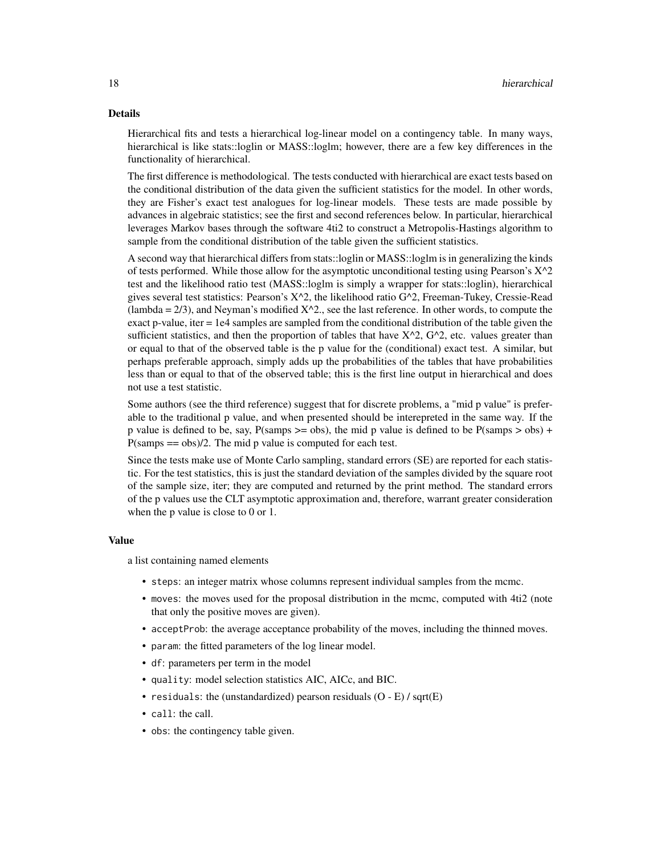#### Details

Hierarchical fits and tests a hierarchical log-linear model on a contingency table. In many ways, hierarchical is like stats::loglin or MASS::loglm; however, there are a few key differences in the functionality of hierarchical.

The first difference is methodological. The tests conducted with hierarchical are exact tests based on the conditional distribution of the data given the sufficient statistics for the model. In other words, they are Fisher's exact test analogues for log-linear models. These tests are made possible by advances in algebraic statistics; see the first and second references below. In particular, hierarchical leverages Markov bases through the software 4ti2 to construct a Metropolis-Hastings algorithm to sample from the conditional distribution of the table given the sufficient statistics.

A second way that hierarchical differs from stats::loglin or MASS::loglm is in generalizing the kinds of tests performed. While those allow for the asymptotic unconditional testing using Pearson's  $X^2$ test and the likelihood ratio test (MASS::loglm is simply a wrapper for stats::loglin), hierarchical gives several test statistics: Pearson's X^2, the likelihood ratio G^2, Freeman-Tukey, Cressie-Read (lambda  $= 2/3$ ), and Neyman's modified  $X^2/2$ , see the last reference. In other words, to compute the exact p-value, iter = 1e4 samples are sampled from the conditional distribution of the table given the sufficient statistics, and then the proportion of tables that have  $X^2$ ,  $G^2$ , etc. values greater than or equal to that of the observed table is the p value for the (conditional) exact test. A similar, but perhaps preferable approach, simply adds up the probabilities of the tables that have probabilities less than or equal to that of the observed table; this is the first line output in hierarchical and does not use a test statistic.

Some authors (see the third reference) suggest that for discrete problems, a "mid p value" is preferable to the traditional p value, and when presented should be interepreted in the same way. If the p value is defined to be, say,  $P(\text{samples} > = \text{obs})$ , the mid p value is defined to be  $P(\text{samples} > \text{obs})$  +  $P(samps == obs)/2$ . The mid p value is computed for each test.

Since the tests make use of Monte Carlo sampling, standard errors (SE) are reported for each statistic. For the test statistics, this is just the standard deviation of the samples divided by the square root of the sample size, iter; they are computed and returned by the print method. The standard errors of the p values use the CLT asymptotic approximation and, therefore, warrant greater consideration when the p value is close to 0 or 1.

#### Value

a list containing named elements

- steps: an integer matrix whose columns represent individual samples from the mcmc.
- moves: the moves used for the proposal distribution in the mcmc, computed with 4ti2 (note that only the positive moves are given).
- acceptProb: the average acceptance probability of the moves, including the thinned moves.
- param: the fitted parameters of the log linear model.
- df: parameters per term in the model
- quality: model selection statistics AIC, AICc, and BIC.
- residuals: the (unstandardized) pearson residuals  $(O E) / \sqrt{g}$ rt $(E)$
- call: the call.
- obs: the contingency table given.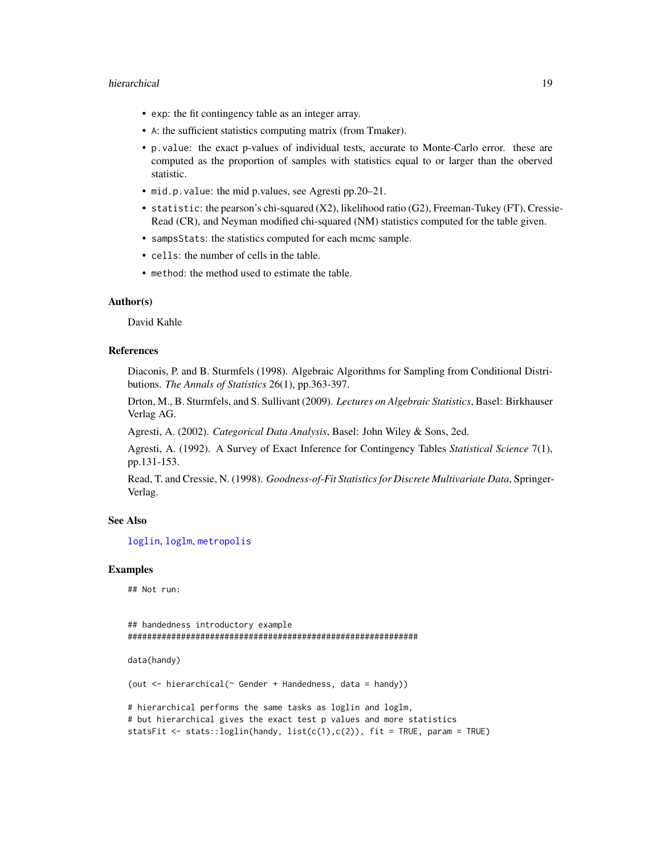#### hierarchical 19

- exp: the fit contingency table as an integer array.
- A: the sufficient statistics computing matrix (from Tmaker).
- p.value: the exact p-values of individual tests, accurate to Monte-Carlo error. these are computed as the proportion of samples with statistics equal to or larger than the oberved statistic.
- mid.p.value: the mid p.values, see Agresti pp.20–21.
- statistic: the pearson's chi-squared (X2), likelihood ratio (G2), Freeman-Tukey (FT), Cressie-Read (CR), and Neyman modified chi-squared (NM) statistics computed for the table given.
- sampsStats: the statistics computed for each mcmc sample.
- cells: the number of cells in the table.
- method: the method used to estimate the table.

#### Author(s)

David Kahle

## References

Diaconis, P. and B. Sturmfels (1998). Algebraic Algorithms for Sampling from Conditional Distributions. *The Annals of Statistics* 26(1), pp.363-397.

Drton, M., B. Sturmfels, and S. Sullivant (2009). *Lectures on Algebraic Statistics*, Basel: Birkhauser Verlag AG.

Agresti, A. (2002). *Categorical Data Analysis*, Basel: John Wiley & Sons, 2ed.

Agresti, A. (1992). A Survey of Exact Inference for Contingency Tables *Statistical Science* 7(1), pp.131-153.

Read, T. and Cressie, N. (1998). *Goodness-of-Fit Statistics for Discrete Multivariate Data*, Springer-Verlag.

#### See Also

[loglin](#page-0-0), [loglm](#page-0-0), [metropolis](#page-39-1)

#### Examples

## Not run:

## handedness introductory example ############################################################

data(handy)

(out <- hierarchical(~ Gender + Handedness, data = handy))

# hierarchical performs the same tasks as loglin and loglm, # but hierarchical gives the exact test p values and more statistics statsFit <- stats::loglin(handy, list(c(1),c(2)), fit = TRUE, param = TRUE)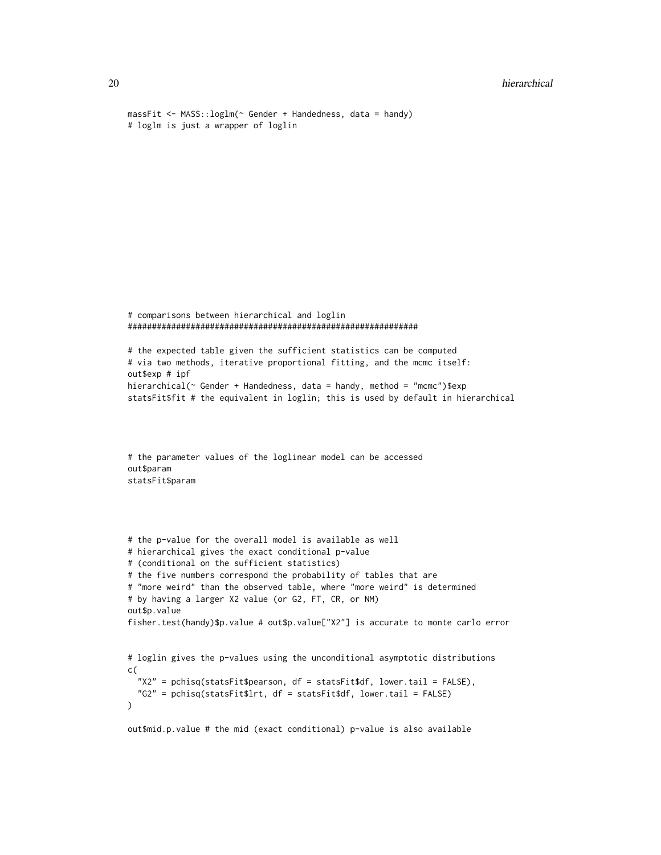```
20 hierarchical
   massFit <- MASS::loglm(~ Gender + Handedness, data = handy)
   # loglm is just a wrapper of loglin
   # comparisons between hierarchical and loglin
   ############################################################
   # the expected table given the sufficient statistics can be computed
   # via two methods, iterative proportional fitting, and the mcmc itself:
   out$exp # ipf
   hierarchical(~ Gender + Handedness, data = handy, method = "mcmc")$exp
   statsFit$fit # the equivalent in loglin; this is used by default in hierarchical
   # the parameter values of the loglinear model can be accessed
   out$param
   statsFit$param
   # the p-value for the overall model is available as well
   # hierarchical gives the exact conditional p-value
   # (conditional on the sufficient statistics)
   # the five numbers correspond the probability of tables that are
   # "more weird" than the observed table, where "more weird" is determined
   # by having a larger X2 value (or G2, FT, CR, or NM)
   out$p.value
   fisher.test(handy)$p.value # out$p.value["X2"] is accurate to monte carlo error
   # loglin gives the p-values using the unconditional asymptotic distributions
   c(
     "X2" = pchisq(statsFit$pearson, df = statsFit$df, lower.tail = FALSE),
     "G2" = pchisq(statsFit$lrt, df = statsFit$df, lower.tail = FALSE)
   \mathcal{L}out$mid.p.value # the mid (exact conditional) p-value is also available
```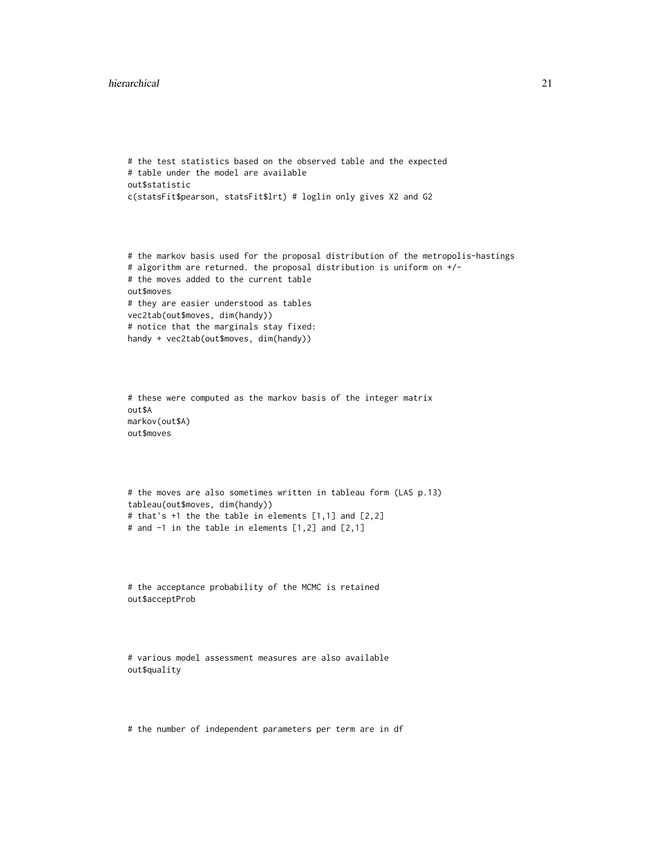#### hierarchical 21

```
# the test statistics based on the observed table and the expected
# table under the model are available
out$statistic
c(statsFit$pearson, statsFit$lrt) # loglin only gives X2 and G2
# the markov basis used for the proposal distribution of the metropolis-hastings
# algorithm are returned. the proposal distribution is uniform on +/-
# the moves added to the current table
out$moves
# they are easier understood as tables
vec2tab(out$moves, dim(handy))
# notice that the marginals stay fixed:
handy + vec2tab(out$moves, dim(handy))
# these were computed as the markov basis of the integer matrix
out$A
markov(out$A)
out$moves
# the moves are also sometimes written in tableau form (LAS p.13)
tableau(out$moves, dim(handy))
# that's +1 the the table in elements [1,1] and [2,2]
# and -1 in the table in elements [1,2] and [2,1]
# the acceptance probability of the MCMC is retained
out$acceptProb
# various model assessment measures are also available
out$quality
# the number of independent parameters per term are in df
```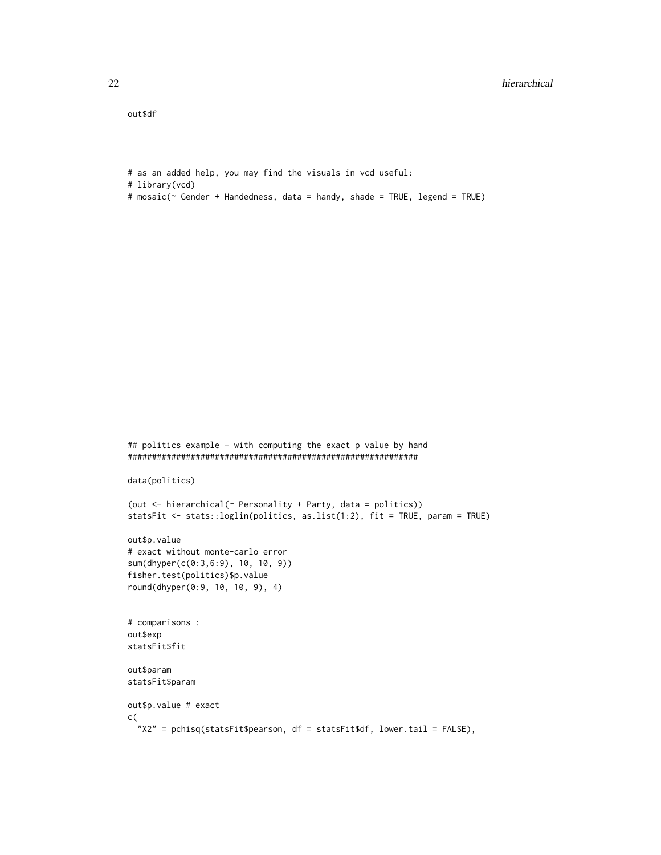out\$df

```
# as an added help, you may find the visuals in vcd useful:
```
- # library(vcd)
- # mosaic(~ Gender + Handedness, data = handy, shade = TRUE, legend = TRUE)

```
## politics example - with computing the exact p value by hand
############################################################
data(politics)
(out <- hierarchical(~ Personality + Party, data = politics))
statsFit <- stats::loglin(politics, as.list(1:2), fit = TRUE, param = TRUE)
out$p.value
# exact without monte-carlo error
sum(dhyper(c(0:3,6:9), 10, 10, 9))
fisher.test(politics)$p.value
round(dhyper(0:9, 10, 10, 9), 4)
# comparisons :
out$exp
statsFit$fit
out$param
statsFit$param
out$p.value # exact
c(
 "X2" = pchisq(statsFit$pearson, df = statsFit$df, lower.tail = FALSE),
```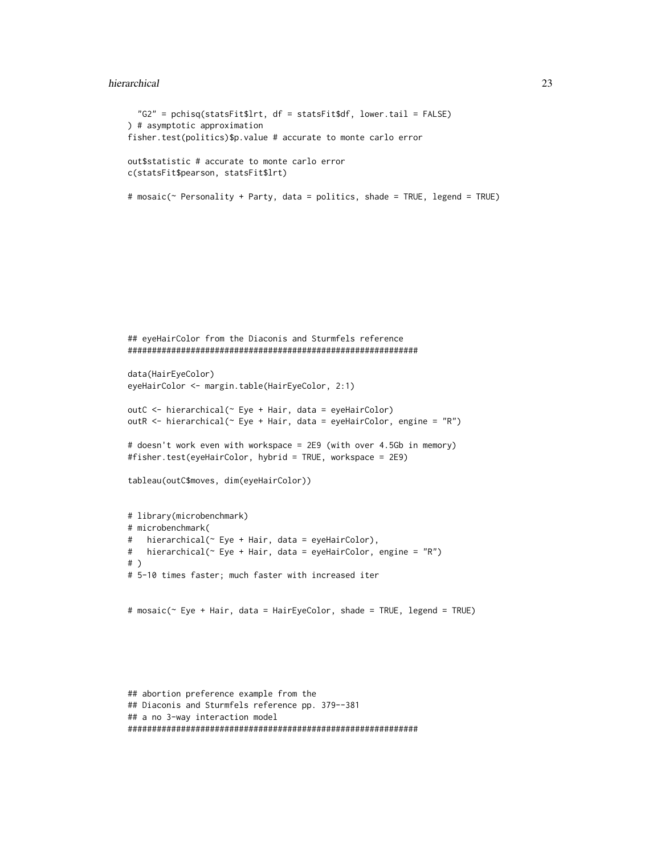#### hierarchical 23

```
"G2" = pchisq(statsFit$lrt, df = statsFit$df, lower.tail = FALSE)
) # asymptotic approximation
fisher.test(politics)$p.value # accurate to monte carlo error
out$statistic # accurate to monte carlo error
c(statsFit$pearson, statsFit$lrt)
# mosaic(~ Personality + Party, data = politics, shade = TRUE, legend = TRUE)
```

```
## eyeHairColor from the Diaconis and Sturmfels reference
############################################################
data(HairEyeColor)
eyeHairColor <- margin.table(HairEyeColor, 2:1)
outC <- hierarchical(~ Eye + Hair, data = eyeHairColor)
outR <- hierarchical(\sim Eye + Hair, data = eyeHairColor, engine = "R")
# doesn't work even with workspace = 2E9 (with over 4.5Gb in memory)
#fisher.test(eyeHairColor, hybrid = TRUE, workspace = 2E9)
tableau(outC$moves, dim(eyeHairColor))
# library(microbenchmark)
# microbenchmark(
# hierarchical(~ Eye + Hair, data = eyeHairColor),
# hierarchical(~ Eye + Hair, data = eyeHairColor, engine = "R")
# )
# 5-10 times faster; much faster with increased iter
# mosaic(~ Eye + Hair, data = HairEyeColor, shade = TRUE, legend = TRUE)
```

```
## abortion preference example from the
## Diaconis and Sturmfels reference pp. 379--381
## a no 3-way interaction model
############################################################
```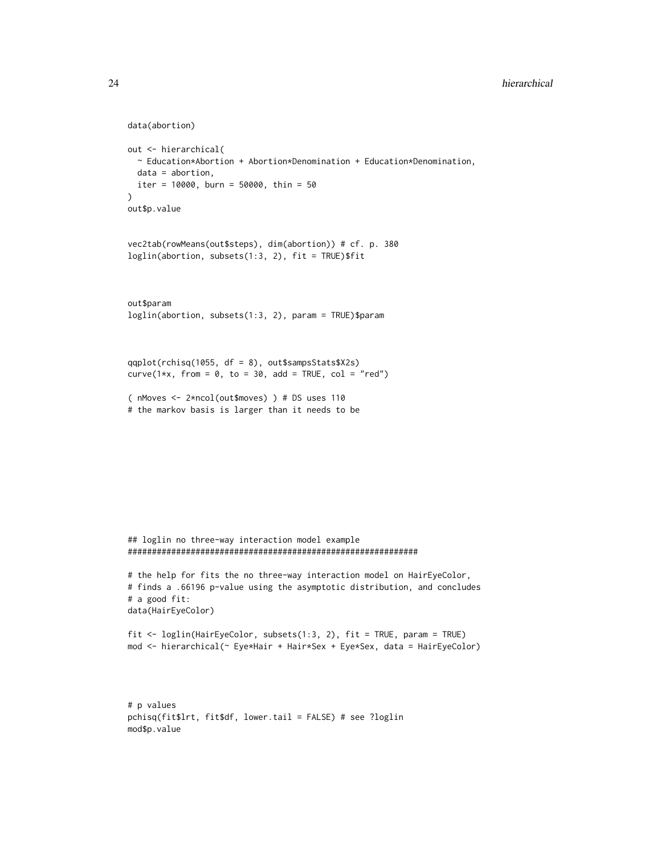```
data(abortion)
out <- hierarchical(
  ~ Education*Abortion + Abortion*Denomination + Education*Denomination,
 data = abortion,
 iter = 10000, burn = 50000, thin = 50
\mathcal{L}out$p.value
vec2tab(rowMeans(out$steps), dim(abortion)) # cf. p. 380
loglin(abortion, subsets(1:3, 2), fit = TRUE)$fit
out$param
loglin(abortion, subsets(1:3, 2), param = TRUE)$param
qqplot(rchisq(1055, df = 8), out$sampsStats$X2s)
curve(1*x, from = 0, to = 30, add = TRUE, col = "red")
( nMoves <- 2*ncol(out$moves) ) # DS uses 110
```
# the markov basis is larger than it needs to be

```
## loglin no three-way interaction model example
############################################################
```

```
# the help for fits the no three-way interaction model on HairEyeColor,
# finds a .66196 p-value using the asymptotic distribution, and concludes
# a good fit:
data(HairEyeColor)
```
fit <- loglin(HairEyeColor, subsets(1:3, 2), fit = TRUE, param = TRUE) mod <- hierarchical(~ Eye\*Hair + Hair\*Sex + Eye\*Sex, data = HairEyeColor)

```
# p values
pchisq(fit$lrt, fit$df, lower.tail = FALSE) # see ?loglin
mod$p.value
```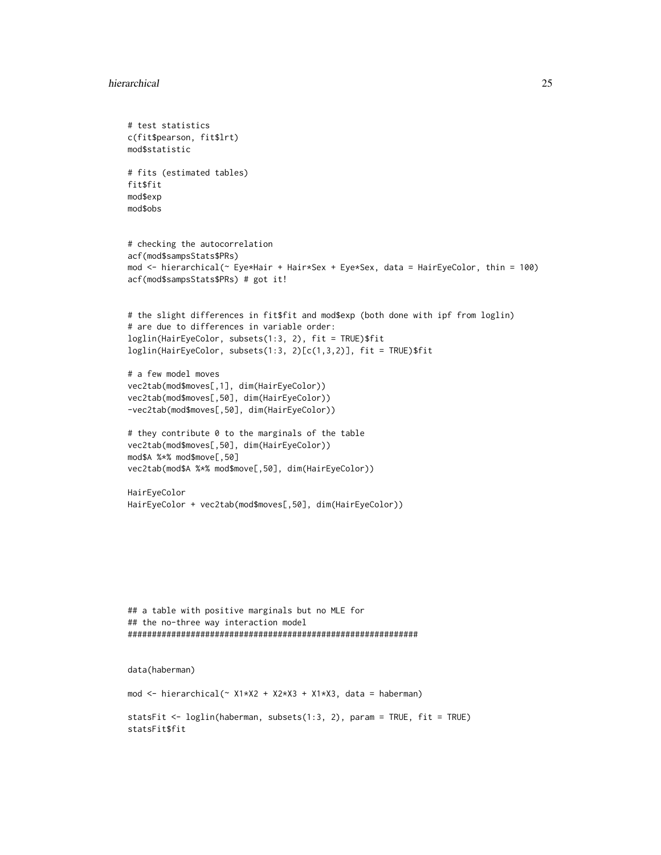#### hierarchical 25

```
# test statistics
c(fit$pearson, fit$lrt)
mod$statistic
# fits (estimated tables)
fit$fit
mod$exp
mod$obs
# checking the autocorrelation
acf(mod$sampsStats$PRs)
mod <- hierarchical(~ Eye*Hair + Hair*Sex + Eye*Sex, data = HairEyeColor, thin = 100)
acf(mod$sampsStats$PRs) # got it!
# the slight differences in fit$fit and mod$exp (both done with ipf from loglin)
# are due to differences in variable order:
loglin(HairEyeColor, subsets(1:3, 2), fit = TRUE)$fit
loglin(HairEyeColor, subsets(1:3, 2)[c(1,3,2)], fit = TRUE)$fit
# a few model moves
vec2tab(mod$moves[,1], dim(HairEyeColor))
vec2tab(mod$moves[,50], dim(HairEyeColor))
-vec2tab(mod$moves[,50], dim(HairEyeColor))
# they contribute 0 to the marginals of the table
vec2tab(mod$moves[,50], dim(HairEyeColor))
mod$A %*% mod$move[,50]
vec2tab(mod$A %*% mod$move[,50], dim(HairEyeColor))
HairEyeColor
HairEyeColor + vec2tab(mod$moves[,50], dim(HairEyeColor))
## a table with positive marginals but no MLE for
## the no-three way interaction model
############################################################
data(haberman)
mod <- hierarchical(\sim X1*X2 + X2*X3 + X1*X3, data = haberman)
statsFit <- loglin(haberman, subsets(1:3, 2), param = TRUE, fit = TRUE)
statsFit$fit
```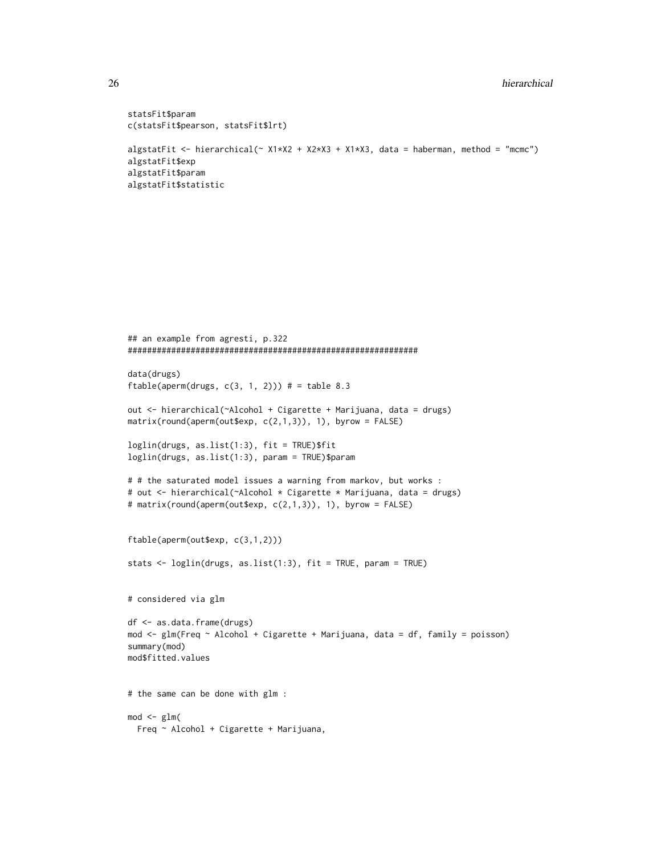```
statsFit$param
c(statsFit$pearson, statsFit$lrt)
algstatFit <- hierarchical(~ X1*X2 + X2*X3 + X1*X3, data = haberman, method = "mcmc")
algstatFit$exp
algstatFit$param
algstatFit$statistic
```

```
## an example from agresti, p.322
############################################################
data(drugs)
ftable(aperm(drugs, c(3, 1, 2))) # = table 8.3
out <- hierarchical(~Alcohol + Cigarette + Marijuana, data = drugs)
matrix(round(aperm(out$exp, c(2,1,3)), 1), byrow = FALSE)loglin(drugs, as.list(1:3), fit = TRUE)$fit
loglin(drugs, as.list(1:3), param = TRUE)$param
# # the saturated model issues a warning from markov, but works :
# out <- hierarchical(~Alcohol * Cigarette * Marijuana, data = drugs)
# matrix(round(aperm(out$exp, c(2,1,3)), 1), byrow = FALSE)
ftable(aperm(out$exp, c(3,1,2)))
stats <- loglin(drugs, as.list(1:3), fit = TRUE, param = TRUE)
# considered via glm
df <- as.data.frame(drugs)
mod <- glm(Freq ~ Alcohol + Cigarette + Marijuana, data = df, family = poisson)
summary(mod)
mod$fitted.values
# the same can be done with glm :
mod < -glm(Freq ~ Alcohol + Cigarette + Marijuana,
```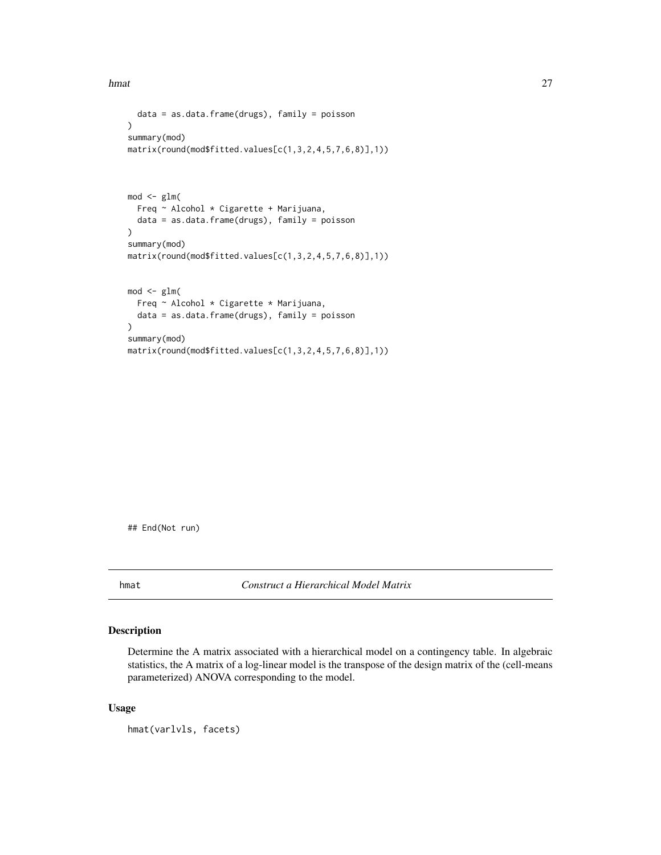```
data = as.data.frame(drugs), family = poisson
\mathcal{L}summary(mod)
matrix(round(mod$fitted.values[c(1,3,2,4,5,7,6,8)],1))
mod < -glm(Freq ~ Alcohol * Cigarette + Marijuana,
  data = as.data.frame(drugs), family = poisson
)
summary(mod)
matrix(round(mod$fitted.values[c(1,3,2,4,5,7,6,8)],1))
mod < -glm(Freq ~ Alcohol * Cigarette * Marijuana,
  data = as.data.frame(drugs), family = poisson
)
summary(mod)
matrix(round(mod$fitted.values[c(1,3,2,4,5,7,6,8)],1))
```
## End(Not run)

hmat *Construct a Hierarchical Model Matrix*

## Description

Determine the A matrix associated with a hierarchical model on a contingency table. In algebraic statistics, the A matrix of a log-linear model is the transpose of the design matrix of the (cell-means parameterized) ANOVA corresponding to the model.

## Usage

hmat(varlvls, facets)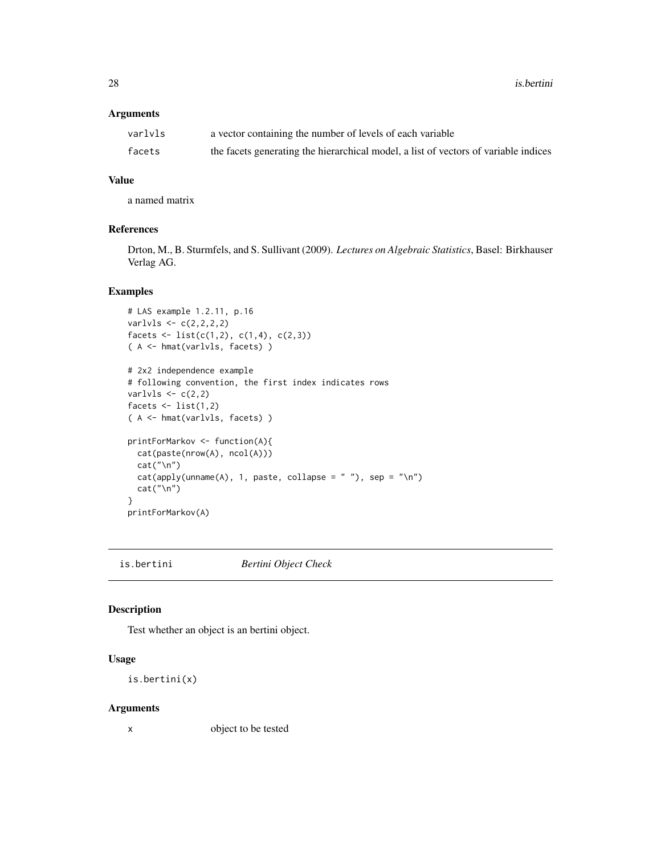## <span id="page-27-0"></span>Arguments

| varlvls | a vector containing the number of levels of each variable                           |
|---------|-------------------------------------------------------------------------------------|
| facets  | the facets generating the hierarchical model, a list of vectors of variable indices |

## Value

a named matrix

## References

Drton, M., B. Sturmfels, and S. Sullivant (2009). *Lectures on Algebraic Statistics*, Basel: Birkhauser Verlag AG.

## Examples

```
# LAS example 1.2.11, p.16
varlvls < -c(2,2,2,2)facets \le list(c(1,2), c(1,4), c(2,3))
( A <- hmat(varlvls, facets) )
# 2x2 independence example
# following convention, the first index indicates rows
varlvls \leftarrow c(2,2)
facets \le list(1,2)( A <- hmat(varlvls, facets) )
printForMarkov <- function(A){
  cat(paste(nrow(A), ncol(A)))
  cat("\n'\)cat(\text{apply}(\text{unname}(A), 1, \text{ paste}, \text{collapse} = " "), \text{ sep} = " \n\wedge \n\wedge")cat("\n'\)}
printForMarkov(A)
```
is.bertini *Bertini Object Check*

## Description

Test whether an object is an bertini object.

### Usage

```
is.bertini(x)
```
#### Arguments

x object to be tested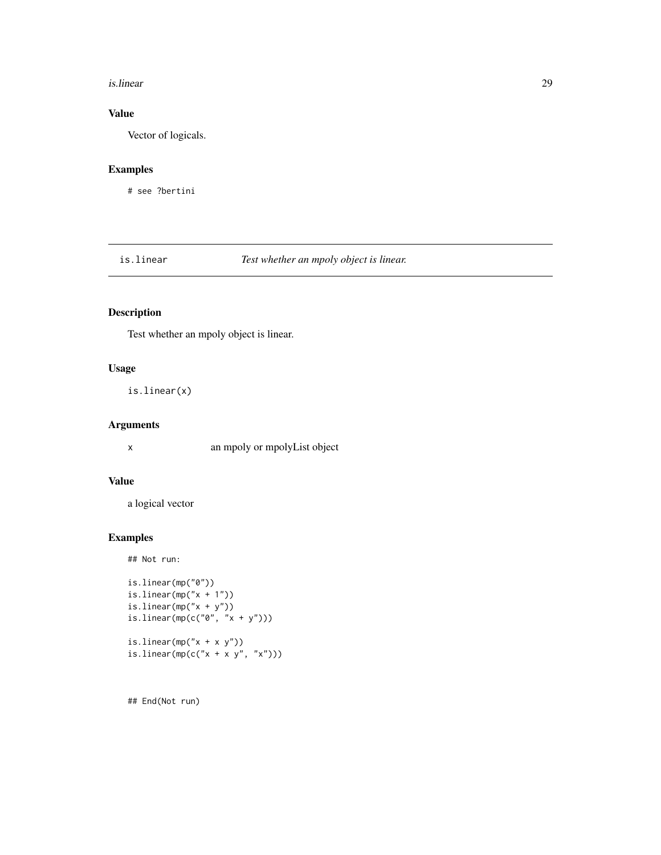#### <span id="page-28-0"></span>is.linear 29

## Value

Vector of logicals.

## Examples

# see ?bertini

is.linear *Test whether an mpoly object is linear.*

## Description

Test whether an mpoly object is linear.

## Usage

is.linear(x)

## Arguments

x an mpoly or mpolyList object

## Value

a logical vector

#### Examples

## Not run:

```
is.linear(mp("0"))
is.linear(mp("x + 1"))
is.linear(mp("x + y"))
is.linear(mp(c("0", "x + y")))
is.linear(mp("x + x y"))
is.linear(mp(c("x + x y", "x")))
```
## End(Not run)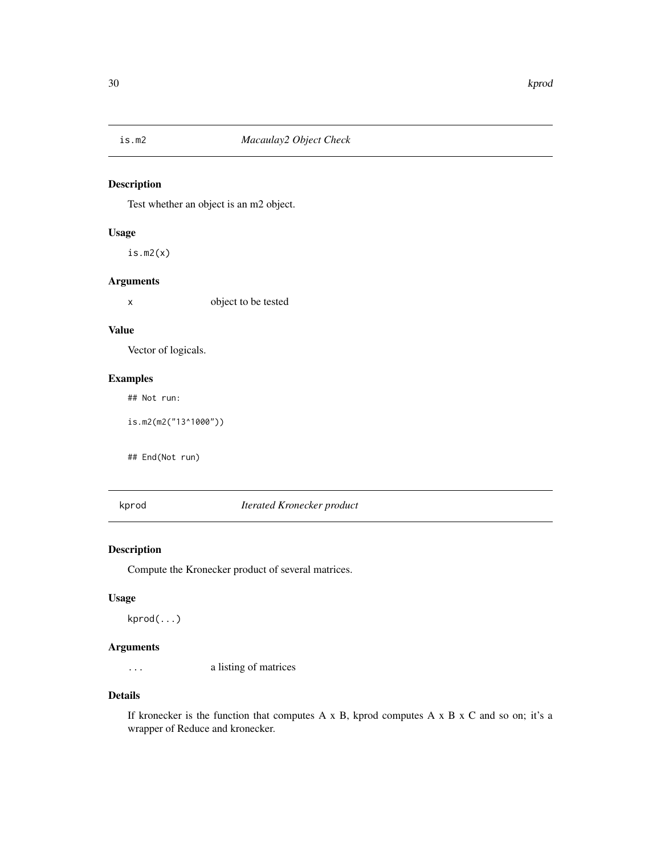<span id="page-29-0"></span>

## Description

Test whether an object is an m2 object.

#### Usage

is.m2(x)

#### Arguments

x object to be tested

#### Value

Vector of logicals.

## Examples

## Not run:

is.m2(m2("13^1000"))

## End(Not run)

kprod *Iterated Kronecker product*

## Description

Compute the Kronecker product of several matrices.

#### Usage

kprod(...)

## Arguments

... a listing of matrices

## Details

If kronecker is the function that computes A x B, kprod computes A x B x C and so on; it's a wrapper of Reduce and kronecker.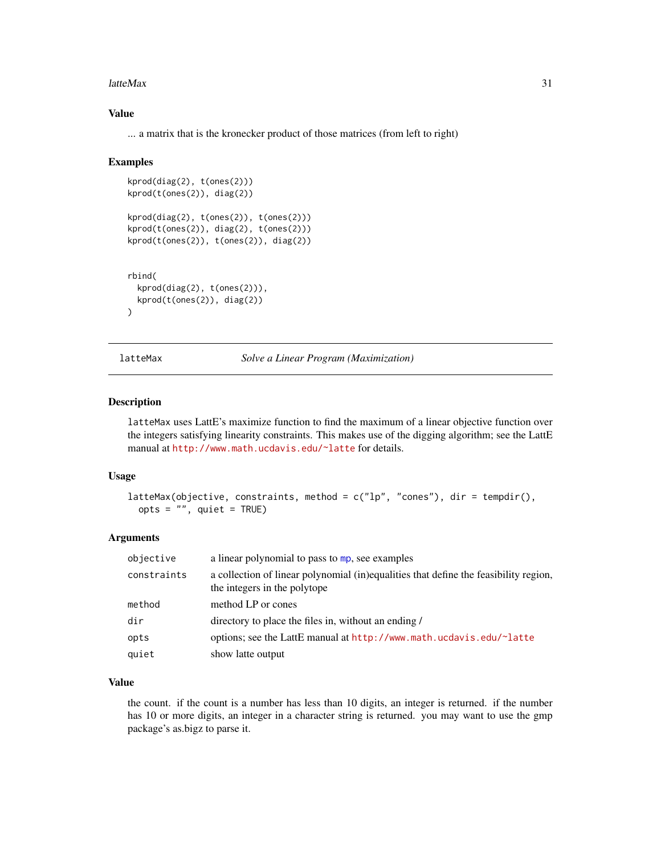#### <span id="page-30-0"></span>latteMax 31

## Value

... a matrix that is the kronecker product of those matrices (from left to right)

#### Examples

```
kprod(diag(2), t(ones(2)))
kprod(t(ones(2)), diag(2))
kprod(diag(2), t(ones(2)), t(ones(2)))
kprod(t(ones(2)), diag(2), t(ones(2)))
kprod(t(ones(2)), t(ones(2)), diag(2))
rbind(
 kprod(diag(2), t(ones(2))),
 kprod(t(ones(2)), diag(2))
\mathcal{L}
```
latteMax *Solve a Linear Program (Maximization)*

#### Description

latteMax uses LattE's maximize function to find the maximum of a linear objective function over the integers satisfying linearity constraints. This makes use of the digging algorithm; see the LattE manual at <http://www.math.ucdavis.edu/~latte> for details.

#### Usage

```
latteMax(objective, constraints, method = c("lp", "cones"), dir = tempdir(),
 opts = "", quiet = TRUE)
```
#### Arguments

| objective   | a linear polynomial to pass to mp, see examples                                                                      |
|-------------|----------------------------------------------------------------------------------------------------------------------|
| constraints | a collection of linear polynomial (in)equalities that define the feasibility region,<br>the integers in the polytope |
| method      | method LP or cones                                                                                                   |
| dir         | directory to place the files in, without an ending /                                                                 |
| opts        | options; see the LattE manual at http://www.math.ucdavis.edu/~latte                                                  |
| quiet       | show latte output                                                                                                    |

## Value

the count. if the count is a number has less than 10 digits, an integer is returned. if the number has 10 or more digits, an integer in a character string is returned. you may want to use the gmp package's as.bigz to parse it.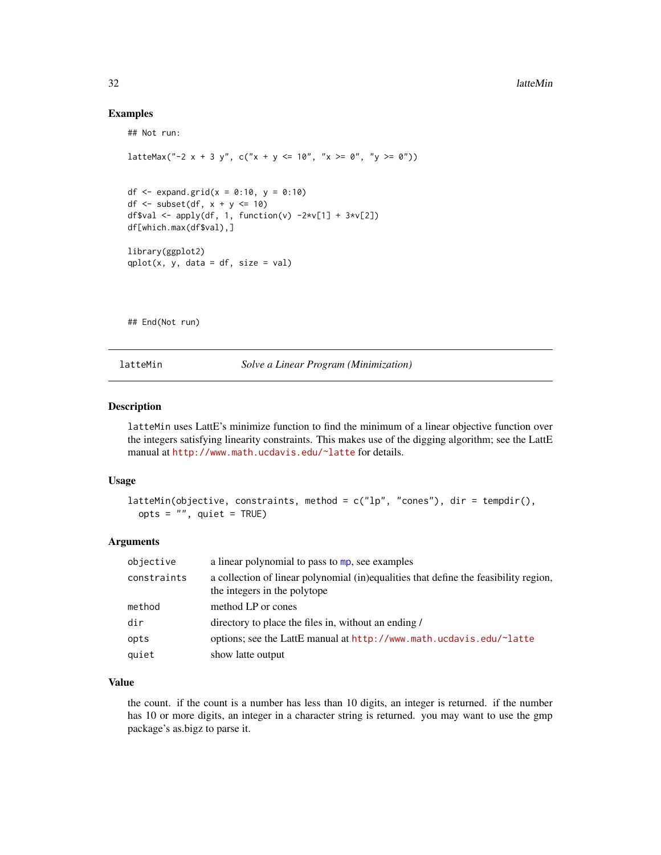#### Examples

## Not run:

```
latteMax("-2 x + 3 y", c("x + y <= 10", "x >= 0", "y >= 0"))
df <- expand.grid(x = 0:10, y = 0:10)
df \le subset(df, x + y \le 10)
df$val <- apply(df, 1, function(v) -2*v[1] + 3*v[2])
df[which.max(df$val),]
library(ggplot2)
qplot(x, y, data = df, size = val)
```
## End(Not run)

latteMin *Solve a Linear Program (Minimization)*

#### Description

latteMin uses LattE's minimize function to find the minimum of a linear objective function over the integers satisfying linearity constraints. This makes use of the digging algorithm; see the LattE manual at <http://www.math.ucdavis.edu/~latte> for details.

#### Usage

```
latteMin(objective, constraints, method = c("lp", "cones"), dir = tempdir(),opts = "", quiet = TRUE)
```
#### Arguments

| objective   | a linear polynomial to pass to mp, see examples                                                                      |
|-------------|----------------------------------------------------------------------------------------------------------------------|
| constraints | a collection of linear polynomial (in)equalities that define the feasibility region,<br>the integers in the polytope |
| method      | method LP or cones                                                                                                   |
| dir         | directory to place the files in, without an ending /                                                                 |
| opts        | options; see the LattE manual at http://www.math.ucdavis.edu/~latte                                                  |
| quiet       | show latte output                                                                                                    |

## Value

the count. if the count is a number has less than 10 digits, an integer is returned. if the number has 10 or more digits, an integer in a character string is returned. you may want to use the gmp package's as.bigz to parse it.

<span id="page-31-0"></span>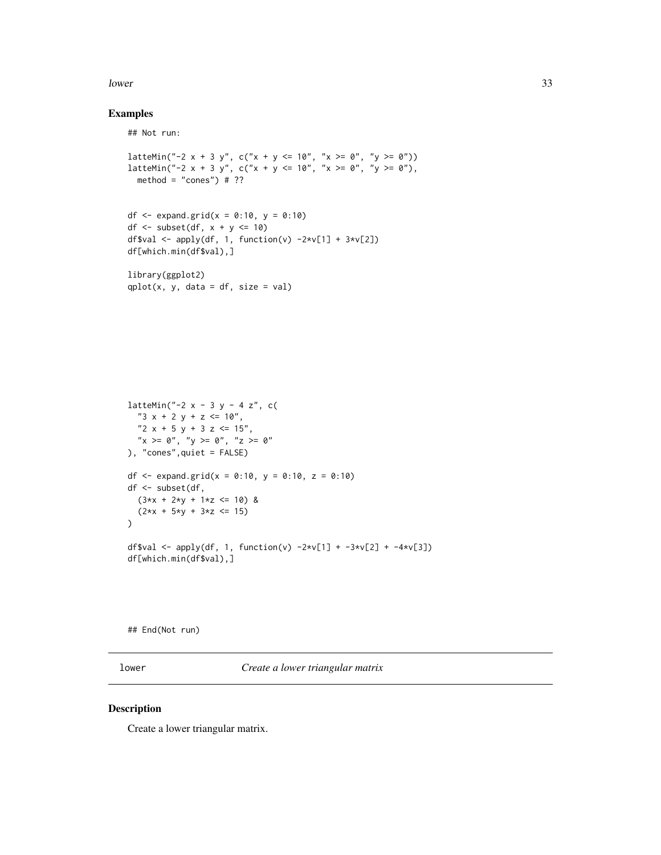#### <span id="page-32-0"></span>lower 33

## Examples

## Not run:

```
latteMin("-2 x + 3 y", c("x + y <= 10", "x >= 0", "y >= 0"))
latteMin("-2 x + 3 y", c("x + y <= 10", "x >= 0", "y >= 0"),
 method = "cones") # ??
df <- expand.grid(x = 0:10, y = 0:10)
df \le subset(df, x + y \le 10)
df$val <- apply(df, 1, function(v) -2*v[1] + 3*v[2])df[which.min(df$val),]
library(ggplot2)
qplot(x, y, data = df, size = val)latteMin("-2 x - 3 y - 4 z", c(
  "3 x + 2 y + z \le 10",
  "2 x + 5 y + 3 z \le 15",
  "x \ge 0", "y \ge 0", "z \ge 0"
), "cones",quiet = FALSE)
df <- expand.grid(x = 0:10, y = 0:10, z = 0:10)
df <- subset(df,
  (3*x + 2*y + 1*z \le 10) &
  (2*x + 5*y + 3*z \le 15)\lambdadf$val <- apply(df, 1, function(v) -2*v[1] + -3*v[2] + -4*v[3])
df[which.min(df$val),]
```
## End(Not run)

lower *Create a lower triangular matrix*

#### Description

Create a lower triangular matrix.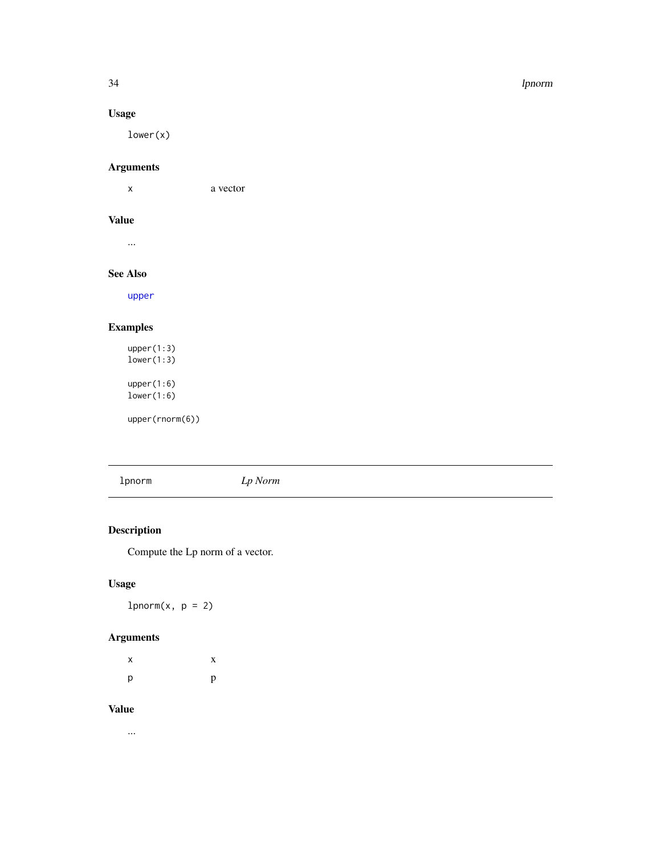#### <span id="page-33-0"></span>34 lpnorm

## Usage

lower(x)

## Arguments

x a vector

## Value

...

## See Also

[upper](#page-73-1)

## Examples

upper(1:3) lower(1:3) upper(1:6) lower(1:6)

upper(rnorm(6))

lpnorm *Lp Norm*

## Description

Compute the Lp norm of a vector.

## Usage

 $1$ pnorm $(x, p = 2)$ 

## Arguments

| х | X |
|---|---|
| р | p |

#### Value

...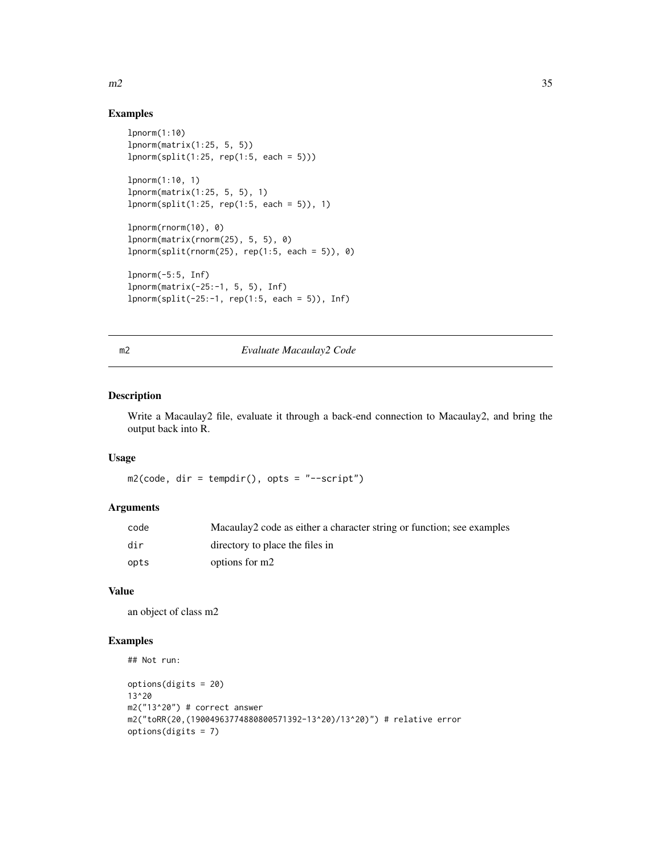#### Examples

```
lpnorm(1:10)
lpnorm(matrix(1:25, 5, 5))
1pnorm(split(1:25, rep(1:5, each = 5)))
lpnorm(1:10, 1)
lpnorm(matrix(1:25, 5, 5), 1)
1pnorm(split(1:25, rep(1:5, each = 5)), 1)
lpnorm(rnorm(10), 0)
lpnorm(matrix(rnorm(25), 5, 5), 0)
lpnorm(split(rnorm(25), rep(1:5, each = 5)), 0)
lpnorm(-5:5, Inf)
lpnorm(matrix(-25:-1, 5, 5), Inf)
lpnorm(split(-25:-1, rep(1:5, each = 5)), Inf)
```
## m2 *Evaluate Macaulay2 Code*

#### Description

Write a Macaulay2 file, evaluate it through a back-end connection to Macaulay2, and bring the output back into R.

#### Usage

 $m2$ (code, dir = tempdir(), opts = "--script")

#### Arguments

| code | Macaulay2 code as either a character string or function; see examples |
|------|-----------------------------------------------------------------------|
| dir  | directory to place the files in                                       |
| opts | options for m2                                                        |

#### Value

an object of class m2

## Examples

```
## Not run:
```

```
options(digits = 20)
13^20
m2("13^20") # correct answer
m2("toRR(20,(19004963774880800571392-13^20)/13^20)") # relative error
options(digits = 7)
```
<span id="page-34-0"></span> $m2$  35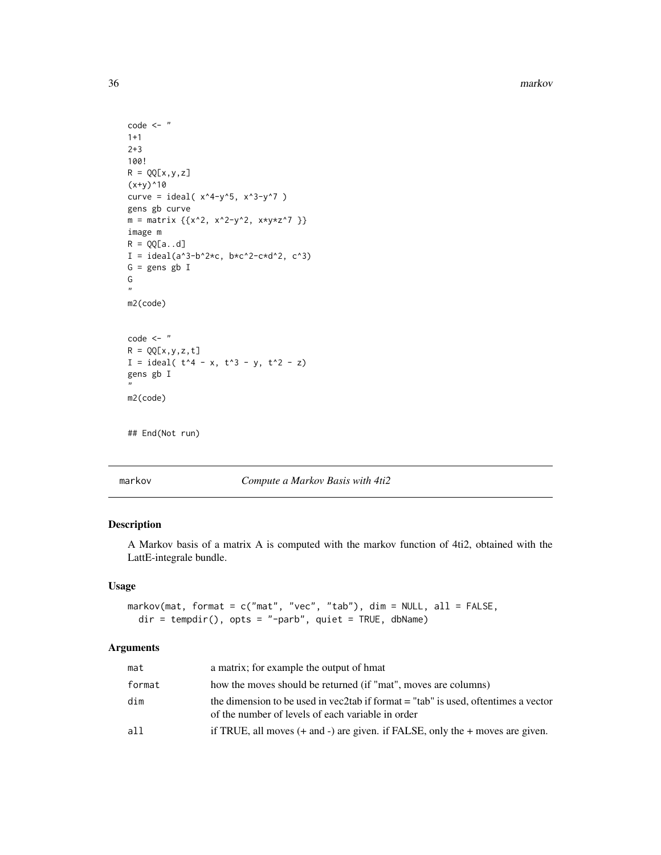<span id="page-35-0"></span>36 markov

```
code <- "
1+1
2+3
100!
R = QQ[X, y, z](x+y)^{10}curve = ideal(x^4-y^5, x^3-y^7)
gens gb curve
m = matrix \{ {x^2, x^2-y^2, x*y*z^7} \}image m
R = QQ[a..d]I = ideal(a^3-b^2*c, b*c^2-c*d^2, c^3)
G = gens gb I
G
"
m2(code)
code < - "
R = QQ[x, y, z, t]I = ideal(t^4 - x, t^3 - y, t^2 - z)gens gb I
"
m2(code)
## End(Not run)
```
markov *Compute a Markov Basis with 4ti2*

## Description

A Markov basis of a matrix A is computed with the markov function of 4ti2, obtained with the LattE-integrale bundle.

#### Usage

```
markov(mat, format = c("mat", "vec", "tab"), dim = NULL, all = FALSE,
 dir = tempdir(), opts = "-parb", quiet = TRUE, dbName)
```
## Arguments

| mat    | a matrix; for example the output of hmat                                                                                                  |
|--------|-------------------------------------------------------------------------------------------------------------------------------------------|
| format | how the moves should be returned (if "mat", moves are columns)                                                                            |
| dim    | the dimension to be used in vec2tab if format $=$ "tab" is used, oftentimes a vector<br>of the number of levels of each variable in order |
| a11    | if TRUE, all moves $(+$ and $-)$ are given. if FALSE, only the $+$ moves are given.                                                       |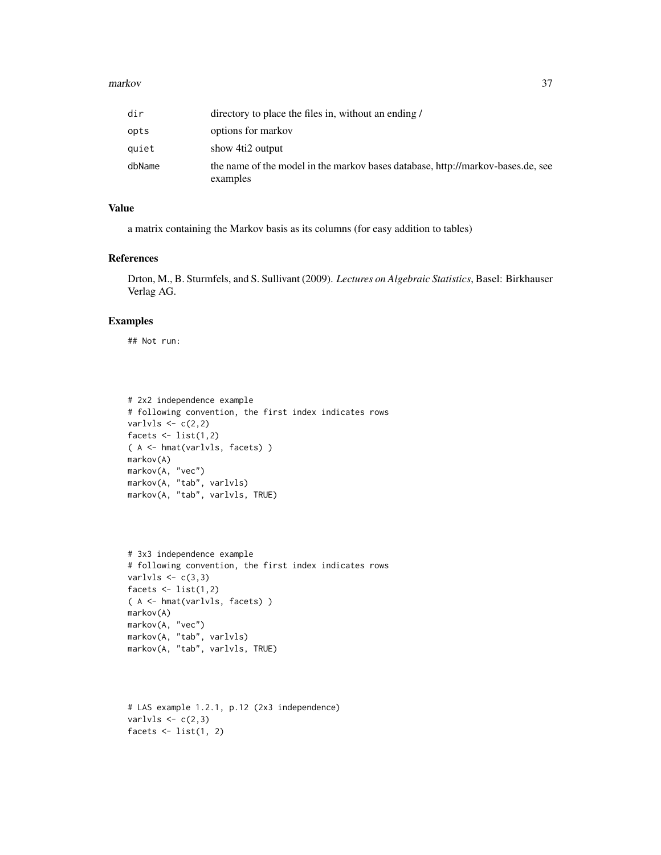#### markov 37

| dir    | directory to place the files in, without an ending /                                        |
|--------|---------------------------------------------------------------------------------------------|
| opts   | options for markov                                                                          |
| auiet  | show 4ti2 output                                                                            |
| dbName | the name of the model in the markov bases database, http://markov-bases.de, see<br>examples |

## Value

a matrix containing the Markov basis as its columns (for easy addition to tables)

### References

Drton, M., B. Sturmfels, and S. Sullivant (2009). *Lectures on Algebraic Statistics*, Basel: Birkhauser Verlag AG.

#### Examples

## Not run:

```
# 2x2 independence example
# following convention, the first index indicates rows
varlvls \leftarrow c(2,2)facets \le list(1,2)( A <- hmat(varlvls, facets) )
markov(A)
markov(A, "vec")
markov(A, "tab", varlvls)
markov(A, "tab", varlvls, TRUE)
```

```
# 3x3 independence example
# following convention, the first index indicates rows
varlvls \leftarrow c(3,3)facets \le list(1,2)( A <- hmat(varlvls, facets) )
markov(A)
markov(A, "vec")
markov(A, "tab", varlvls)
markov(A, "tab", varlvls, TRUE)
```

```
# LAS example 1.2.1, p.12 (2x3 independence)
varlvls \leftarrow c(2,3)facets \le list(1, 2)
```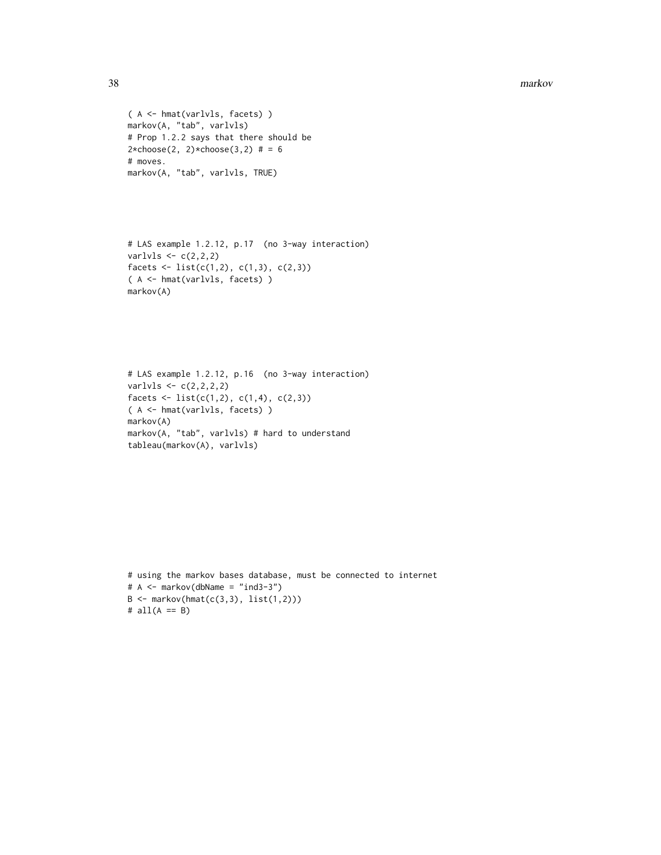```
( A <- hmat(varlvls, facets) )
markov(A, "tab", varlvls)
# Prop 1.2.2 says that there should be
2 * choose(2, 2) * choose(3, 2) # = 6# moves.
markov(A, "tab", varlvls, TRUE)
```

```
# LAS example 1.2.12, p.17 (no 3-way interaction)
varlvls \leftarrow c(2,2,2)
facets \le list(c(1,2), c(1,3), c(2,3))
( A <- hmat(varlvls, facets) )
markov(A)
```

```
# LAS example 1.2.12, p.16 (no 3-way interaction)
varlvls <- c(2,2,2,2)
facets \le list(c(1,2), c(1,4), c(2,3))
( A <- hmat(varlvls, facets) )
markov(A)
markov(A, "tab", varlvls) # hard to understand
tableau(markov(A), varlvls)
```

```
# using the markov bases database, must be connected to internet
# A <- markov(dbName = "ind3-3")
B \leftarrow markov(hmat(c(3,3), list(1,2)))
# all(A == B)
```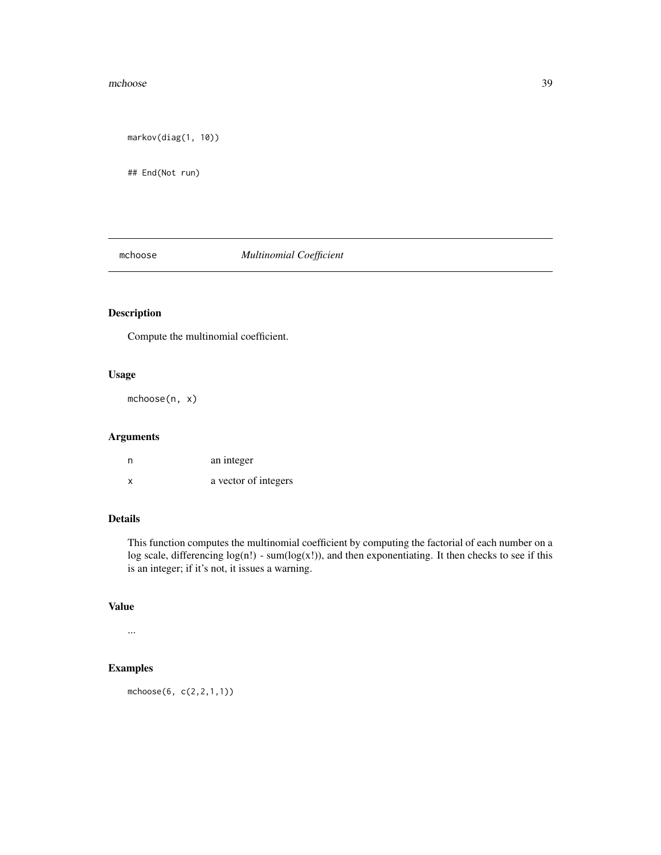#### mchoose 39

markov(diag(1, 10))

## End(Not run)

## mchoose *Multinomial Coefficient*

# Description

Compute the multinomial coefficient.

# Usage

mchoose(n, x)

## Arguments

| n | an integer           |
|---|----------------------|
| X | a vector of integers |

### Details

This function computes the multinomial coefficient by computing the factorial of each number on a log scale, differencing  $log(n!)$  - sum( $log(x!)$ ), and then exponentiating. It then checks to see if this is an integer; if it's not, it issues a warning.

# Value

...

## Examples

mchoose(6, c(2,2,1,1))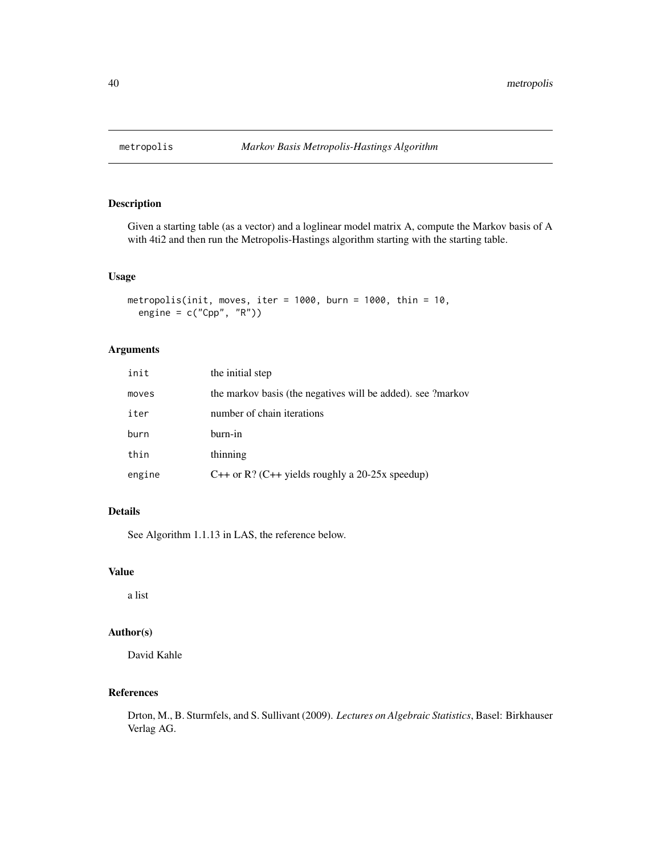### Description

Given a starting table (as a vector) and a loglinear model matrix A, compute the Markov basis of A with 4ti2 and then run the Metropolis-Hastings algorithm starting with the starting table.

#### Usage

```
metropolis(init, moves, iter = 1000, burn = 1000, thin = 10,
  engine = c("Cpp", "R"))
```
## Arguments

| init   | the initial step                                            |
|--------|-------------------------------------------------------------|
| moves  | the markov basis (the negatives will be added). see ?markov |
| iter   | number of chain iterations                                  |
| burn   | burn-in                                                     |
| thin   | thinning                                                    |
| engine | C++ or R? (C++ yields roughly a 20-25x speedup)             |

# Details

See Algorithm 1.1.13 in LAS, the reference below.

#### Value

a list

### Author(s)

David Kahle

#### References

Drton, M., B. Sturmfels, and S. Sullivant (2009). *Lectures on Algebraic Statistics*, Basel: Birkhauser Verlag AG.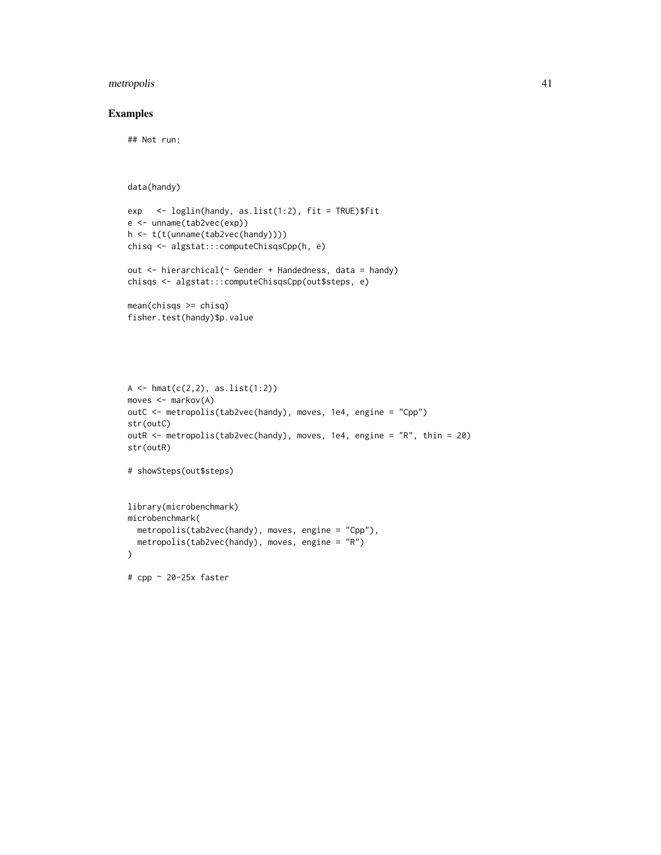## metropolis 41

### Examples

## Not run:

```
data(handy)
```

```
exp <- loglin(handy, as.list(1:2), fit = TRUE)$fit
e <- unname(tab2vec(exp))
h <- t(t(unname(tab2vec(handy))))
chisq <- algstat:::computeChisqsCpp(h, e)
```

```
out <- hierarchical(~ Gender + Handedness, data = handy)
chisqs <- algstat:::computeChisqsCpp(out$steps, e)
```

```
mean(chisqs \geq chisq)fisher.test(handy)$p.value
```

```
A \leftarrow hmat(c(2,2), as.list(1:2))
moves <- markov(A)
outC <- metropolis(tab2vec(handy), moves, 1e4, engine = "Cpp")
str(outC)
outR <- metropolis(tab2vec(handy), moves, 1e4, engine = "R", thin = 20)
str(outR)
```

```
# showSteps(out$steps)
```

```
library(microbenchmark)
microbenchmark(
  metropolis(tab2vec(handy), moves, engine = "Cpp"),
 metropolis(tab2vec(handy), moves, engine = "R")
)
```
# cpp ~ 20-25x faster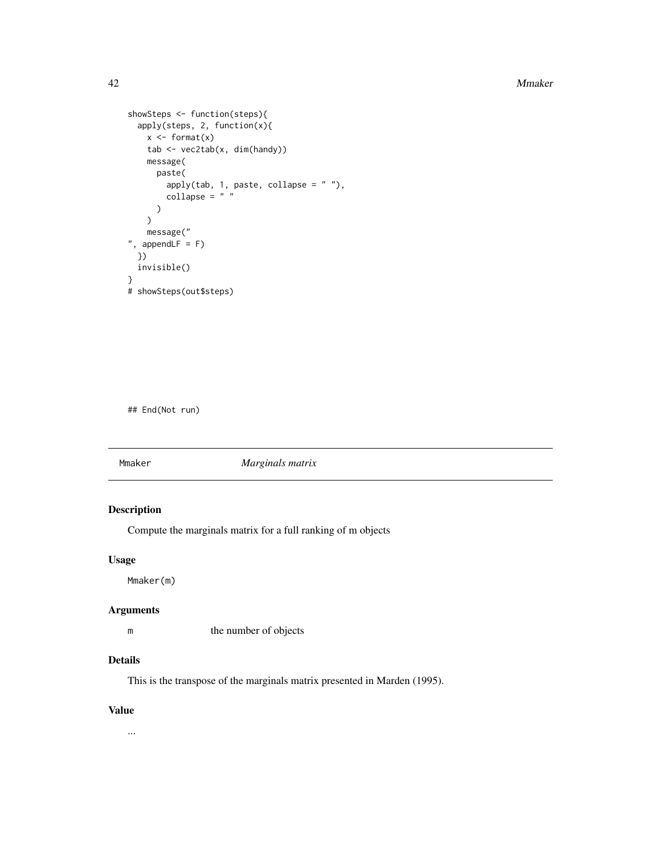```
showSteps <- function(steps){
  apply(steps, 2, function(x){
    x \leftarrow format(x)tab <- vec2tab(x, dim(handy))
    message(
      paste(
         apply(tab, 1, paste, collapse = " "),
         \text{collapse} = " "\mathcal{L}\lambdamessage("
", appendLF = F)
  })
  invisible()
}
# showSteps(out$steps)
```
## End(Not run)

<span id="page-41-0"></span>Mmaker *Marginals matrix*

# Description

Compute the marginals matrix for a full ranking of m objects

#### Usage

Mmaker(m)

#### Arguments

m the number of objects

## Details

This is the transpose of the marginals matrix presented in Marden (1995).

### Value

...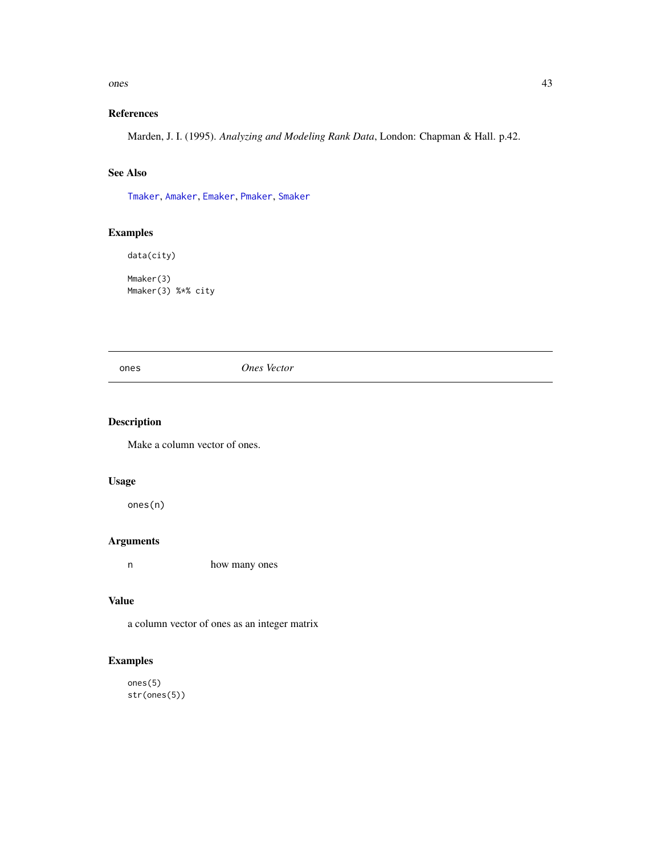#### ones 43

# References

Marden, J. I. (1995). *Analyzing and Modeling Rank Data*, London: Chapman & Hall. p.42.

# See Also

[Tmaker](#page-70-0), [Amaker](#page-3-0), [Emaker](#page-14-0), [Pmaker](#page-43-0), [Smaker](#page-56-0)

# Examples

```
data(city)
Mmaker(3)
Mmaker(3) %*% city
```
ones *Ones Vector*

## Description

Make a column vector of ones.

## Usage

ones(n)

### Arguments

n how many ones

# Value

a column vector of ones as an integer matrix

# Examples

ones(5) str(ones(5))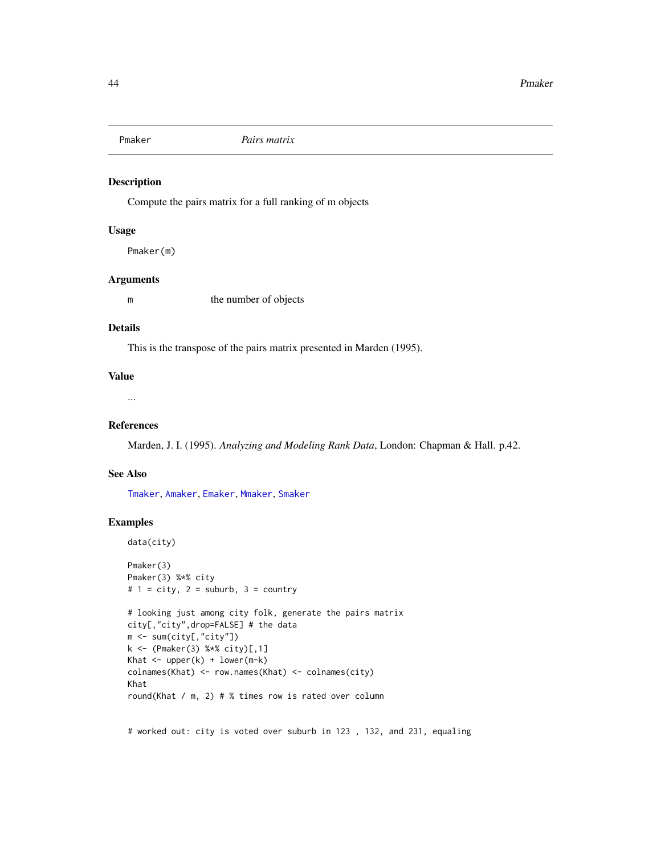<span id="page-43-0"></span>

#### Description

Compute the pairs matrix for a full ranking of m objects

#### Usage

Pmaker(m)

## Arguments

m the number of objects

### Details

This is the transpose of the pairs matrix presented in Marden (1995).

#### Value

...

#### References

Marden, J. I. (1995). *Analyzing and Modeling Rank Data*, London: Chapman & Hall. p.42.

### See Also

[Tmaker](#page-70-0), [Amaker](#page-3-0), [Emaker](#page-14-0), [Mmaker](#page-41-0), [Smaker](#page-56-0)

### Examples

```
data(city)
Pmaker(3)
Pmaker(3) %*% city
# 1 = city, 2 = suburb, 3 = country# looking just among city folk, generate the pairs matrix
city[,"city",drop=FALSE] # the data
m <- sum(city[,"city"])
k <- (Pmaker(3) %*% city)[,1]
Khat \leq upper(k) + lower(m-k)
colnames(Khat) <- row.names(Khat) <- colnames(city)
Khat
round(Khat / m, 2) # % times row is rated over column
```
# worked out: city is voted over suburb in 123 , 132, and 231, equaling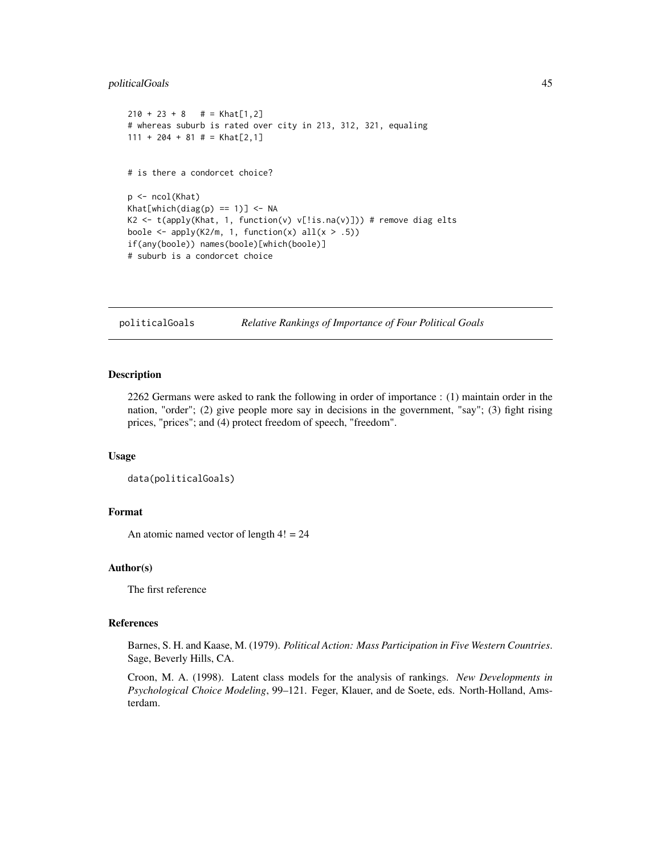### politicalGoals 45

```
210 + 23 + 8 # = Khat[1,2]
# whereas suburb is rated over city in 213, 312, 321, equaling
111 + 204 + 81 # = Khat[2,1]
# is there a condorcet choice?
p <- ncol(Khat)
Khat[which(diag(p) == 1)] < -NAK2 <- t(apply(Khat, 1, function(v) v[!is-na(v)]) # remove diag elts
boole \leq apply(K2/m, 1, function(x) all(x > .5))
if(any(boole)) names(boole)[which(boole)]
# suburb is a condorcet choice
```

```
politicalGoals Relative Rankings of Importance of Four Political Goals
```
## Description

2262 Germans were asked to rank the following in order of importance : (1) maintain order in the nation, "order"; (2) give people more say in decisions in the government, "say"; (3) fight rising prices, "prices"; and (4) protect freedom of speech, "freedom".

#### Usage

```
data(politicalGoals)
```
#### Format

An atomic named vector of length  $4! = 24$ 

#### Author(s)

The first reference

## References

Barnes, S. H. and Kaase, M. (1979). *Political Action: Mass Participation in Five Western Countries*. Sage, Beverly Hills, CA.

Croon, M. A. (1998). Latent class models for the analysis of rankings. *New Developments in Psychological Choice Modeling*, 99–121. Feger, Klauer, and de Soete, eds. North-Holland, Amsterdam.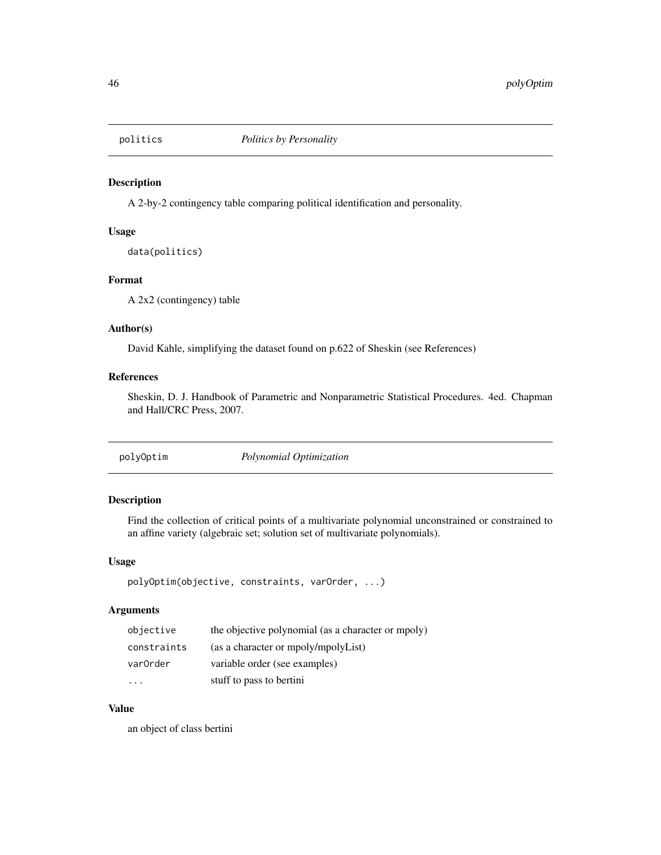#### Description

A 2-by-2 contingency table comparing political identification and personality.

## Usage

data(politics)

## Format

A 2x2 (contingency) table

### Author(s)

David Kahle, simplifying the dataset found on p.622 of Sheskin (see References)

### References

Sheskin, D. J. Handbook of Parametric and Nonparametric Statistical Procedures. 4ed. Chapman and Hall/CRC Press, 2007.

polyOptim *Polynomial Optimization*

### Description

Find the collection of critical points of a multivariate polynomial unconstrained or constrained to an affine variety (algebraic set; solution set of multivariate polynomials).

#### Usage

polyOptim(objective, constraints, varOrder, ...)

#### Arguments

| objective   | the objective polynomial (as a character or mpoly) |
|-------------|----------------------------------------------------|
| constraints | (as a character or mpoly/mpolyList)                |
| var0rder    | variable order (see examples)                      |
|             | stuff to pass to bertini                           |

## Value

an object of class bertini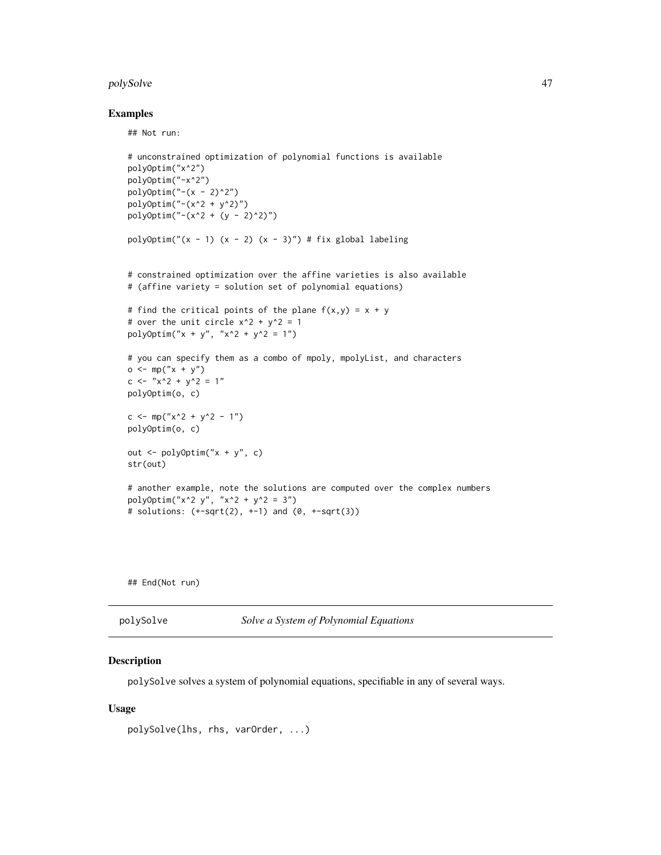#### polySolve 47

#### Examples

## Not run:

```
# unconstrained optimization of polynomial functions is available
polyOptim("x^2")
polyOptim("-x^2")
polyOptim("-(x - 2)^2")polyOptim("-(x^2 + y^2)")
poly0ptim("-(x^2 + (y - 2)^2)")
polyOptim("(x - 1) (x - 2) (x - 3)") # fix global labeling
# constrained optimization over the affine varieties is also available
# (affine variety = solution set of polynomial equations)
# find the critical points of the plane f(x,y) = x + y# over the unit circle x^2 + y^2 = 1polyOptim("x + y", "x^2 + y^2 = 1")
# you can specify them as a combo of mpoly, mpolyList, and characters
o \leq m p("x + y")c <- "x^2 + y^2 = 1"polyOptim(o, c)
c <- mp("x^2 + y^2 - 1")polyOptim(o, c)
out <- polyOptim("x + y", c)
str(out)
# another example, note the solutions are computed over the complex numbers
polyOptim("x^2 y", "x^2 + y^2 = 3")
# solutions: (+sqrt(2), +1) and (0, +sqrt(3))
```
## End(Not run)

| polySolve | Solve a System of Polynomial Equations |
|-----------|----------------------------------------|
|-----------|----------------------------------------|

#### Description

polySolve solves a system of polynomial equations, specifiable in any of several ways.

#### Usage

```
polySolve(lhs, rhs, varOrder, ...)
```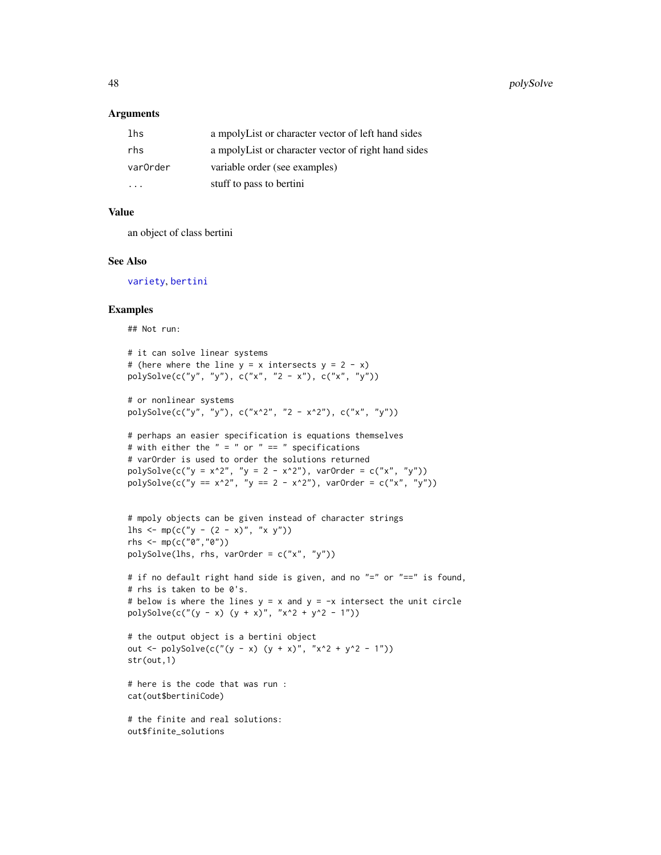#### **Arguments**

| lhs      | a mpolyList or character vector of left hand sides  |
|----------|-----------------------------------------------------|
| rhs      | a mpolyList or character vector of right hand sides |
| var0rder | variable order (see examples)                       |
| .        | stuff to pass to bertini                            |

## Value

an object of class bertini

#### See Also

[variety](#page-73-0), [bertini](#page-3-1)

#### Examples

## Not run:

```
# it can solve linear systems
# (here where the line y = x intersects y = 2 - x)
polySolve(c("y", "y"), c("x", "2 - x"), c("x", "y"))
```

```
# or nonlinear systems
polySolve(c("y", "y"), c("x^2", "2 - x^2"), c("x", "y"))
```

```
# perhaps an easier specification is equations themselves
# with either the " = " or " == " specifications
# varOrder is used to order the solutions returned
polySolve(c("y = x^2", "y = 2 - x^2"), varOrder = c("x", "y"))polySolve(c("y == x^2", "y == 2 - x^2"), varOrder = c("x", "y"))
```

```
# mpoly objects can be given instead of character strings
lhs <- mp(c("y - (2 - x)", "x y"))rhs <- mp(c("0","0"))
polySolve(lhs, rhs, varOrder = c("x", "y"))
```

```
# if no default right hand side is given, and no "=" or "==" is found,
# rhs is taken to be 0's.
# below is where the lines y = x and y = -x intersect the unit circle
polySolve(c(" (y - x) (y + x)", "x^2 + y^2 - 1"))
```

```
# the output object is a bertini object
out <- polySolve(c("(y - x) (y + x)", "x^2 + y^2 - 1"))
str(out,1)
```

```
# here is the code that was run :
cat(out$bertiniCode)
```
# the finite and real solutions: out\$finite\_solutions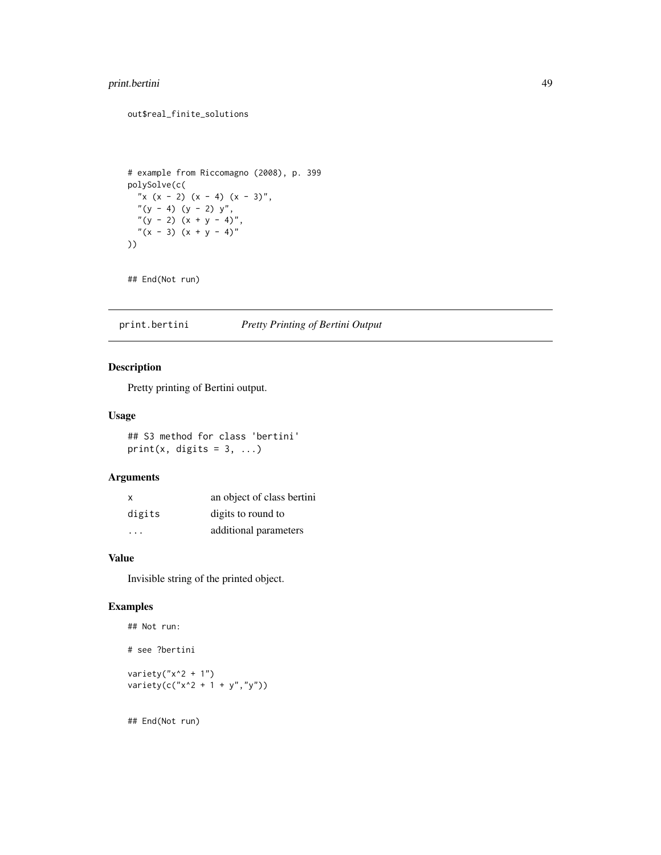## print.bertini 49

#### out\$real\_finite\_solutions

```
# example from Riccomagno (2008), p. 399
polySolve(c(
  "x (x - 2) (x - 4) (x - 3)",
 ''(y - 4) (y - 2) y'',''(y - 2) (x + y - 4),
  ''(x - 3) (x + y - 4)''))
```
## End(Not run)

print.bertini *Pretty Printing of Bertini Output*

## Description

Pretty printing of Bertini output.

### Usage

## S3 method for class 'bertini' print(x, digits =  $3, ...$ )

#### Arguments

| X      | an object of class bertini |
|--------|----------------------------|
| digits | digits to round to         |
| .      | additional parameters      |

#### Value

Invisible string of the printed object.

#### Examples

```
## Not run:
# see ?bertini
variety("x^2 + 1")
varity(c("x^2 + 1 + y", "y"))
```
## End(Not run)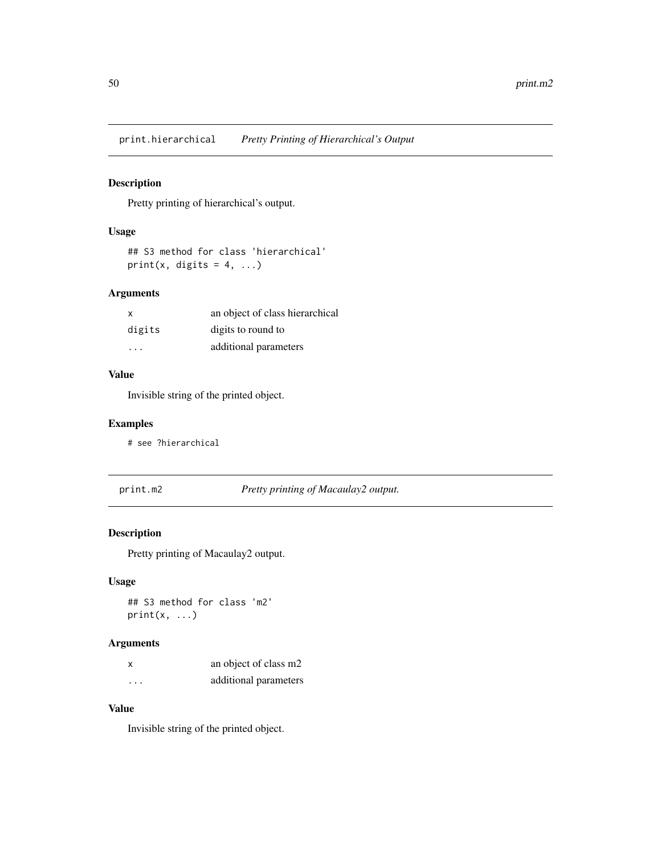print.hierarchical *Pretty Printing of Hierarchical's Output*

## Description

Pretty printing of hierarchical's output.

## Usage

## S3 method for class 'hierarchical' print(x, digits =  $4, ...$ )

### Arguments

| x      | an object of class hierarchical |
|--------|---------------------------------|
| digits | digits to round to              |
| .      | additional parameters           |

# Value

Invisible string of the printed object.

#### Examples

# see ?hierarchical

print.m2 *Pretty printing of Macaulay2 output.*

## Description

Pretty printing of Macaulay2 output.

## Usage

## S3 method for class 'm2'  $print(x, \ldots)$ 

#### Arguments

| x       | an object of class m2 |
|---------|-----------------------|
| $\cdot$ | additional parameters |

# Value

Invisible string of the printed object.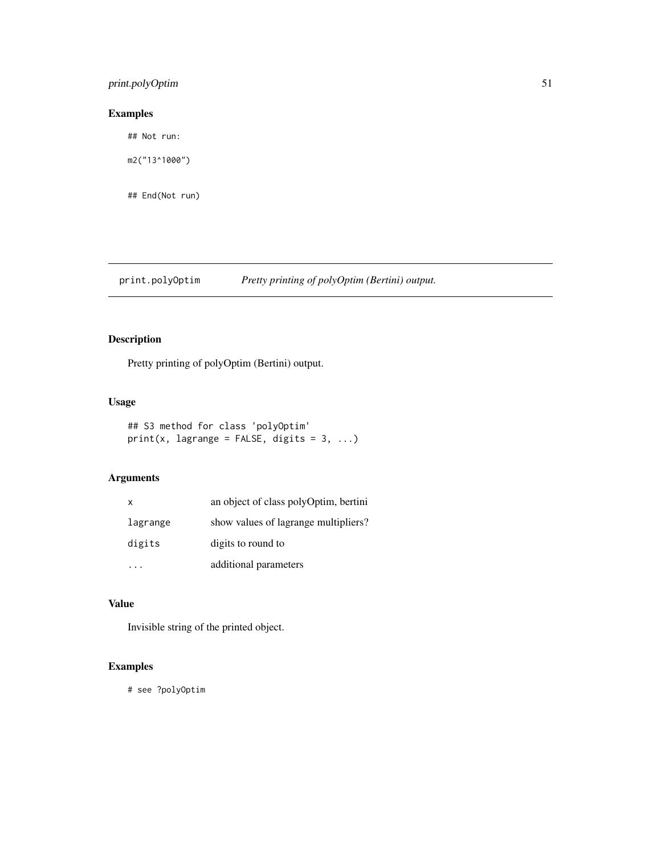## print.polyOptim 51

# Examples

## Not run:

m2("13^1000")

## End(Not run)

# print.polyOptim *Pretty printing of polyOptim (Bertini) output.*

# Description

Pretty printing of polyOptim (Bertini) output.

## Usage

```
## S3 method for class 'polyOptim'
print(x, lagrange = FALSE, digits = 3, ...)
```
## Arguments

| X        | an object of class polyOptim, bertini |
|----------|---------------------------------------|
| lagrange | show values of lagrange multipliers?  |
| digits   | digits to round to                    |
|          | additional parameters                 |

#### Value

Invisible string of the printed object.

# Examples

# see ?polyOptim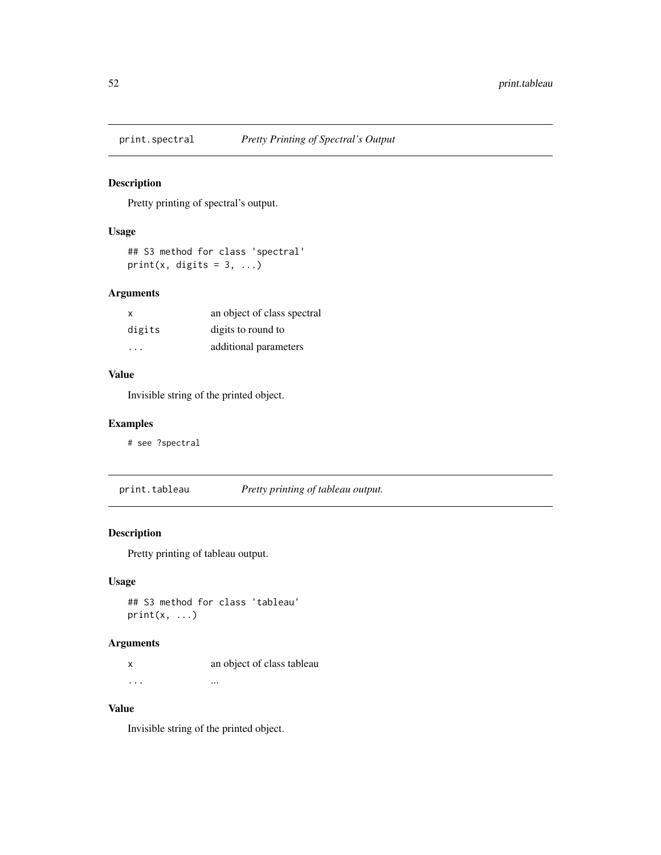## Description

Pretty printing of spectral's output.

## Usage

## S3 method for class 'spectral' print(x, digits =  $3, ...$ )

#### Arguments

| x      | an object of class spectral |
|--------|-----------------------------|
| digits | digits to round to          |
| .      | additional parameters       |

# Value

Invisible string of the printed object.

#### Examples

# see ?spectral

print.tableau *Pretty printing of tableau output.*

## Description

Pretty printing of tableau output.

### Usage

## S3 method for class 'tableau'  $print(x, \ldots)$ 

#### Arguments

x an object of class tableau ... ... ... ... ... ... ... ...

# Value

Invisible string of the printed object.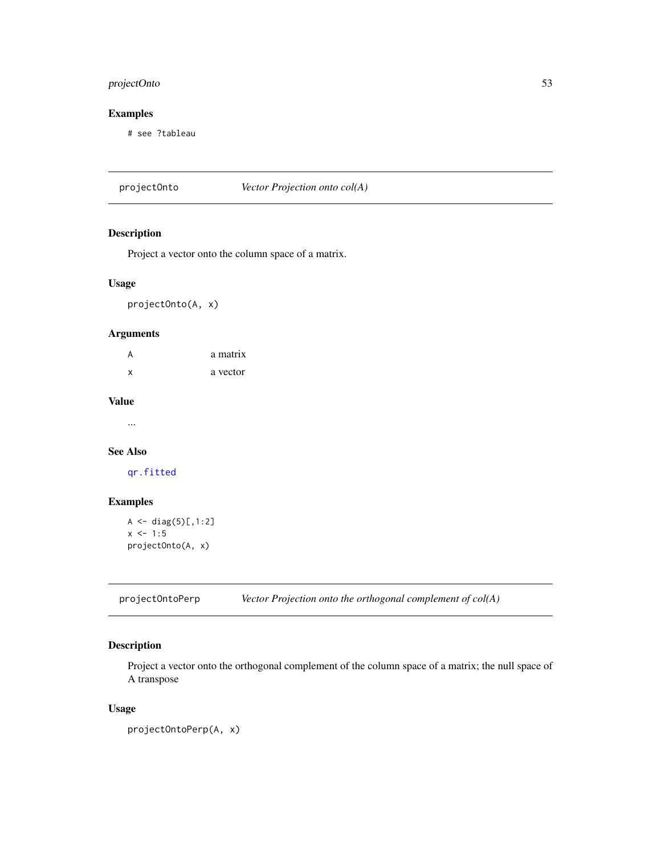## projectOnto 53

# Examples

# see ?tableau

projectOnto *Vector Projection onto col(A)*

## Description

Project a vector onto the column space of a matrix.

### Usage

projectOnto(A, x)

#### Arguments

| A            | a matrix |
|--------------|----------|
| $\mathbf{x}$ | a vector |

#### Value

...

# See Also

[qr.fitted](#page-0-0)

## Examples

```
A \leftarrow diag(5)[,1:2]x \le -1:5projectOnto(A, x)
```
projectOntoPerp *Vector Projection onto the orthogonal complement of col(A)*

## Description

Project a vector onto the orthogonal complement of the column space of a matrix; the null space of A transpose

### Usage

projectOntoPerp(A, x)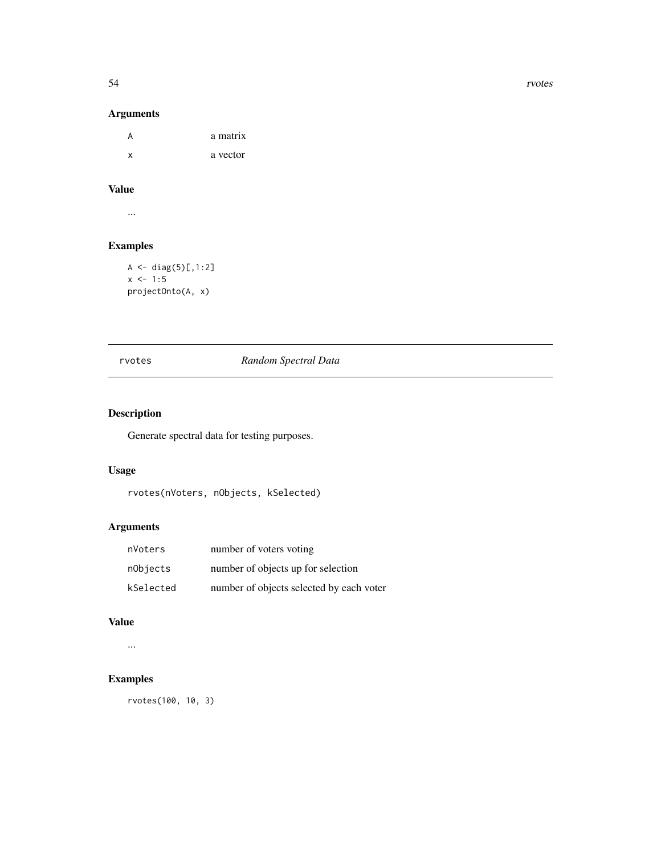54 rvotes

## Arguments

A a matrix x a vector

# Value

...

# Examples

```
A \leftarrow diag(5)[,1:2]x \le -1:5projectOnto(A, x)
```
## rvotes *Random Spectral Data*

# Description

Generate spectral data for testing purposes.

## Usage

```
rvotes(nVoters, nObjects, kSelected)
```
# Arguments

| nVoters   | number of voters voting                  |
|-----------|------------------------------------------|
| nObjects  | number of objects up for selection       |
| kSelected | number of objects selected by each voter |

## Value

...

# Examples

rvotes(100, 10, 3)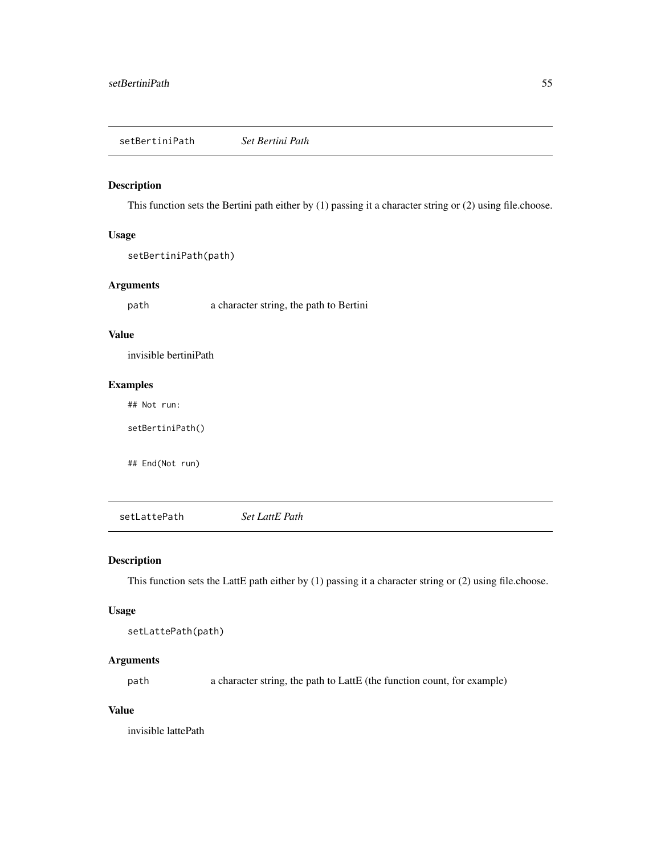### Description

This function sets the Bertini path either by (1) passing it a character string or (2) using file.choose.

### Usage

setBertiniPath(path)

## Arguments

path a character string, the path to Bertini

# Value

invisible bertiniPath

## Examples

## Not run:

setBertiniPath()

## End(Not run)

setLattePath *Set LattE Path*

## Description

This function sets the LattE path either by (1) passing it a character string or (2) using file.choose.

## Usage

```
setLattePath(path)
```
## Arguments

path a character string, the path to LattE (the function count, for example)

### Value

invisible lattePath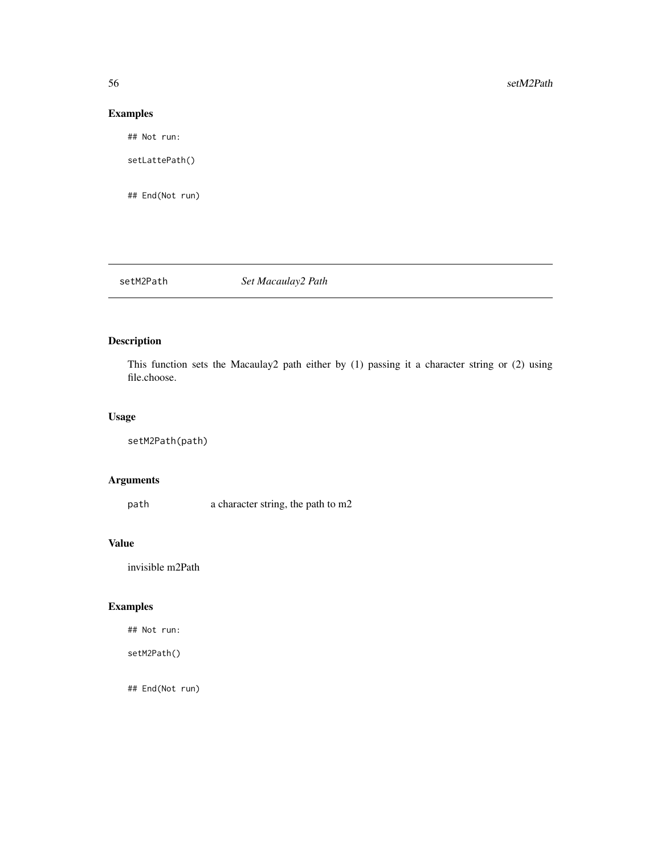# Examples

## Not run:

setLattePath()

## End(Not run)

setM2Path *Set Macaulay2 Path*

# Description

This function sets the Macaulay2 path either by (1) passing it a character string or (2) using file.choose.

## Usage

```
setM2Path(path)
```
## Arguments

path a character string, the path to m2

## Value

invisible m2Path

# Examples

## Not run:

setM2Path()

## End(Not run)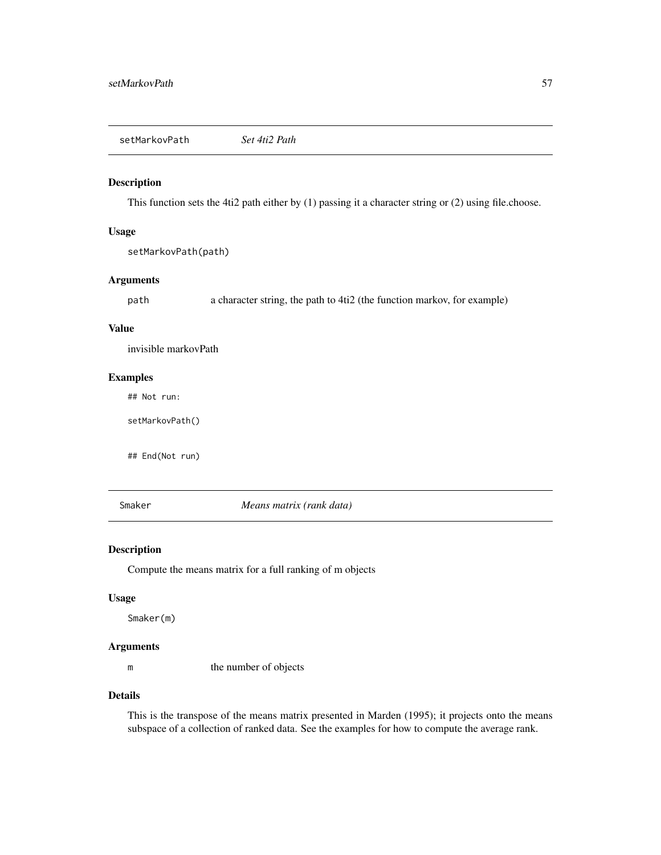setMarkovPath *Set 4ti2 Path*

#### Description

This function sets the 4ti2 path either by (1) passing it a character string or (2) using file.choose.

## Usage

setMarkovPath(path)

### Arguments

path a character string, the path to 4ti2 (the function markov, for example)

#### Value

invisible markovPath

## Examples

## Not run:

setMarkovPath()

## End(Not run)

<span id="page-56-0"></span>Smaker *Means matrix (rank data)*

#### Description

Compute the means matrix for a full ranking of m objects

#### Usage

Smaker(m)

#### Arguments

m the number of objects

#### Details

This is the transpose of the means matrix presented in Marden (1995); it projects onto the means subspace of a collection of ranked data. See the examples for how to compute the average rank.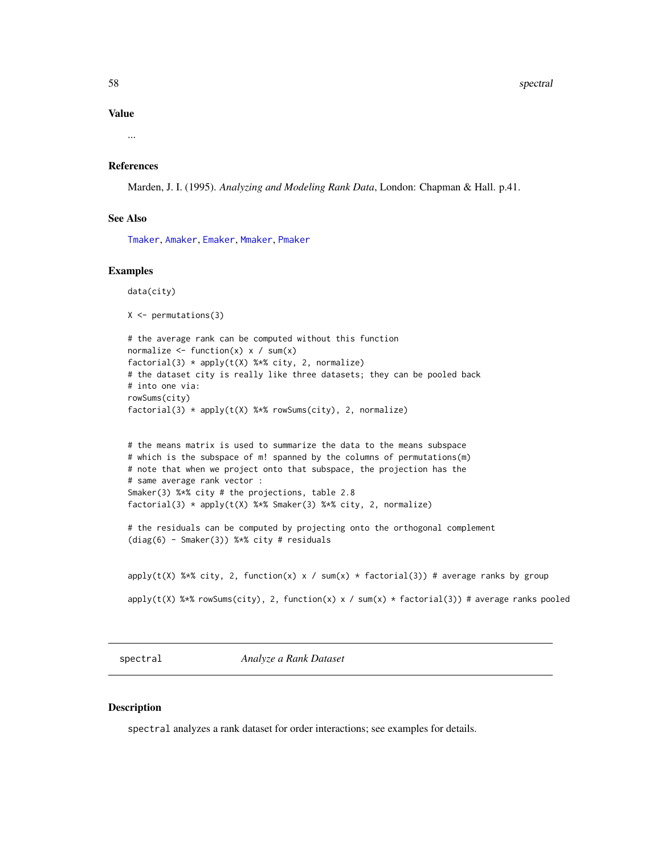58 spectral and the spectral set of the spectral set of the spectral set of the spectral set of the spectral set of the spectral set of the spectral set of the spectral set of the spectral set of the spectral set of the sp

#### Value

...

# References

Marden, J. I. (1995). *Analyzing and Modeling Rank Data*, London: Chapman & Hall. p.41.

#### See Also

[Tmaker](#page-70-0), [Amaker](#page-3-0), [Emaker](#page-14-0), [Mmaker](#page-41-0), [Pmaker](#page-43-0)

#### Examples

data(city)

```
X \leftarrow permutations(3)
```

```
# the average rank can be computed without this function
normalize \le function(x) x / sum(x)
factorial(3) * apply(t(X) %*% city, 2, normalize)
# the dataset city is really like three datasets; they can be pooled back
# into one via:
rowSums(city)
factorial(3) * apply(t(X) % * % rowsums(city), 2, normalize)
```

```
# the means matrix is used to summarize the data to the means subspace
# which is the subspace of m! spanned by the columns of permutations(m)
# note that when we project onto that subspace, the projection has the
# same average rank vector :
Smaker(3) %*% city # the projections, table 2.8
factorial(3) * apply(t(X) %*% Smaker(3) %*% city, 2, normalize)
```

```
# the residuals can be computed by projecting onto the orthogonal complement
(diag(6) - Smaker(3)) %*% city # residuals
```

```
apply(t(X) %*% city, 2, function(x) x / sum(x) * factorial(3)) # average ranks by group
apply(t(X) %*% rowSums(city), 2, function(x) x / sum(x) * factorial(3)) # average ranks pooled
```
spectral *Analyze a Rank Dataset*

### Description

spectral analyzes a rank dataset for order interactions; see examples for details.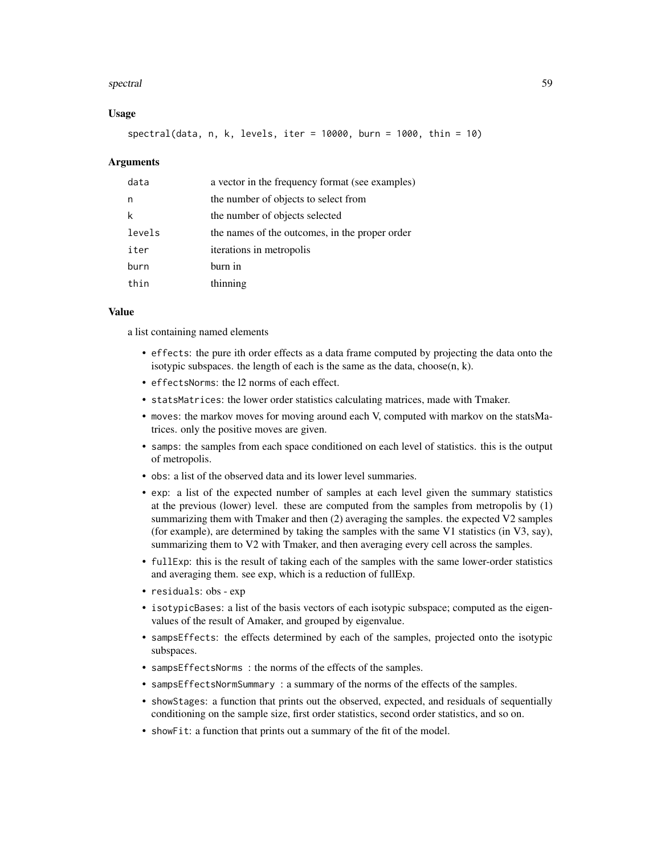#### spectral 59

#### Usage

spectral(data, n, k, levels, iter = 10000, burn = 1000, thin = 10)

#### Arguments

| data   | a vector in the frequency format (see examples) |
|--------|-------------------------------------------------|
| n      | the number of objects to select from            |
| k      | the number of objects selected                  |
| levels | the names of the outcomes, in the proper order  |
| iter   | iterations in metropolis                        |
| burn   | burn in                                         |
| thin   | thinning                                        |

#### Value

a list containing named elements

- effects: the pure ith order effects as a data frame computed by projecting the data onto the isotypic subspaces. the length of each is the same as the data, choose $(n, k)$ .
- effectsNorms: the l2 norms of each effect.
- statsMatrices: the lower order statistics calculating matrices, made with Tmaker.
- moves: the markov moves for moving around each V, computed with markov on the statsMatrices. only the positive moves are given.
- samps: the samples from each space conditioned on each level of statistics. this is the output of metropolis.
- obs: a list of the observed data and its lower level summaries.
- exp: a list of the expected number of samples at each level given the summary statistics at the previous (lower) level. these are computed from the samples from metropolis by (1) summarizing them with Tmaker and then (2) averaging the samples. the expected V2 samples (for example), are determined by taking the samples with the same V1 statistics (in V3, say), summarizing them to V2 with Tmaker, and then averaging every cell across the samples.
- fullExp: this is the result of taking each of the samples with the same lower-order statistics and averaging them. see exp, which is a reduction of fullExp.
- residuals: obs exp
- isotypicBases: a list of the basis vectors of each isotypic subspace; computed as the eigenvalues of the result of Amaker, and grouped by eigenvalue.
- sampsEffects: the effects determined by each of the samples, projected onto the isotypic subspaces.
- sampsEffectsNorms : the norms of the effects of the samples.
- sampsEffectsNormSummary : a summary of the norms of the effects of the samples.
- showStages: a function that prints out the observed, expected, and residuals of sequentially conditioning on the sample size, first order statistics, second order statistics, and so on.
- showFit: a function that prints out a summary of the fit of the model.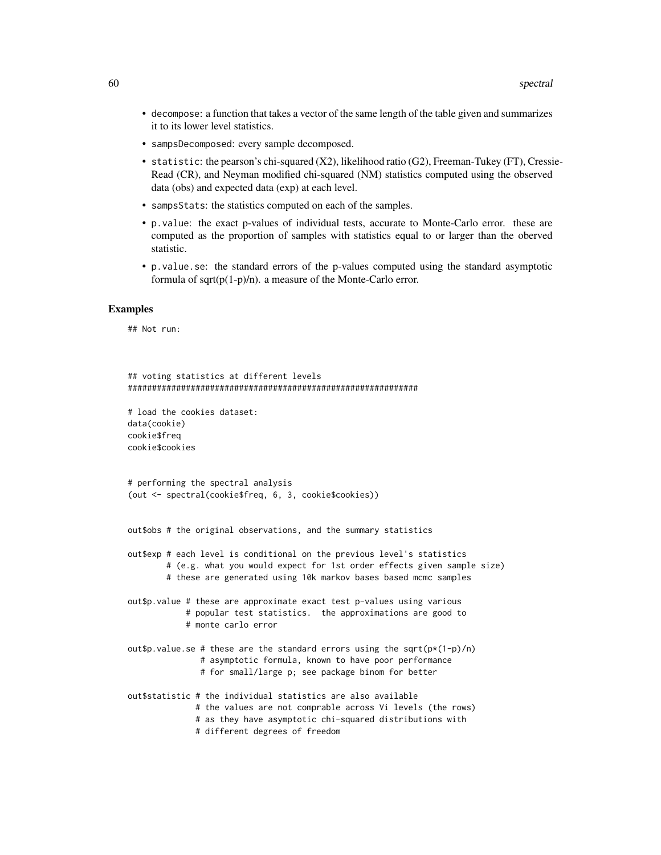- decompose: a function that takes a vector of the same length of the table given and summarizes it to its lower level statistics.
- sampsDecomposed: every sample decomposed.
- statistic: the pearson's chi-squared (X2), likelihood ratio (G2), Freeman-Tukey (FT), Cressie-Read (CR), and Neyman modified chi-squared (NM) statistics computed using the observed data (obs) and expected data (exp) at each level.
- sampsStats: the statistics computed on each of the samples.
- p.value: the exact p-values of individual tests, accurate to Monte-Carlo error. these are computed as the proportion of samples with statistics equal to or larger than the oberved statistic.
- p.value.se: the standard errors of the p-values computed using the standard asymptotic formula of  $sqrt(p(1-p)/n)$ . a measure of the Monte-Carlo error.

### Examples

## Not run:

```
## voting statistics at different levels
############################################################
# load the cookies dataset:
data(cookie)
cookie$freq
cookie$cookies
# performing the spectral analysis
(out <- spectral(cookie$freq, 6, 3, cookie$cookies))
out$obs # the original observations, and the summary statistics
out$exp # each level is conditional on the previous level's statistics
        # (e.g. what you would expect for 1st order effects given sample size)
       # these are generated using 10k markov bases based mcmc samples
out$p.value # these are approximate exact test p-values using various
           # popular test statistics. the approximations are good to
           # monte carlo error
out$p.value.se # these are the standard errors using the sqrt(p*(1-p)/n)
               # asymptotic formula, known to have poor performance
               # for small/large p; see package binom for better
out$statistic # the individual statistics are also available
              # the values are not comprable across Vi levels (the rows)
              # as they have asymptotic chi-squared distributions with
              # different degrees of freedom
```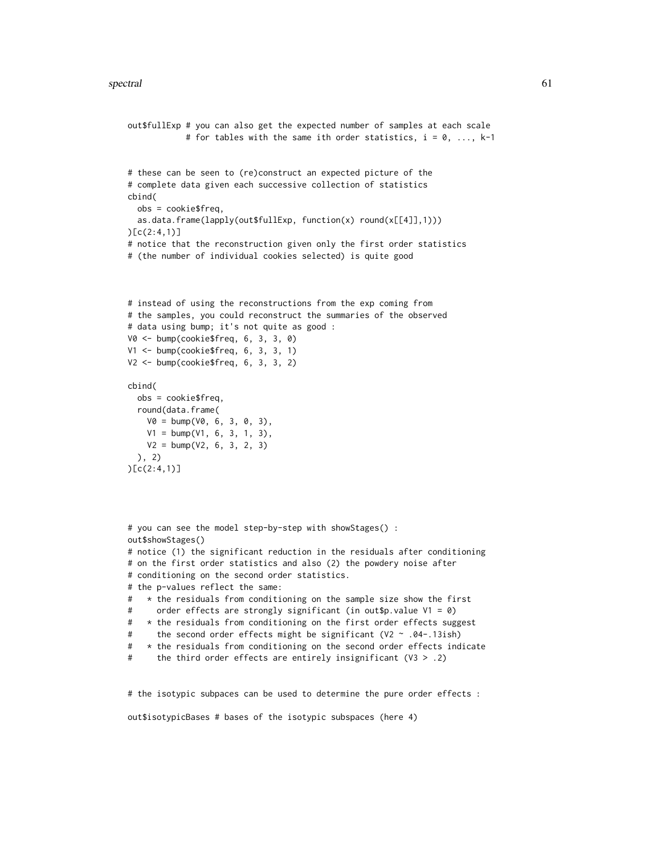```
out$fullExp # you can also get the expected number of samples at each scale
            # for tables with the same ith order statistics, i = 0, ..., k-1# these can be seen to (re)construct an expected picture of the
# complete data given each successive collection of statistics
cbind(
  obs = cookie$freq,
  as.data.frame(lapply(out$fullExp, function(x) round(x[[4]],1)))
)[c(2:4,1)]
# notice that the reconstruction given only the first order statistics
# (the number of individual cookies selected) is quite good
# instead of using the reconstructions from the exp coming from
# the samples, you could reconstruct the summaries of the observed
# data using bump; it's not quite as good :
V0 <- bump(cookie$freq, 6, 3, 3, 0)
V1 <- bump(cookie$freq, 6, 3, 3, 1)
V2 \leq -\text{bump}(\text{cookie$freq}, 6, 3, 3, 2)cbind(
  obs = cookie$freq,
  round(data.frame(
   V0 = \text{bump}(V0, 6, 3, 0, 3),V1 = bump(V1, 6, 3, 1, 3),V2 = bump(V2, 6, 3, 2, 3)
  ), 2)
)[c(2:4,1)]
# you can see the model step-by-step with showStages() :
out$showStages()
# notice (1) the significant reduction in the residuals after conditioning
# on the first order statistics and also (2) the powdery noise after
# conditioning on the second order statistics.
# the p-values reflect the same:
# * the residuals from conditioning on the sample size show the first
# order effects are strongly significant (in out$p.value V1 = 0)
# * the residuals from conditioning on the first order effects suggest
# the second order effects might be significant (V2 ~ .04-.13ish)
# * the residuals from conditioning on the second order effects indicate
```

```
# the third order effects are entirely insignificant (V3 > .2)
```
# the isotypic subpaces can be used to determine the pure order effects :

```
out$isotypicBases # bases of the isotypic subspaces (here 4)
```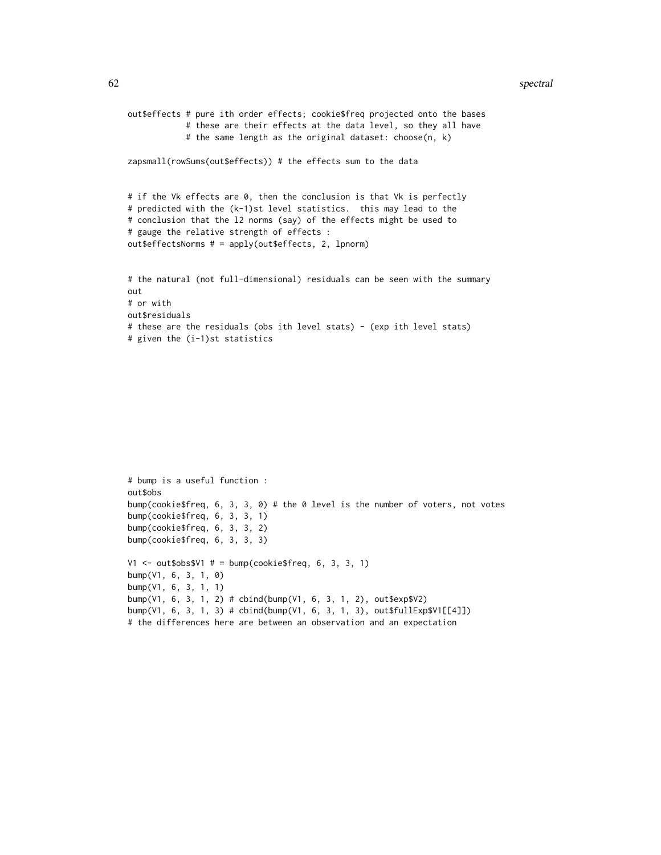#### 62 spectral and the spectral spectral spectral spectral spectral spectral spectral spectral

```
out$effects # pure ith order effects; cookie$freq projected onto the bases
            # these are their effects at the data level, so they all have
            # the same length as the original dataset: choose(n, k)
zapsmall(rowSums(out$effects)) # the effects sum to the data
# if the Vk effects are 0, then the conclusion is that Vk is perfectly
# predicted with the (k-1)st level statistics. this may lead to the
# conclusion that the l2 norms (say) of the effects might be used to
# gauge the relative strength of effects :
out$effectsNorms # = apply(out$effects, 2, lpnorm)
# the natural (not full-dimensional) residuals can be seen with the summary
out
# or with
out$residuals
# these are the residuals (obs ith level stats) - (exp ith level stats)
```

```
# given the (i-1)st statistics
```

```
# bump is a useful function :
out$obs
bump(cookie$freq, 6, 3, 3, 0) # the 0 level is the number of voters, not votes
bump(cookie$freq, 6, 3, 3, 1)
bump(cookie$freq, 6, 3, 3, 2)
bump(cookie$freq, 6, 3, 3, 3)
V1 \le - out$obs$V1 # = bump(cookie$freq, 6, 3, 3, 1)
bump(V1, 6, 3, 1, 0)
bump(V1, 6, 3, 1, 1)
bump(V1, 6, 3, 1, 2) # cbind(bump(V1, 6, 3, 1, 2), out$exp$V2)
bump(V1, 6, 3, 1, 3) # cbind(bump(V1, 6, 3, 1, 3), out$fullExp$V1[[4]])
# the differences here are between an observation and an expectation
```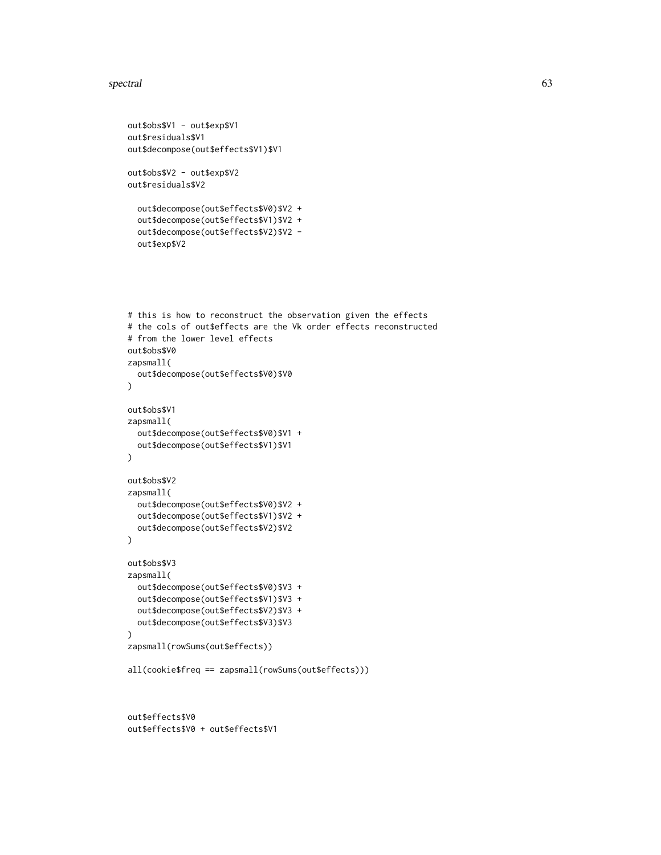#### spectral 63

```
out$obs$V1 - out$exp$V1
out$residuals$V1
out$decompose(out$effects$V1)$V1
out$obs$V2 - out$exp$V2
out$residuals$V2
  out$decompose(out$effects$V0)$V2 +
  out$decompose(out$effects$V1)$V2 +
  out$decompose(out$effects$V2)$V2 -
  out$exp$V2
# this is how to reconstruct the observation given the effects
# the cols of out$effects are the Vk order effects reconstructed
# from the lower level effects
out$obs$V0
zapsmall(
  out$decompose(out$effects$V0)$V0
)
out$obs$V1
zapsmall(
  out$decompose(out$effects$V0)$V1 +
  out$decompose(out$effects$V1)$V1
\mathcal{L}out$obs$V2
zapsmall(
  out$decompose(out$effects$V0)$V2 +
  out$decompose(out$effects$V1)$V2 +
  out$decompose(out$effects$V2)$V2
\lambdaout$obs$V3
zapsmall(
  out$decompose(out$effects$V0)$V3 +
  out$decompose(out$effects$V1)$V3 +
  out$decompose(out$effects$V2)$V3 +
  out$decompose(out$effects$V3)$V3
)
zapsmall(rowSums(out$effects))
all(cookie$freq == zapsmall(rowSums(out$effects)))
out$effects$V0
```
out\$effects\$V0 + out\$effects\$V1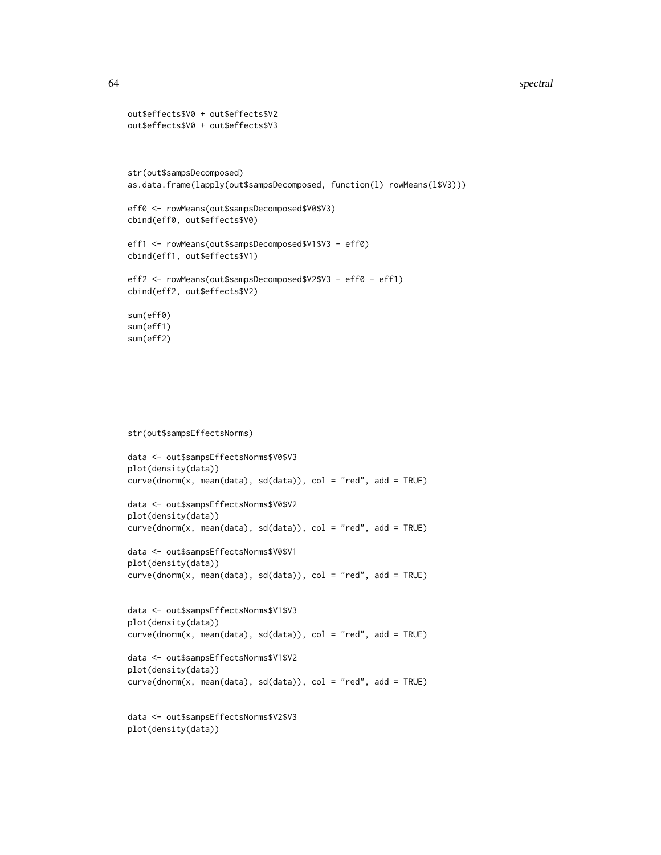#### 64 spectral and the spectral spectral spectral spectral spectral spectral spectral spectral

```
out$effects$V0 + out$effects$V2
out$effects$V0 + out$effects$V3
str(out$sampsDecomposed)
as.data.frame(lapply(out$sampsDecomposed, function(l) rowMeans(l$V3)))
eff0 <- rowMeans(out$sampsDecomposed$V0$V3)
cbind(eff0, out$effects$V0)
eff1 <- rowMeans(out$sampsDecomposed$V1$V3 - eff0)
cbind(eff1, out$effects$V1)
eff2 <- rowMeans(out$sampsDecomposed$V2$V3 - eff0 - eff1)
cbind(eff2, out$effects$V2)
sum(eff0)
sum(eff1)
sum(eff2)
```

```
str(out$sampsEffectsNorms)
```

```
data <- out$sampsEffectsNorms$V0$V3
plot(density(data))
curve(dnorm(x, mean(data), sd(data)), col = "red", add = TRUE)
```

```
data <- out$sampsEffectsNorms$V0$V2
plot(density(data))
curve(dnorm(x, mean(data), sd(data)), col = "red", add = TRUE)
```

```
data <- out$sampsEffectsNorms$V0$V1
plot(density(data))
curve(dnorm(x, mean(data), sd(data)), col = "red", add = TRUE)
```

```
data <- out$sampsEffectsNorms$V1$V3
plot(density(data))
curve(dnorm(x, mean(data), sd(data)), col = "red", add = TRUE)
```

```
data <- out$sampsEffectsNorms$V1$V2
plot(density(data))
curve(dnorm(x, mean(data), sd(data)), col = "red", add = TRUE)
```

```
data <- out$sampsEffectsNorms$V2$V3
plot(density(data))
```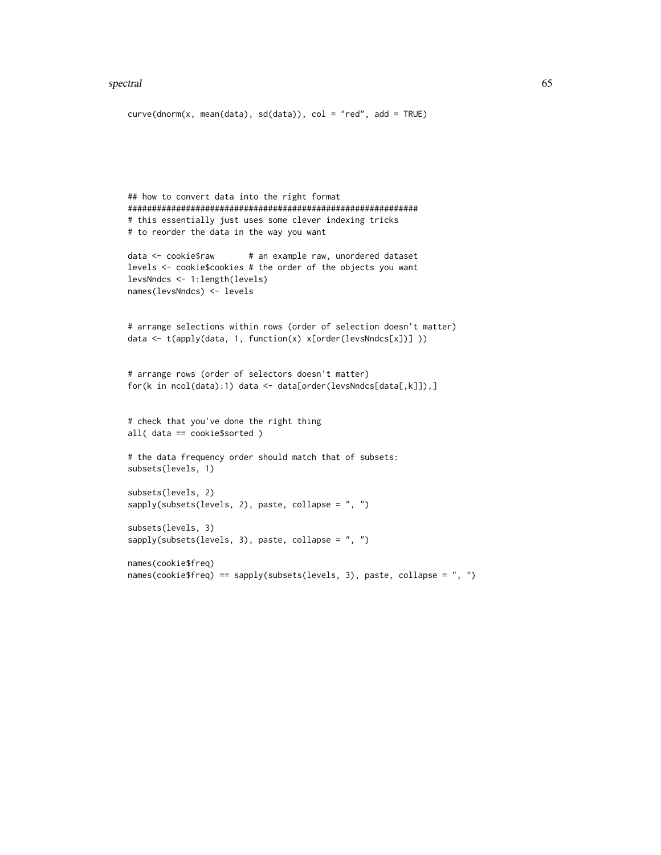#### spectral 65

```
curve(dnorm(x, mean(data), sd(data)), col = "red", add = TRUE)## how to convert data into the right format
############################################################
# this essentially just uses some clever indexing tricks
# to reorder the data in the way you want
data <- cookie$raw # an example raw, unordered dataset
levels <- cookie$cookies # the order of the objects you want
levsNndcs <- 1:length(levels)
names(levsNndcs) <- levels
# arrange selections within rows (order of selection doesn't matter)
data <- t(apply(data, 1, function(x) x[order(levsNndcs[x])] ))
# arrange rows (order of selectors doesn't matter)
for(k in ncol(data):1) data <- data[order(levsNndcs[data[,k]]),]
# check that you've done the right thing
all( data == cookie$sorted )
# the data frequency order should match that of subsets:
subsets(levels, 1)
subsets(levels, 2)
sapply(subsets(levels, 2), paste, collapse = ", ")
subsets(levels, 3)
sapply(subsets(levels, 3), paste, collapse = ", ")
names(cookie$freq)
```

```
names(cookie$freq) == sapply(subsets(levels, 3), paste, collapse = ", ")
```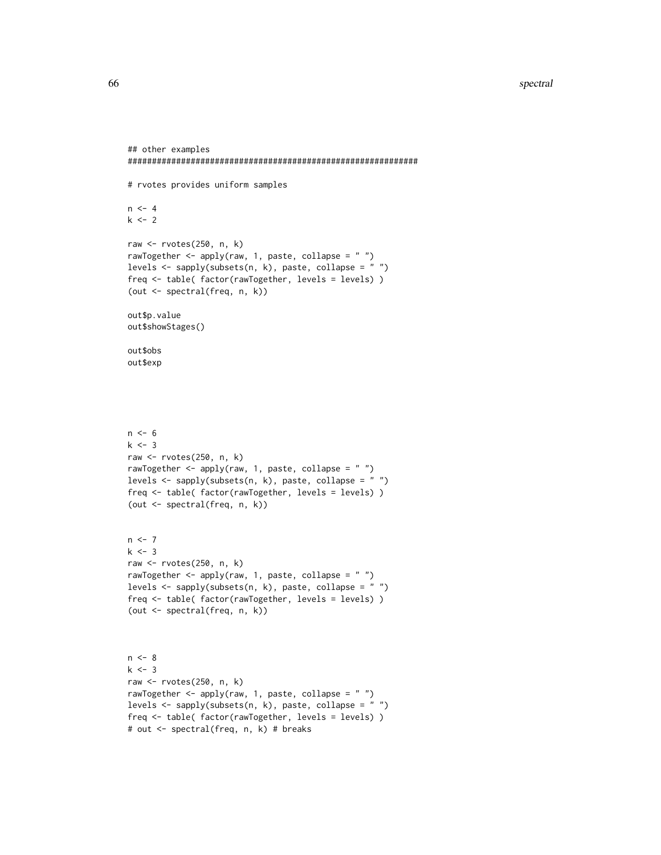```
## other examples
############################################################
# rvotes provides uniform samples
n < -4k < - 2raw <- rvotes(250, n, k)
rawTogether \leq apply(raw, 1, paste, collapse = "")
levels <- sapply(subsets(n, k), paste, collapse = " ")
freq <- table( factor(rawTogether, levels = levels) )
(out <- spectral(freq, n, k))
out$p.value
out$showStages()
out$obs
out$exp
n < - 6k \le -3raw <- rvotes(250, n, k)
rawTogether <- apply(raw, 1, paste, collapse = " ")
levels <- sapply(subsets(n, k), paste, collapse = " ")
freq <- table( factor(rawTogether, levels = levels) )
(out <- spectral(freq, n, k))
n < -7k < -3raw <- rvotes(250, n, k)
rawTogether \leq apply(raw, 1, paste, collapse = " ")
levels <- sapply(subsets(n, k), paste, collapse = " ")
freq <- table( factor(rawTogether, levels = levels) )
(out <- spectral(freq, n, k))
n < - 8k < -3raw <- rvotes(250, n, k)
rawTogether <- apply(raw, 1, paste, collapse = " ")
levels <- sapply(subsets(n, k), paste, collapse = " ")
freq <- table( factor(rawTogether, levels = levels) )
# out <- spectral(freq, n, k) # breaks
```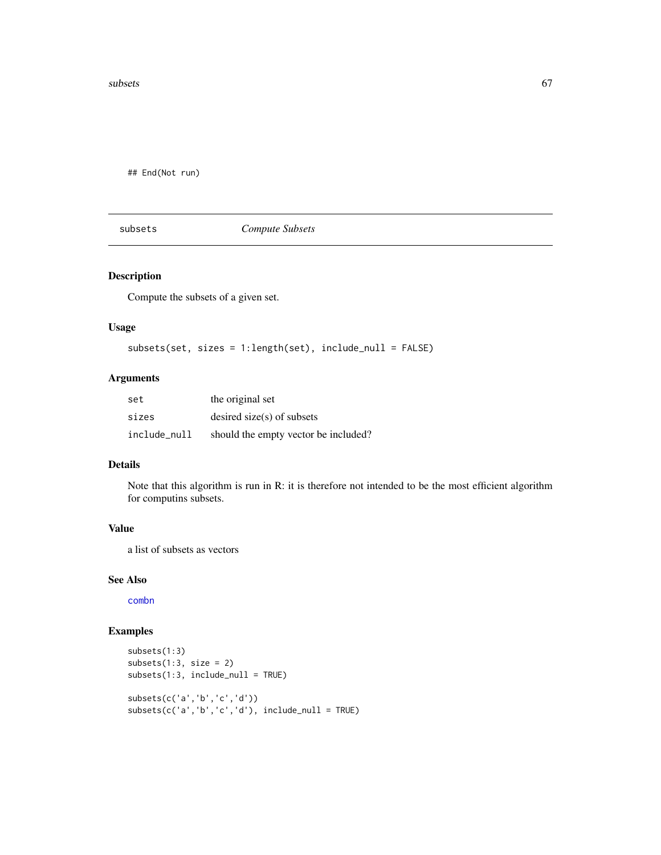$\mathbf{s}$ ubsets 67

## End(Not run)

subsets *Compute Subsets*

## Description

Compute the subsets of a given set.

### Usage

```
subsets(set, sizes = 1:length(set), include_null = FALSE)
```
## Arguments

| set          | the original set                     |
|--------------|--------------------------------------|
| sizes        | desired size(s) of subsets           |
| include null | should the empty vector be included? |

# Details

Note that this algorithm is run in R: it is therefore not intended to be the most efficient algorithm for computins subsets.

# Value

a list of subsets as vectors

### See Also

[combn](#page-0-0)

## Examples

```
subsets(1:3)
subsets(1:3, size = 2)subsets(1:3, include_null = TRUE)
subsets(c('a','b','c','d'))
subsets(c('a','b','c','d'), include_null = TRUE)
```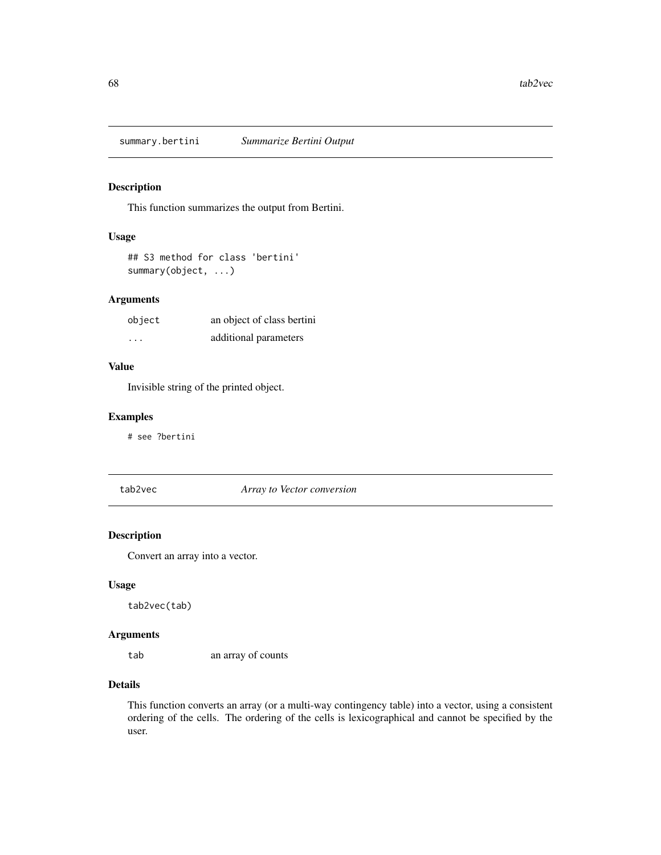## **Description**

This function summarizes the output from Bertini.

## Usage

```
## S3 method for class 'bertini'
summary(object, ...)
```
# Arguments

| object   | an object of class bertini |
|----------|----------------------------|
| $\cdots$ | additional parameters      |

## Value

Invisible string of the printed object.

#### Examples

# see ?bertini

tab2vec *Array to Vector conversion*

### Description

Convert an array into a vector.

#### Usage

tab2vec(tab)

### Arguments

tab an array of counts

### Details

This function converts an array (or a multi-way contingency table) into a vector, using a consistent ordering of the cells. The ordering of the cells is lexicographical and cannot be specified by the user.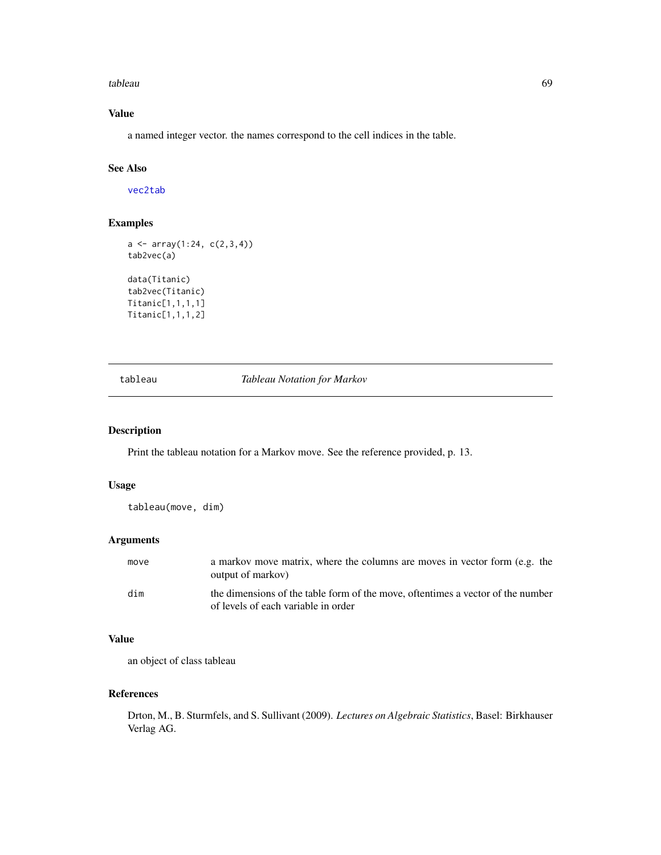#### tableau 69 an t-Iomraid anns an t-Iomraid anns an t-Iomraid anns an t-Iomraid anns an t-Iomraid anns an t-Iomr

# Value

a named integer vector. the names correspond to the cell indices in the table.

## See Also

[vec2tab](#page-75-0)

# Examples

```
a \leftarrow array(1:24, c(2,3,4))tab2vec(a)
data(Titanic)
tab2vec(Titanic)
Titanic[1,1,1,1]
```
Titanic[1,1,1,2]

tableau *Tableau Notation for Markov*

## Description

Print the tableau notation for a Markov move. See the reference provided, p. 13.

## Usage

tableau(move, dim)

## Arguments

| move | a markov move matrix, where the columns are moves in vector form (e.g. the<br>output of markov)                        |
|------|------------------------------------------------------------------------------------------------------------------------|
| dim  | the dimensions of the table form of the move, oftentimes a vector of the number<br>of levels of each variable in order |

#### Value

an object of class tableau

## References

Drton, M., B. Sturmfels, and S. Sullivant (2009). *Lectures on Algebraic Statistics*, Basel: Birkhauser Verlag AG.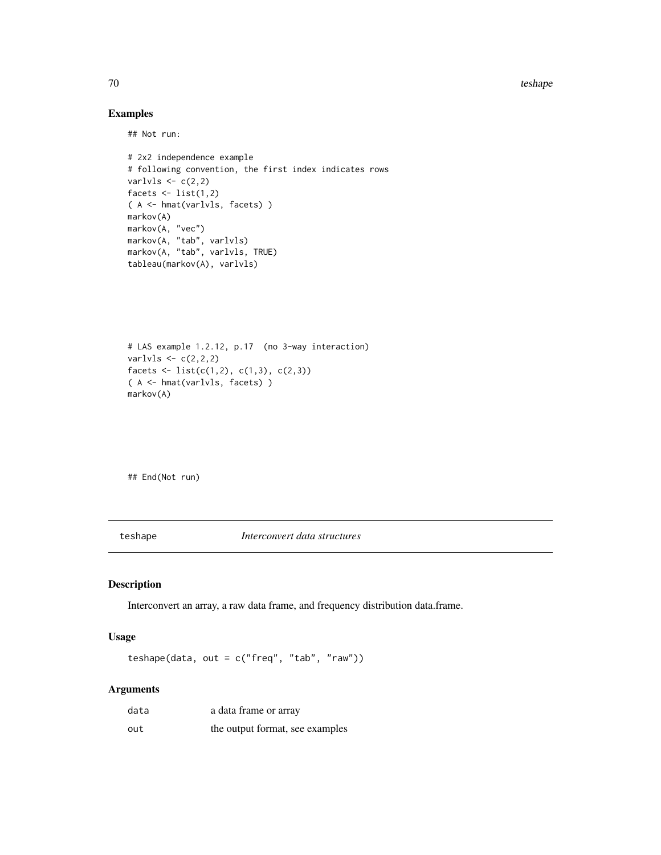70 teshape teshape and the state of the state of the state of the state of the state of the state of the state of the state of the state of the state of the state of the state of the state of the state of the state of the

# Examples

## Not run:

```
# 2x2 independence example
# following convention, the first index indicates rows
varlvls \leftarrow c(2,2)facets \le list(1,2)( A <- hmat(varlvls, facets) )
markov(A)
markov(A, "vec")
markov(A, "tab", varlvls)
markov(A, "tab", varlvls, TRUE)
tableau(markov(A), varlvls)
```

```
# LAS example 1.2.12, p.17 (no 3-way interaction)
varlvls \leftarrow c(2,2,2)facets \le list(c(1,2), c(1,3), c(2,3))
( A <- hmat(varlvls, facets) )
markov(A)
```
## End(Not run)

teshape *Interconvert data structures*

#### Description

Interconvert an array, a raw data frame, and frequency distribution data.frame.

#### Usage

teshape(data, out = c("freq", "tab", "raw"))

#### Arguments

| data | a data frame or array           |
|------|---------------------------------|
| out  | the output format, see examples |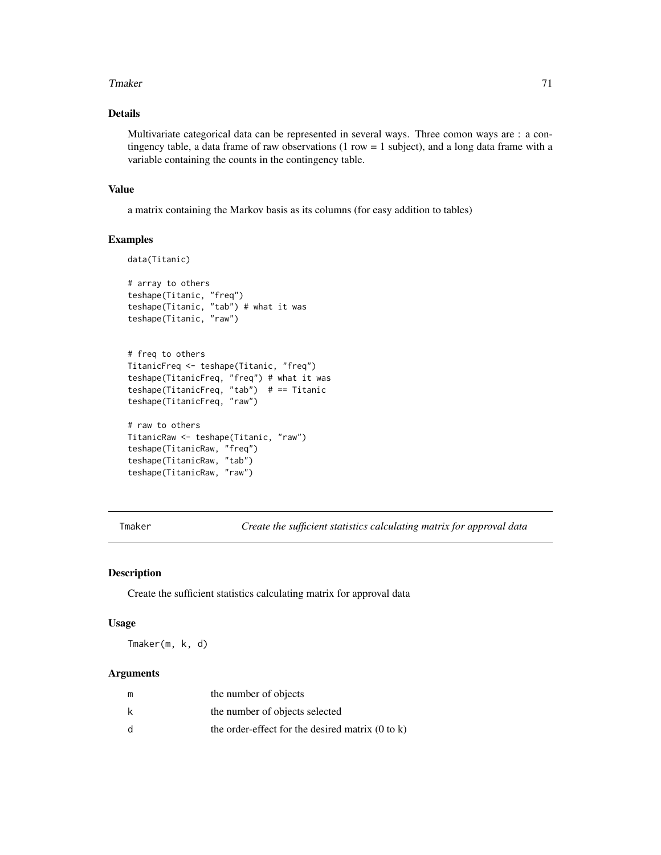#### Tmaker 71

# Details

Multivariate categorical data can be represented in several ways. Three comon ways are : a contingency table, a data frame of raw observations  $(1 row = 1 subject)$ , and a long data frame with a variable containing the counts in the contingency table.

### Value

a matrix containing the Markov basis as its columns (for easy addition to tables)

#### Examples

```
data(Titanic)
# array to others
teshape(Titanic, "freq")
teshape(Titanic, "tab") # what it was
teshape(Titanic, "raw")
# freq to others
TitanicFreq <- teshape(Titanic, "freq")
teshape(TitanicFreq, "freq") # what it was
teshape(TitanicFreq, "tab") # == Titanic
teshape(TitanicFreq, "raw")
# raw to others
TitanicRaw <- teshape(Titanic, "raw")
teshape(TitanicRaw, "freq")
teshape(TitanicRaw, "tab")
teshape(TitanicRaw, "raw")
```
<span id="page-70-0"></span>Tmaker *Create the sufficient statistics calculating matrix for approval data*

#### Description

Create the sufficient statistics calculating matrix for approval data

## Usage

Tmaker(m, k, d)

### Arguments

| m | the number of objects                                       |
|---|-------------------------------------------------------------|
| k | the number of objects selected                              |
| d | the order-effect for the desired matrix $(0 \text{ to } k)$ |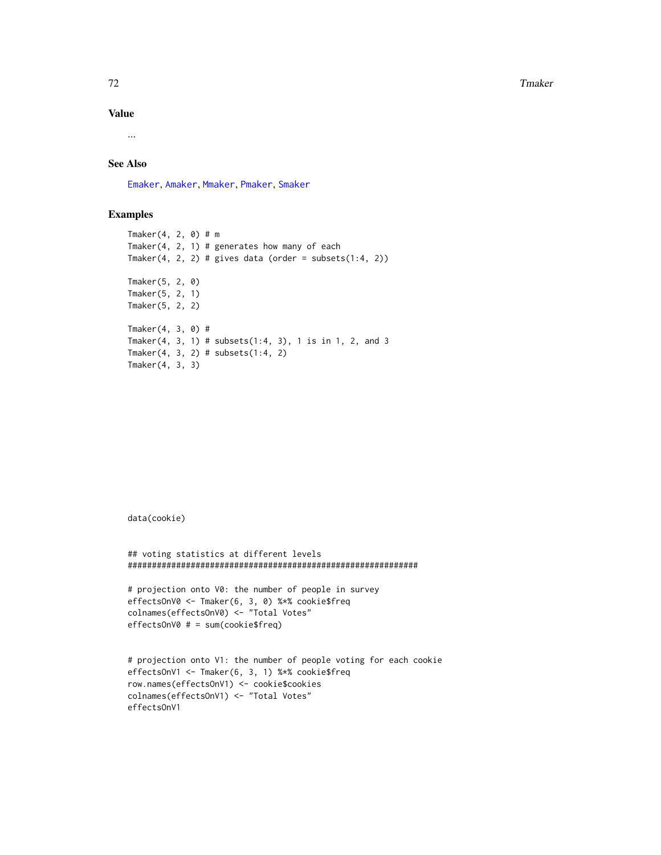The contract of the contract of the contract of the contract of the contract of the contract of the contract of the contract of the contract of the contract of the contract of the contract of the contract of the contract o

#### Value

...

# See Also

[Emaker](#page-14-0), [Amaker](#page-3-0), [Mmaker](#page-41-0), [Pmaker](#page-43-0), [Smaker](#page-56-0)

### Examples

```
Tmaker(4, 2, 0) # m
Tmaker(4, 2, 1) # generates how many of each
Tmaker(4, 2, 2) # gives data (order = subsets(1:4, 2))
Tmaker(5, 2, 0)
Tmaker(5, 2, 1)
Tmaker(5, 2, 2)
Tmaker(4, 3, 0) #
Tmaker(4, 3, 1) # subsets(1:4, 3), 1 is in 1, 2, and 3
Tmaker(4, 3, 2) # subsets(1:4, 2)
Tmaker(4, 3, 3)
```
data(cookie)

```
## voting statistics at different levels
############################################################
```

```
# projection onto V0: the number of people in survey
effectsOnV0 <- Tmaker(6, 3, 0) %*% cookie$freq
colnames(effectsOnV0) <- "Total Votes"
effectsOnV0 # = sum(cookie$freq)
```

```
# projection onto V1: the number of people voting for each cookie
effectsOnV1 <- Tmaker(6, 3, 1) %*% cookie$freq
row.names(effectsOnV1) <- cookie$cookies
colnames(effectsOnV1) <- "Total Votes"
effectsOnV1
```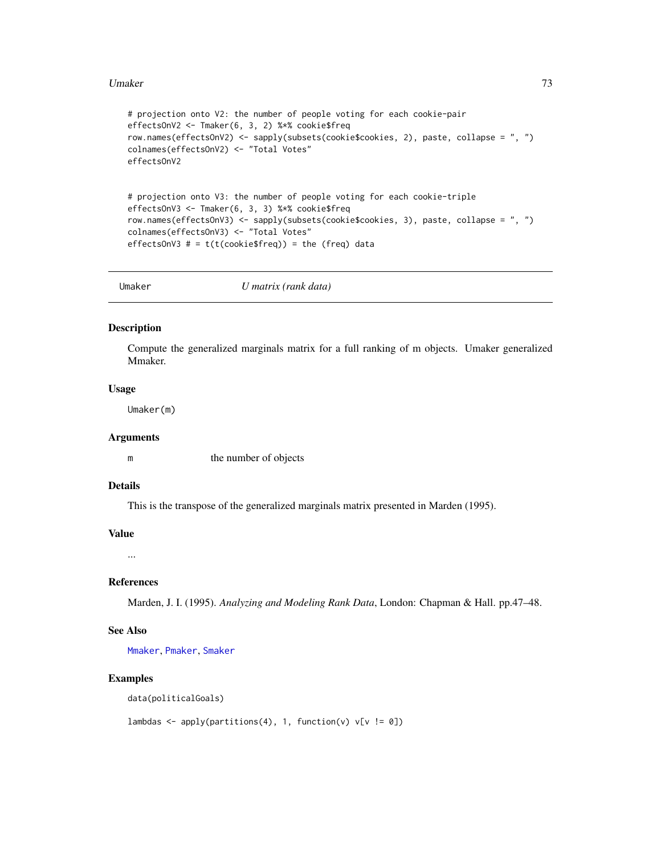#### <span id="page-72-0"></span>Umaker 73

```
# projection onto V2: the number of people voting for each cookie-pair
effectsOnV2 <- Tmaker(6, 3, 2) %*% cookie$freq
row.names(effectsOnV2) <- sapply(subsets(cookie$cookies, 2), paste, collapse = ", ")
colnames(effectsOnV2) <- "Total Votes"
effectsOnV2
# projection onto V3: the number of people voting for each cookie-triple
effectsOnV3 <- Tmaker(6, 3, 3) %*% cookie$freq
row.names(effectsOnV3) <- sapply(subsets(cookie$cookies, 3), paste, collapse = ", ")
colnames(effectsOnV3) <- "Total Votes"
effectsOnV3 # = t(t(cookie$freq)) = the (freq) data
```
Umaker *U matrix (rank data)*

## Description

Compute the generalized marginals matrix for a full ranking of m objects. Umaker generalized Mmaker.

#### Usage

Umaker(m)

## Arguments

m the number of objects

# Details

This is the transpose of the generalized marginals matrix presented in Marden (1995).

## Value

...

# References

Marden, J. I. (1995). *Analyzing and Modeling Rank Data*, London: Chapman & Hall. pp.47–48.

## See Also

[Mmaker](#page-41-0), [Pmaker](#page-43-0), [Smaker](#page-56-0)

#### Examples

data(politicalGoals)

```
lambdas <- apply(partitions(4), 1, function(v) v[v := 0])
```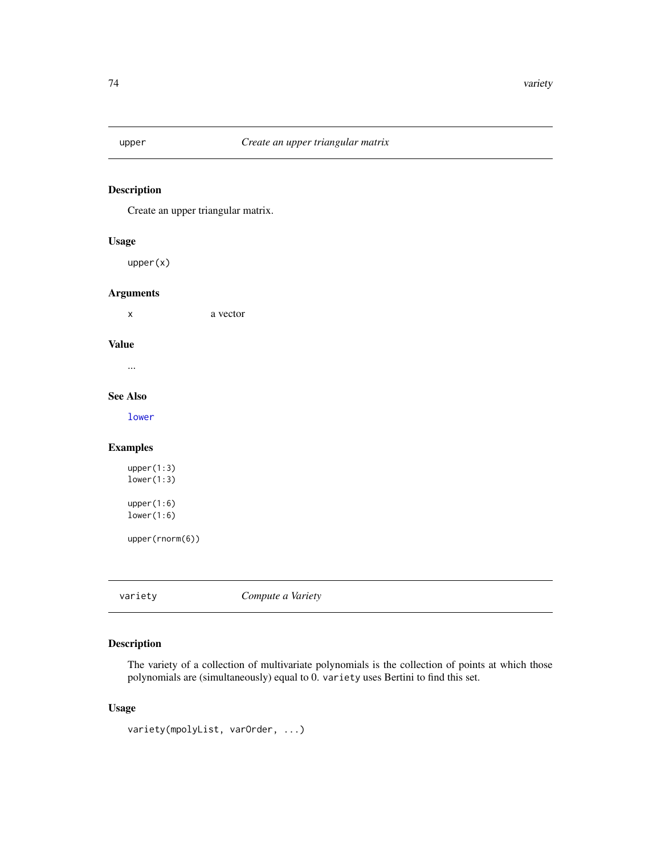<span id="page-73-0"></span>

# Description

Create an upper triangular matrix.

#### Usage

upper(x)

### Arguments

x a vector

## Value

...

## See Also

[lower](#page-32-0)

## Examples

upper(1:3) lower(1:3) upper(1:6) lower(1:6)

upper(rnorm(6))

variety *Compute a Variety*

# Description

The variety of a collection of multivariate polynomials is the collection of points at which those polynomials are (simultaneously) equal to 0. variety uses Bertini to find this set.

## Usage

```
variety(mpolyList, varOrder, ...)
```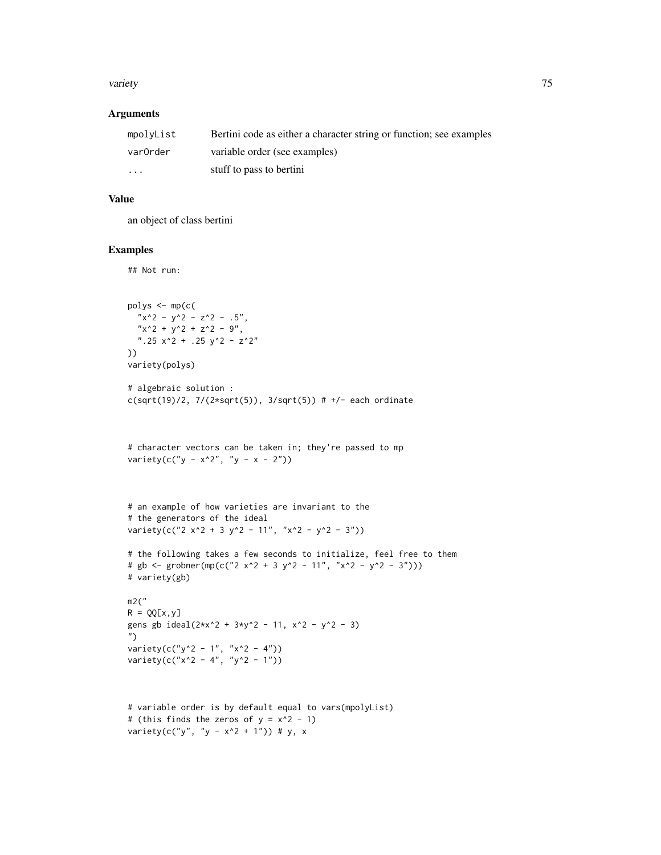#### variety and the contract of the contract of the contract of the contract of the contract of the contract of the contract of the contract of the contract of the contract of the contract of the contract of the contract of th

#### Arguments

| mpolyList | Bertini code as either a character string or function; see examples |
|-----------|---------------------------------------------------------------------|
| varOrder  | variable order (see examples)                                       |
| $\cdot$   | stuff to pass to bertini                                            |

## Value

an object of class bertini

## Examples

```
## Not run:
```

```
polys <- mp(c(
  "x^2 - y^2 - z^2 - .5","x^2 + y^2 + z^2 - 9",".25 x^2 + .25 y^2 - z^2"))
variety(polys)
# algebraic solution :
c(sqrt(19)/2, 7/(2*sqrt(5)), 3/sqrt(5)) # +/- each ordinate# character vectors can be taken in; they're passed to mp
variety(c("y - x^2", "y - x - 2"))
# an example of how varieties are invariant to the
# the generators of the ideal
variety(c("2 x^2 + 3 y^2 - 11", "x^2 - y^2 - 3"))
# the following takes a few seconds to initialize, feel free to them
# gb <- grobner(mp(c("2 x^2 + 3 y^2 - 11", "x^2 - y^2 - 3")))
# variety(gb)
m2("
R = QQ[x, y]gens gb ideal(2*x^2 + 3*y^2 - 11, x^2 - y^2 - 3)
")
variety(c("y^2 - 1", "x^2 - 4"))
variety(c("x^2 - 4", "y^2 - 1"))
# variable order is by default equal to vars(mpolyList)
```

```
# (this finds the zeros of y = x^2 - 1)
variety(c("y", "y - x^2 + 1")) # y, x
```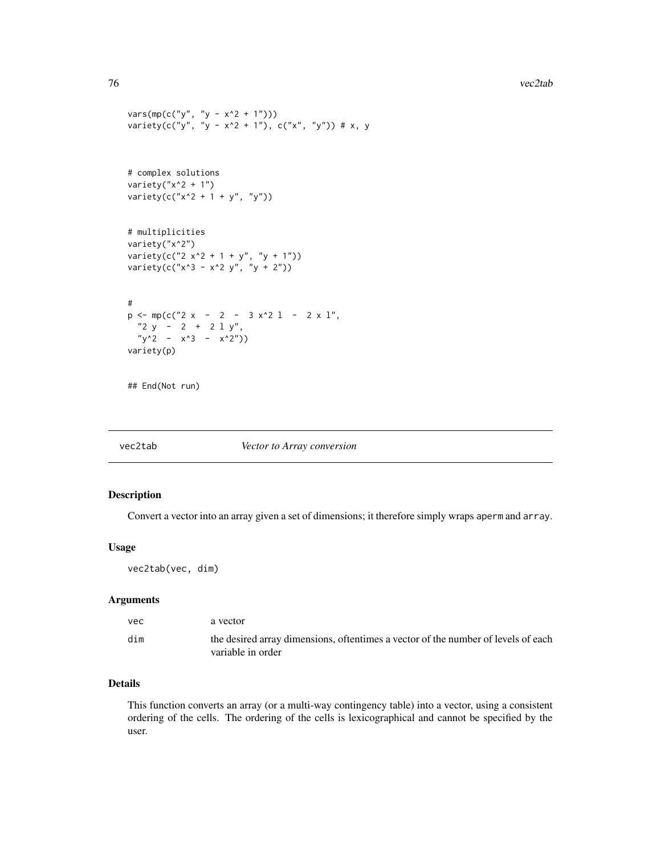```
vars(mp(c("y", "y - x^2 + 1")))variety(c("y", "y - x^2 + 1"), c("x", "y")) # x, y
# complex solutions
variety("x^2 + 1")
variety(c("x^2 + 1 + y", "y"))
# multiplicities
variety("x^2")
variety(c("2 x^2 + 1 + y'', "y + 1"))
variety(c("x^3 - x^2 y", "y + 2"))
#
p \leftarrow mp(c("2 x - 2 - 3 x^2 1 - 2 x 1","2 y - 2 + 2 l y",
  "y^2 - x^3 - x^2"))
variety(p)
```
## End(Not run)

#### vec2tab *Vector to Array conversion*

## Description

Convert a vector into an array given a set of dimensions; it therefore simply wraps aperm and array.

#### Usage

vec2tab(vec, dim)

## Arguments

| vec | a vector                                                                                               |
|-----|--------------------------------------------------------------------------------------------------------|
| dim | the desired array dimensions, oftentimes a vector of the number of levels of each<br>variable in order |

## Details

This function converts an array (or a multi-way contingency table) into a vector, using a consistent ordering of the cells. The ordering of the cells is lexicographical and cannot be specified by the user.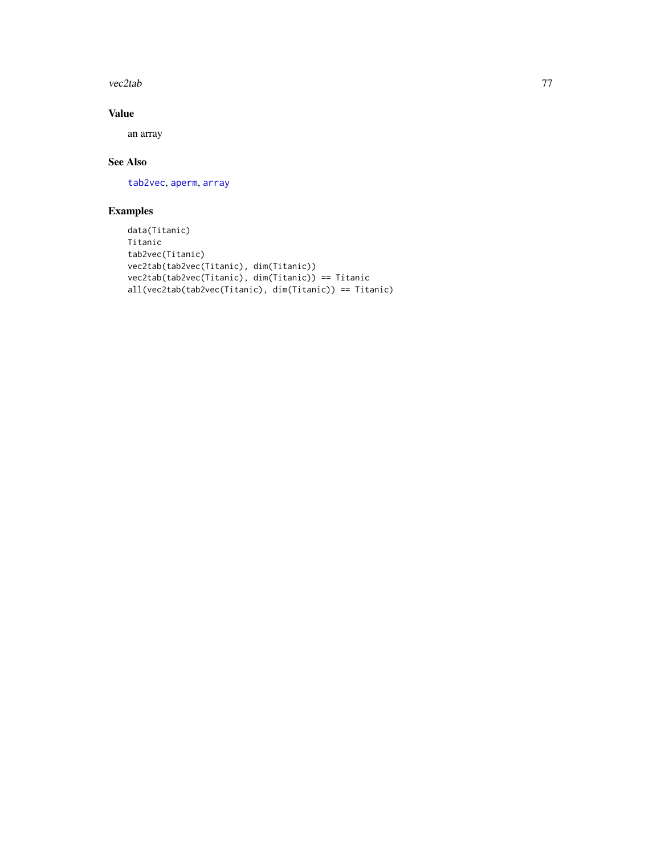<span id="page-76-0"></span>vec2tab 77

# Value

an array

# See Also

[tab2vec](#page-67-0), [aperm](#page-0-0), [array](#page-0-0)

# Examples

```
data(Titanic)
Titanic
tab2vec(Titanic)
vec2tab(tab2vec(Titanic), dim(Titanic))
vec2tab(tab2vec(Titanic), dim(Titanic)) == Titanic
all(vec2tab(tab2vec(Titanic), dim(Titanic)) == Titanic)
```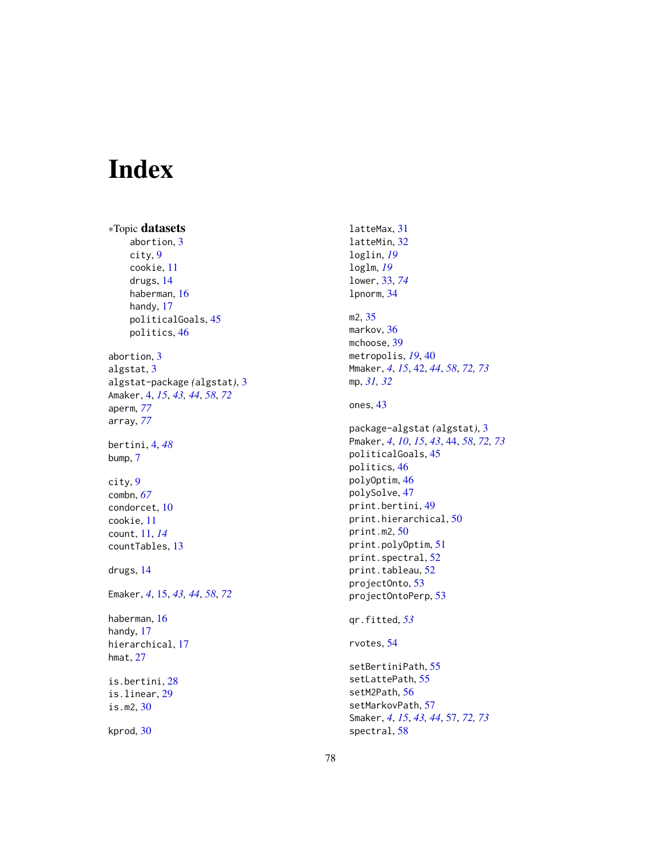# Index

```
∗Topic datasets
    abortion, 3
    city, 9
    cookie, 11
    drugs, 14
    haberman, 16
    handy, 17
    politicalGoals, 45
    politics, 46
abortion, 3
algstat, 3
algstat-package (algstat), 3
Amaker, 4, 15, 43, 44, 58, 72
aperm, 77
array, 77
bertini, 4, 48
bump, 7
city, 9
combn, 67
condorcet, 10
cookie, 11
count, 11, 14
countTables, 13
drugs, 14
Emaker, 4, 15, 43, 44, 58, 72
haberman, 16
handy, 17
hierarchical, 17
hmat, 27
is.bertini, 28
is.linear, 29
is.m2, 30
```
kprod, [30](#page-29-0)

latteMax, [31](#page-30-0) latteMin, [32](#page-31-0) loglin, *[19](#page-18-0)* loglm, *[19](#page-18-0)* lower, [33,](#page-32-1) *[74](#page-73-0)* lpnorm, [34](#page-33-0) m2, [35](#page-34-0) markov, [36](#page-35-0) mchoose, [39](#page-38-0) metropolis, *[19](#page-18-0)*, [40](#page-39-0) Mmaker, *[4](#page-3-0)*, *[15](#page-14-0)*, [42,](#page-41-1) *[44](#page-43-1)*, *[58](#page-57-0)*, *[72,](#page-71-0) [73](#page-72-0)* mp, *[31,](#page-30-0) [32](#page-31-0)* ones, [43](#page-42-0) package-algstat *(*algstat*)*, [3](#page-2-0) Pmaker, *[4](#page-3-0)*, *[10](#page-9-0)*, *[15](#page-14-0)*, *[43](#page-42-0)*, [44,](#page-43-1) *[58](#page-57-0)*, *[72,](#page-71-0) [73](#page-72-0)* politicalGoals, [45](#page-44-0) politics, [46](#page-45-0) polyOptim, [46](#page-45-0) polySolve, [47](#page-46-0) print.bertini, [49](#page-48-0) print.hierarchical, [50](#page-49-0) print.m2, [50](#page-49-0) print.polyOptim, [51](#page-50-0) print.spectral, [52](#page-51-0) print.tableau, [52](#page-51-0) projectOnto, [53](#page-52-0) projectOntoPerp, [53](#page-52-0) qr.fitted, *[53](#page-52-0)* rvotes, [54](#page-53-0) setBertiniPath, [55](#page-54-0)

setLattePath, [55](#page-54-0) setM2Path, [56](#page-55-0) setMarkovPath, [57](#page-56-1) Smaker, *[4](#page-3-0)*, *[15](#page-14-0)*, *[43,](#page-42-0) [44](#page-43-1)*, [57,](#page-56-1) *[72,](#page-71-0) [73](#page-72-0)* spectral, [58](#page-57-0)